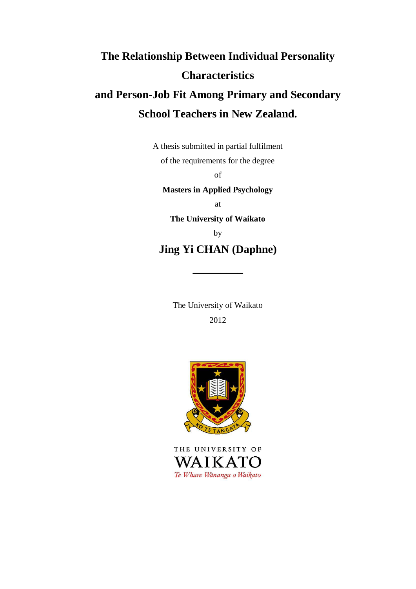# **The Relationship Between Individual Personality Characteristics and Person-Job Fit Among Primary and Secondary School Teachers in New Zealand.**

A thesis submitted in partial fulfilment of the requirements for the degree of **Masters in Applied Psychology** at **The University of Waikato**

by

### **Jing Yi CHAN (Daphne)**

**\_\_\_\_\_\_\_\_\_**

The University of Waikato 2012



THE UNIVERSITY OF **WAIK ATO** Te Whare Wānanga o Waikato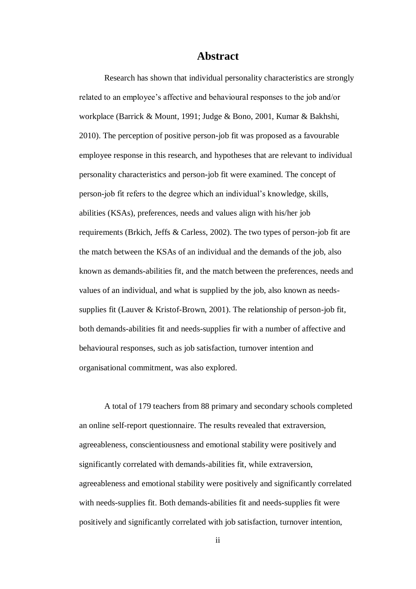### **Abstract**

<span id="page-1-0"></span>Research has shown that individual personality characteristics are strongly related to an employee"s affective and behavioural responses to the job and/or workplace (Barrick & Mount, 1991; Judge & Bono, 2001, Kumar & Bakhshi, 2010). The perception of positive person-job fit was proposed as a favourable employee response in this research, and hypotheses that are relevant to individual personality characteristics and person-job fit were examined. The concept of person-job fit refers to the degree which an individual"s knowledge, skills, abilities (KSAs), preferences, needs and values align with his/her job requirements (Brkich, Jeffs & Carless, 2002). The two types of person-job fit are the match between the KSAs of an individual and the demands of the job, also known as demands-abilities fit, and the match between the preferences, needs and values of an individual, and what is supplied by the job, also known as needssupplies fit (Lauver & Kristof-Brown, 2001). The relationship of person-job fit, both demands-abilities fit and needs-supplies fir with a number of affective and behavioural responses, such as job satisfaction, turnover intention and organisational commitment, was also explored.

A total of 179 teachers from 88 primary and secondary schools completed an online self-report questionnaire. The results revealed that extraversion, agreeableness, conscientiousness and emotional stability were positively and significantly correlated with demands-abilities fit, while extraversion, agreeableness and emotional stability were positively and significantly correlated with needs-supplies fit. Both demands-abilities fit and needs-supplies fit were positively and significantly correlated with job satisfaction, turnover intention,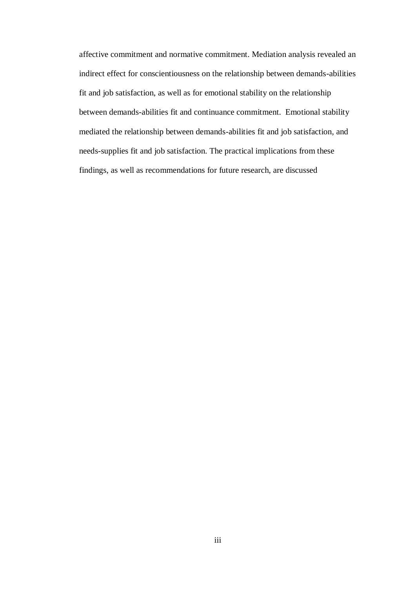affective commitment and normative commitment. Mediation analysis revealed an indirect effect for conscientiousness on the relationship between demands-abilities fit and job satisfaction, as well as for emotional stability on the relationship between demands-abilities fit and continuance commitment. Emotional stability mediated the relationship between demands-abilities fit and job satisfaction, and needs-supplies fit and job satisfaction. The practical implications from these findings, as well as recommendations for future research, are discussed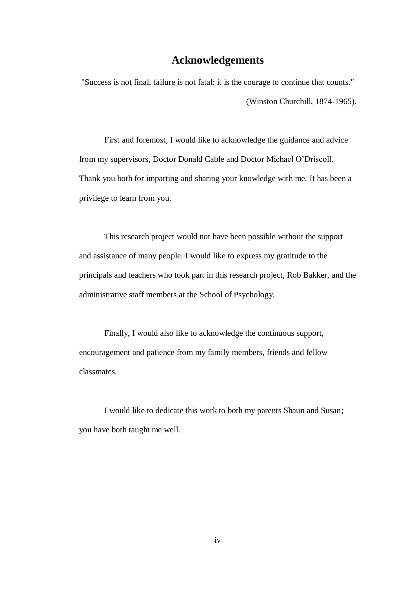### **Acknowledgements**

<span id="page-3-0"></span>"Success is not final, failure is not fatal: it is the courage to continue that counts." (Winston Churchill, 1874-1965).

First and foremost, I would like to acknowledge the guidance and advice from my supervisors, Doctor Donald Cable and Doctor Michael O"Driscoll. Thank you both for imparting and sharing your knowledge with me. It has been a privilege to learn from you.

This research project would not have been possible without the support and assistance of many people. I would like to express my gratitude to the principals and teachers who took part in this research project, Rob Bakker, and the administrative staff members at the School of Psychology.

Finally, I would also like to acknowledge the continuous support, encouragement and patience from my family members, friends and fellow classmates.

I would like to dedicate this work to both my parents Shaun and Susan; you have both taught me well.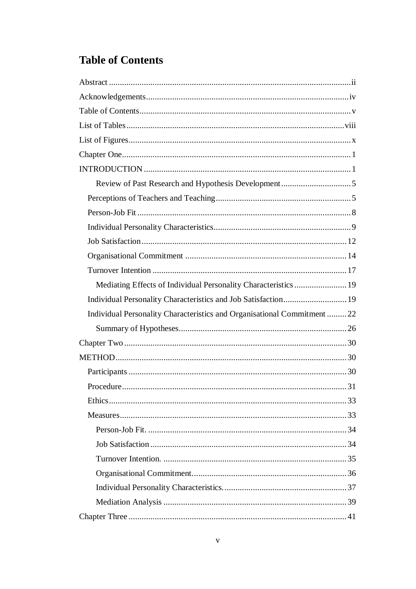## <span id="page-4-0"></span>**Table of Contents**

| Mediating Effects of Individual Personality Characteristics  19          |  |
|--------------------------------------------------------------------------|--|
| Individual Personality Characteristics and Job Satisfaction 19           |  |
| Individual Personality Characteristics and Organisational Commitment  22 |  |
|                                                                          |  |
|                                                                          |  |
|                                                                          |  |
|                                                                          |  |
|                                                                          |  |
|                                                                          |  |
|                                                                          |  |
|                                                                          |  |
|                                                                          |  |
|                                                                          |  |
|                                                                          |  |
|                                                                          |  |
|                                                                          |  |
|                                                                          |  |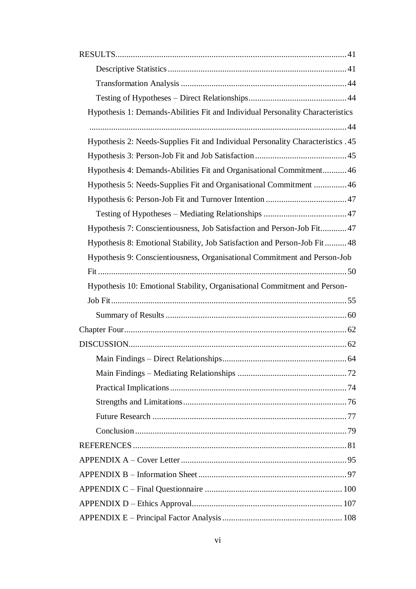| Hypothesis 1: Demands-Abilities Fit and Individual Personality Characteristics  |
|---------------------------------------------------------------------------------|
|                                                                                 |
| Hypothesis 2: Needs-Supplies Fit and Individual Personality Characteristics .45 |
|                                                                                 |
| Hypothesis 4: Demands-Abilities Fit and Organisational Commitment46             |
| Hypothesis 5: Needs-Supplies Fit and Organisational Commitment  46              |
|                                                                                 |
|                                                                                 |
| Hypothesis 7: Conscientiousness, Job Satisfaction and Person-Job Fit 47         |
| Hypothesis 8: Emotional Stability, Job Satisfaction and Person-Job Fit 48       |
| Hypothesis 9: Conscientiousness, Organisational Commitment and Person-Job       |
|                                                                                 |
| Hypothesis 10: Emotional Stability, Organisational Commitment and Person-       |
|                                                                                 |
|                                                                                 |
|                                                                                 |
|                                                                                 |
|                                                                                 |
|                                                                                 |
|                                                                                 |
|                                                                                 |
|                                                                                 |
|                                                                                 |
|                                                                                 |
|                                                                                 |
|                                                                                 |
|                                                                                 |
|                                                                                 |
|                                                                                 |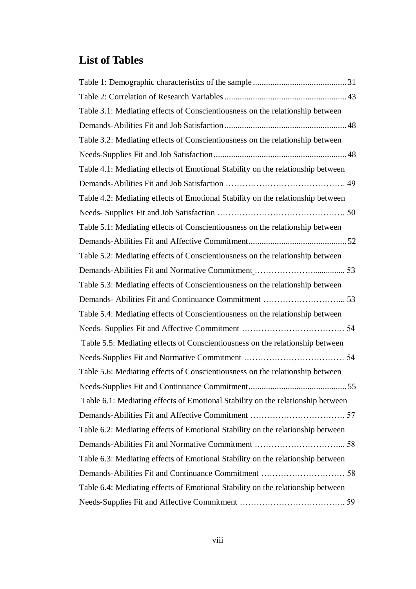## <span id="page-7-0"></span>**List of Tables**

| Table 3.1: Mediating effects of Conscientiousness on the relationship between   |  |
|---------------------------------------------------------------------------------|--|
|                                                                                 |  |
| Table 3.2: Mediating effects of Conscientiousness on the relationship between   |  |
|                                                                                 |  |
| Table 4.1: Mediating effects of Emotional Stability on the relationship between |  |
|                                                                                 |  |
| Table 4.2: Mediating effects of Emotional Stability on the relationship between |  |
|                                                                                 |  |
| Table 5.1: Mediating effects of Conscientiousness on the relationship between   |  |
|                                                                                 |  |
| Table 5.2: Mediating effects of Conscientiousness on the relationship between   |  |
|                                                                                 |  |
| Table 5.3: Mediating effects of Conscientiousness on the relationship between   |  |
|                                                                                 |  |
| Table 5.4: Mediating effects of Conscientiousness on the relationship between   |  |
|                                                                                 |  |
| Table 5.5: Mediating effects of Conscientiousness on the relationship between   |  |
|                                                                                 |  |
| Table 5.6: Mediating effects of Conscientiousness on the relationship between   |  |
|                                                                                 |  |
| Table 6.1: Mediating effects of Emotional Stability on the relationship between |  |
|                                                                                 |  |
| Table 6.2: Mediating effects of Emotional Stability on the relationship between |  |
|                                                                                 |  |
| Table 6.3: Mediating effects of Emotional Stability on the relationship between |  |
|                                                                                 |  |
| Table 6.4: Mediating effects of Emotional Stability on the relationship between |  |
|                                                                                 |  |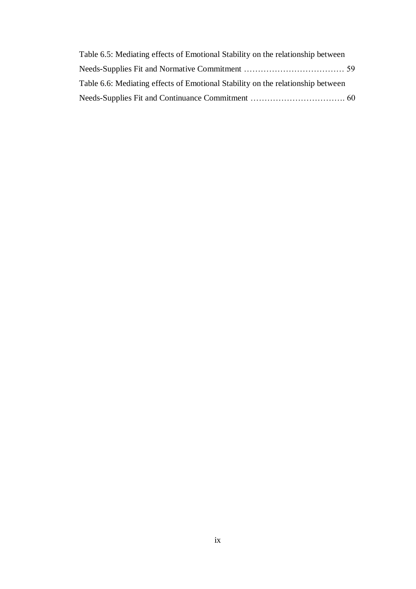| Table 6.5: Mediating effects of Emotional Stability on the relationship between |  |
|---------------------------------------------------------------------------------|--|
|                                                                                 |  |
| Table 6.6: Mediating effects of Emotional Stability on the relationship between |  |
|                                                                                 |  |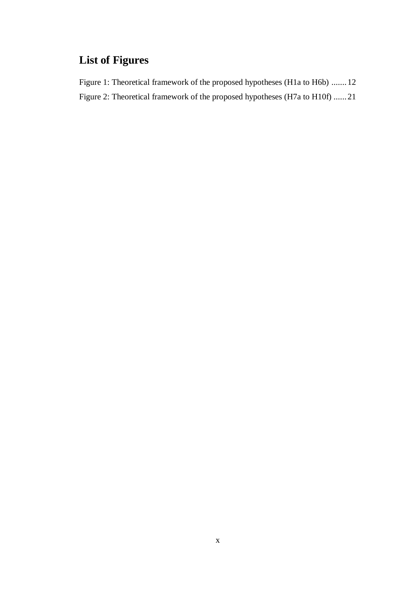## <span id="page-9-0"></span>**List of Figures**

[Figure 1: Theoretical framework of the proposed hypotheses \(H1a to H6b\)](#page-21-1) ....... 12 [Figure 2: Theoretical framework of the proposed hypotheses \(H7a to H10f\)](#page-30-0) ...... 21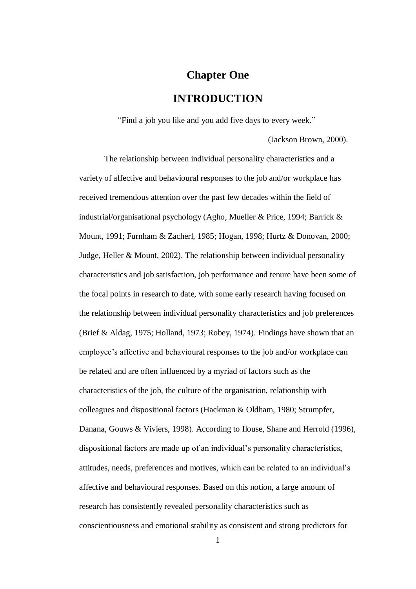### <span id="page-10-0"></span>**Chapter One**

### **INTRODUCTION**

<span id="page-10-1"></span>"Find a job you like and you add five days to every week."

(Jackson Brown, 2000).

The relationship between individual personality characteristics and a variety of affective and behavioural responses to the job and/or workplace has received tremendous attention over the past few decades within the field of industrial/organisational psychology (Agho, Mueller & Price, 1994; Barrick & Mount, 1991; Furnham & Zacherl, 1985; Hogan, 1998; Hurtz & Donovan, 2000; Judge, Heller & Mount, 2002). The relationship between individual personality characteristics and job satisfaction, job performance and tenure have been some of the focal points in research to date, with some early research having focused on the relationship between individual personality characteristics and job preferences (Brief & Aldag, 1975; Holland, 1973; Robey, 1974). Findings have shown that an employee"s affective and behavioural responses to the job and/or workplace can be related and are often influenced by a myriad of factors such as the characteristics of the job, the culture of the organisation, relationship with colleagues and dispositional factors (Hackman & Oldham, 1980; Strumpfer, Danana, Gouws & Viviers, 1998). According to Ilouse, Shane and Herrold (1996), dispositional factors are made up of an individual"s personality characteristics, attitudes, needs, preferences and motives, which can be related to an individual"s affective and behavioural responses. Based on this notion, a large amount of research has consistently revealed personality characteristics such as conscientiousness and emotional stability as consistent and strong predictors for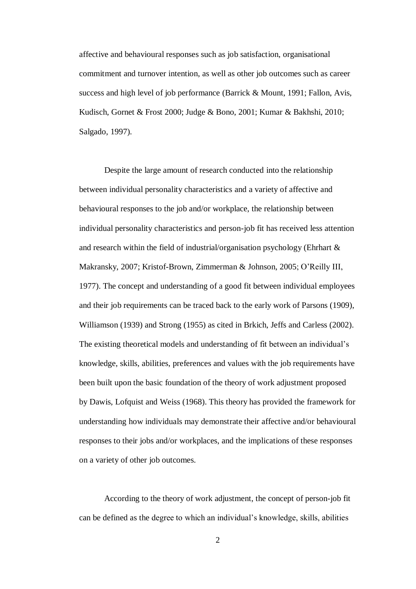affective and behavioural responses such as job satisfaction, organisational commitment and turnover intention, as well as other job outcomes such as career success and high level of job performance (Barrick & Mount, 1991; Fallon, Avis, Kudisch, Gornet & Frost 2000; Judge & Bono, 2001; Kumar & Bakhshi, 2010; Salgado, 1997).

Despite the large amount of research conducted into the relationship between individual personality characteristics and a variety of affective and behavioural responses to the job and/or workplace, the relationship between individual personality characteristics and person-job fit has received less attention and research within the field of industrial/organisation psychology (Ehrhart & Makransky, 2007; Kristof-Brown, Zimmerman & Johnson, 2005; O"Reilly III, 1977). The concept and understanding of a good fit between individual employees and their job requirements can be traced back to the early work of Parsons (1909), Williamson (1939) and Strong (1955) as cited in Brkich, Jeffs and Carless (2002). The existing theoretical models and understanding of fit between an individual"s knowledge, skills, abilities, preferences and values with the job requirements have been built upon the basic foundation of the theory of work adjustment proposed by Dawis, Lofquist and Weiss (1968). This theory has provided the framework for understanding how individuals may demonstrate their affective and/or behavioural responses to their jobs and/or workplaces, and the implications of these responses on a variety of other job outcomes.

According to the theory of work adjustment, the concept of person-job fit can be defined as the degree to which an individual"s knowledge, skills, abilities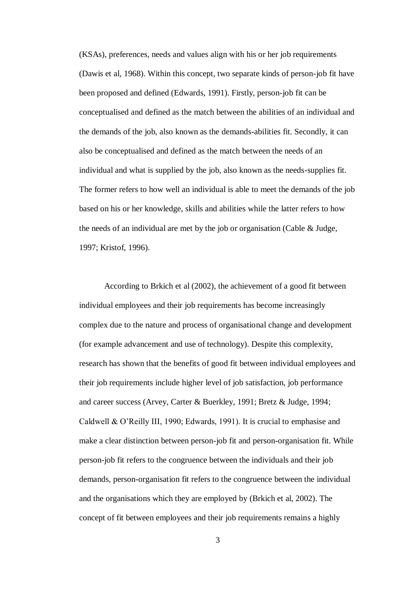(KSAs), preferences, needs and values align with his or her job requirements (Dawis et al, 1968). Within this concept, two separate kinds of person-job fit have been proposed and defined (Edwards, 1991). Firstly, person-job fit can be conceptualised and defined as the match between the abilities of an individual and the demands of the job, also known as the demands-abilities fit. Secondly, it can also be conceptualised and defined as the match between the needs of an individual and what is supplied by the job, also known as the needs-supplies fit. The former refers to how well an individual is able to meet the demands of the job based on his or her knowledge, skills and abilities while the latter refers to how the needs of an individual are met by the job or organisation (Cable & Judge, 1997; Kristof, 1996).

According to Brkich et al (2002), the achievement of a good fit between individual employees and their job requirements has become increasingly complex due to the nature and process of organisational change and development (for example advancement and use of technology). Despite this complexity, research has shown that the benefits of good fit between individual employees and their job requirements include higher level of job satisfaction, job performance and career success (Arvey, Carter & Buerkley, 1991; Bretz & Judge, 1994; Caldwell & O"Reilly III, 1990; Edwards, 1991). It is crucial to emphasise and make a clear distinction between person-job fit and person-organisation fit. While person-job fit refers to the congruence between the individuals and their job demands, person-organisation fit refers to the congruence between the individual and the organisations which they are employed by (Brkich et al, 2002). The concept of fit between employees and their job requirements remains a highly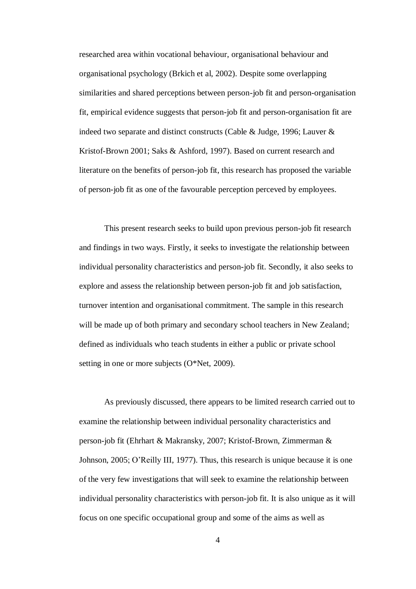researched area within vocational behaviour, organisational behaviour and organisational psychology (Brkich et al, 2002). Despite some overlapping similarities and shared perceptions between person-job fit and person-organisation fit, empirical evidence suggests that person-job fit and person-organisation fit are indeed two separate and distinct constructs (Cable & Judge, 1996; Lauver & Kristof-Brown 2001; Saks & Ashford, 1997). Based on current research and literature on the benefits of person-job fit, this research has proposed the variable of person-job fit as one of the favourable perception perceved by employees.

This present research seeks to build upon previous person-job fit research and findings in two ways. Firstly, it seeks to investigate the relationship between individual personality characteristics and person-job fit. Secondly, it also seeks to explore and assess the relationship between person-job fit and job satisfaction, turnover intention and organisational commitment. The sample in this research will be made up of both primary and secondary school teachers in New Zealand; defined as individuals who teach students in either a public or private school setting in one or more subjects (O\*Net, 2009).

As previously discussed, there appears to be limited research carried out to examine the relationship between individual personality characteristics and person-job fit (Ehrhart & Makransky, 2007; Kristof-Brown, Zimmerman & Johnson, 2005; O"Reilly III, 1977). Thus, this research is unique because it is one of the very few investigations that will seek to examine the relationship between individual personality characteristics with person-job fit. It is also unique as it will focus on one specific occupational group and some of the aims as well as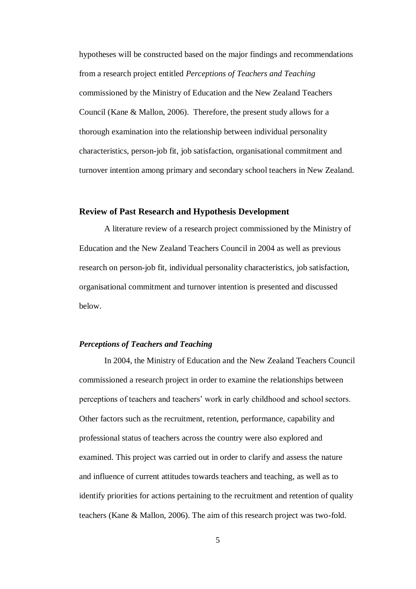hypotheses will be constructed based on the major findings and recommendations from a research project entitled *Perceptions of Teachers and Teaching* commissioned by the Ministry of Education and the New Zealand Teachers Council (Kane & Mallon, 2006). Therefore, the present study allows for a thorough examination into the relationship between individual personality characteristics, person-job fit, job satisfaction, organisational commitment and turnover intention among primary and secondary school teachers in New Zealand.

### <span id="page-14-0"></span>**Review of Past Research and Hypothesis Development**

A literature review of a research project commissioned by the Ministry of Education and the New Zealand Teachers Council in 2004 as well as previous research on person-job fit, individual personality characteristics, job satisfaction, organisational commitment and turnover intention is presented and discussed below.

#### <span id="page-14-1"></span>*Perceptions of Teachers and Teaching*

In 2004, the Ministry of Education and the New Zealand Teachers Council commissioned a research project in order to examine the relationships between perceptions of teachers and teachers" work in early childhood and school sectors. Other factors such as the recruitment, retention, performance, capability and professional status of teachers across the country were also explored and examined. This project was carried out in order to clarify and assess the nature and influence of current attitudes towards teachers and teaching, as well as to identify priorities for actions pertaining to the recruitment and retention of quality teachers (Kane & Mallon, 2006). The aim of this research project was two-fold.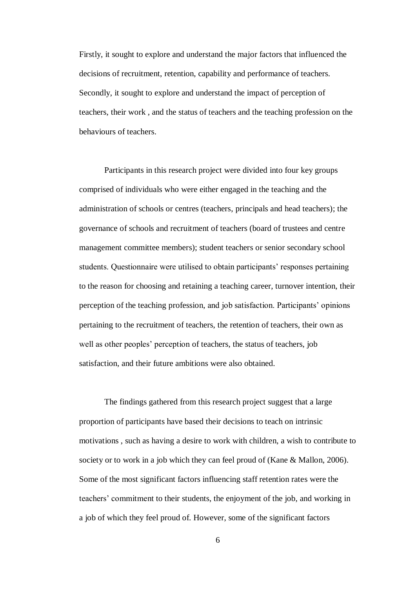Firstly, it sought to explore and understand the major factors that influenced the decisions of recruitment, retention, capability and performance of teachers. Secondly, it sought to explore and understand the impact of perception of teachers, their work , and the status of teachers and the teaching profession on the behaviours of teachers.

Participants in this research project were divided into four key groups comprised of individuals who were either engaged in the teaching and the administration of schools or centres (teachers, principals and head teachers); the governance of schools and recruitment of teachers (board of trustees and centre management committee members); student teachers or senior secondary school students. Questionnaire were utilised to obtain participants" responses pertaining to the reason for choosing and retaining a teaching career, turnover intention, their perception of the teaching profession, and job satisfaction. Participants" opinions pertaining to the recruitment of teachers, the retention of teachers, their own as well as other peoples' perception of teachers, the status of teachers, job satisfaction, and their future ambitions were also obtained.

The findings gathered from this research project suggest that a large proportion of participants have based their decisions to teach on intrinsic motivations , such as having a desire to work with children, a wish to contribute to society or to work in a job which they can feel proud of (Kane & Mallon, 2006). Some of the most significant factors influencing staff retention rates were the teachers" commitment to their students, the enjoyment of the job, and working in a job of which they feel proud of. However, some of the significant factors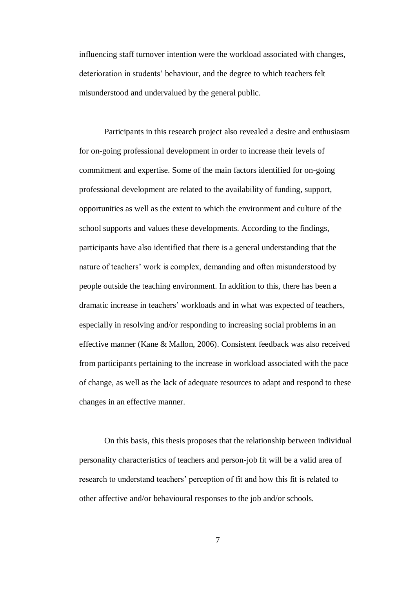influencing staff turnover intention were the workload associated with changes, deterioration in students" behaviour, and the degree to which teachers felt misunderstood and undervalued by the general public.

Participants in this research project also revealed a desire and enthusiasm for on-going professional development in order to increase their levels of commitment and expertise. Some of the main factors identified for on-going professional development are related to the availability of funding, support, opportunities as well as the extent to which the environment and culture of the school supports and values these developments. According to the findings, participants have also identified that there is a general understanding that the nature of teachers' work is complex, demanding and often misunderstood by people outside the teaching environment. In addition to this, there has been a dramatic increase in teachers" workloads and in what was expected of teachers, especially in resolving and/or responding to increasing social problems in an effective manner (Kane & Mallon, 2006). Consistent feedback was also received from participants pertaining to the increase in workload associated with the pace of change, as well as the lack of adequate resources to adapt and respond to these changes in an effective manner.

On this basis, this thesis proposes that the relationship between individual personality characteristics of teachers and person-job fit will be a valid area of research to understand teachers' perception of fit and how this fit is related to other affective and/or behavioural responses to the job and/or schools.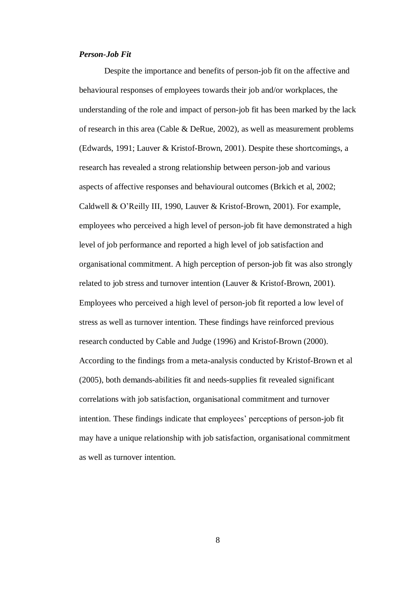#### <span id="page-17-0"></span>*Person-Job Fit*

Despite the importance and benefits of person-job fit on the affective and behavioural responses of employees towards their job and/or workplaces, the understanding of the role and impact of person-job fit has been marked by the lack of research in this area (Cable & DeRue, 2002), as well as measurement problems (Edwards, 1991; Lauver & Kristof-Brown, 2001). Despite these shortcomings, a research has revealed a strong relationship between person-job and various aspects of affective responses and behavioural outcomes (Brkich et al, 2002; Caldwell & O"Reilly III, 1990, Lauver & Kristof-Brown, 2001). For example, employees who perceived a high level of person-job fit have demonstrated a high level of job performance and reported a high level of job satisfaction and organisational commitment. A high perception of person-job fit was also strongly related to job stress and turnover intention (Lauver & Kristof-Brown, 2001). Employees who perceived a high level of person-job fit reported a low level of stress as well as turnover intention. These findings have reinforced previous research conducted by Cable and Judge (1996) and Kristof-Brown (2000). According to the findings from a meta-analysis conducted by Kristof-Brown et al (2005), both demands-abilities fit and needs-supplies fit revealed significant correlations with job satisfaction, organisational commitment and turnover intention. These findings indicate that employees' perceptions of person-job fit may have a unique relationship with job satisfaction, organisational commitment as well as turnover intention.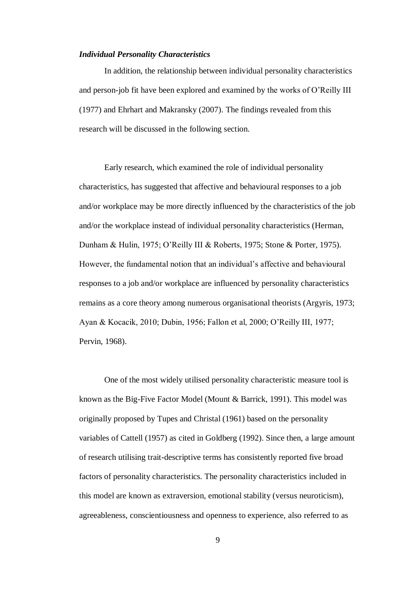#### <span id="page-18-0"></span>*Individual Personality Characteristics*

In addition, the relationship between individual personality characteristics and person-job fit have been explored and examined by the works of O"Reilly III (1977) and Ehrhart and Makransky (2007). The findings revealed from this research will be discussed in the following section.

Early research, which examined the role of individual personality characteristics, has suggested that affective and behavioural responses to a job and/or workplace may be more directly influenced by the characteristics of the job and/or the workplace instead of individual personality characteristics (Herman, Dunham & Hulin, 1975; O"Reilly III & Roberts, 1975; Stone & Porter, 1975). However, the fundamental notion that an individual"s affective and behavioural responses to a job and/or workplace are influenced by personality characteristics remains as a core theory among numerous organisational theorists (Argyris, 1973; Ayan & Kocacik, 2010; Dubin, 1956; Fallon et al, 2000; O"Reilly III, 1977; Pervin, 1968).

One of the most widely utilised personality characteristic measure tool is known as the Big-Five Factor Model (Mount & Barrick, 1991). This model was originally proposed by Tupes and Christal (1961) based on the personality variables of Cattell (1957) as cited in Goldberg (1992). Since then, a large amount of research utilising trait-descriptive terms has consistently reported five broad factors of personality characteristics. The personality characteristics included in this model are known as extraversion, emotional stability (versus neuroticism), agreeableness, conscientiousness and openness to experience, also referred to as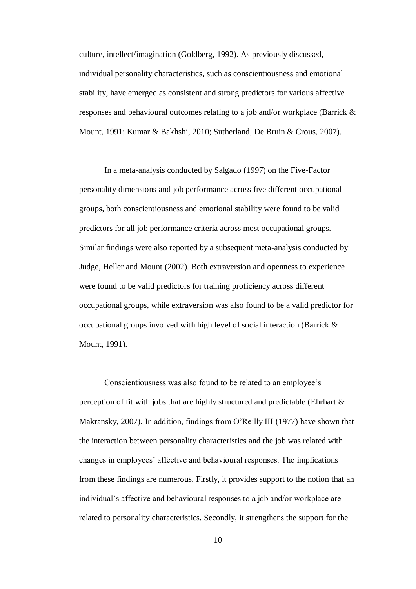culture, intellect/imagination (Goldberg, 1992). As previously discussed, individual personality characteristics, such as conscientiousness and emotional stability, have emerged as consistent and strong predictors for various affective responses and behavioural outcomes relating to a job and/or workplace (Barrick & Mount, 1991; Kumar & Bakhshi, 2010; Sutherland, De Bruin & Crous, 2007).

In a meta-analysis conducted by Salgado (1997) on the Five-Factor personality dimensions and job performance across five different occupational groups, both conscientiousness and emotional stability were found to be valid predictors for all job performance criteria across most occupational groups. Similar findings were also reported by a subsequent meta-analysis conducted by Judge, Heller and Mount (2002). Both extraversion and openness to experience were found to be valid predictors for training proficiency across different occupational groups, while extraversion was also found to be a valid predictor for occupational groups involved with high level of social interaction (Barrick & Mount, 1991).

Conscientiousness was also found to be related to an employee"s perception of fit with jobs that are highly structured and predictable (Ehrhart & Makransky, 2007). In addition, findings from O"Reilly III (1977) have shown that the interaction between personality characteristics and the job was related with changes in employees" affective and behavioural responses. The implications from these findings are numerous. Firstly, it provides support to the notion that an individual"s affective and behavioural responses to a job and/or workplace are related to personality characteristics. Secondly, it strengthens the support for the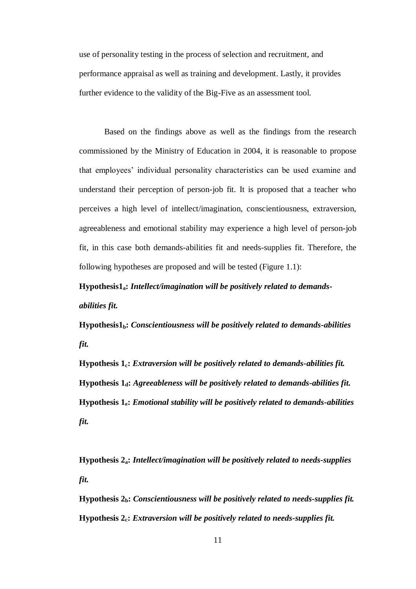use of personality testing in the process of selection and recruitment, and performance appraisal as well as training and development. Lastly, it provides further evidence to the validity of the Big-Five as an assessment tool.

Based on the findings above as well as the findings from the research commissioned by the Ministry of Education in 2004, it is reasonable to propose that employees" individual personality characteristics can be used examine and understand their perception of person-job fit. It is proposed that a teacher who perceives a high level of intellect/imagination, conscientiousness, extraversion, agreeableness and emotional stability may experience a high level of person-job fit, in this case both demands-abilities fit and needs-supplies fit. Therefore, the following hypotheses are proposed and will be tested (Figure 1.1):

## **Hypothesis1a:** *Intellect/imagination will be positively related to demandsabilities fit.*

**Hypothesis1b:** *Conscientiousness will be positively related to demands-abilities fit.*

**Hypothesis 1c:** *Extraversion will be positively related to demands-abilities fit.* **Hypothesis 1d:** *Agreeableness will be positively related to demands-abilities fit.* **Hypothesis 1e:** *Emotional stability will be positively related to demands-abilities fit.*

**Hypothesis 2a:** *Intellect/imagination will be positively related to needs-supplies fit.*

**Hypothesis 2b:** *Conscientiousness will be positively related to needs-supplies fit.* **Hypothesis 2c:** *Extraversion will be positively related to needs-supplies fit.*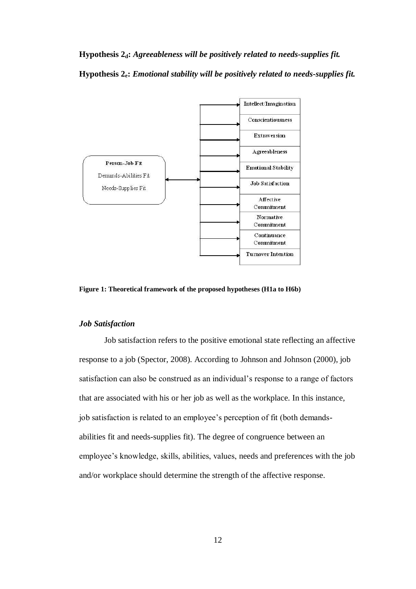**Hypothesis 2d:** *Agreeableness will be positively related to needs-supplies fit.*

**Hypothesis 2e:** *Emotional stability will be positively related to needs-supplies fit.*



<span id="page-21-1"></span>**Figure 1: Theoretical framework of the proposed hypotheses (H1a to H6b)**

#### <span id="page-21-0"></span>*Job Satisfaction*

Job satisfaction refers to the positive emotional state reflecting an affective response to a job (Spector, 2008). According to Johnson and Johnson (2000), job satisfaction can also be construed as an individual"s response to a range of factors that are associated with his or her job as well as the workplace. In this instance, job satisfaction is related to an employee"s perception of fit (both demandsabilities fit and needs-supplies fit). The degree of congruence between an employee"s knowledge, skills, abilities, values, needs and preferences with the job and/or workplace should determine the strength of the affective response.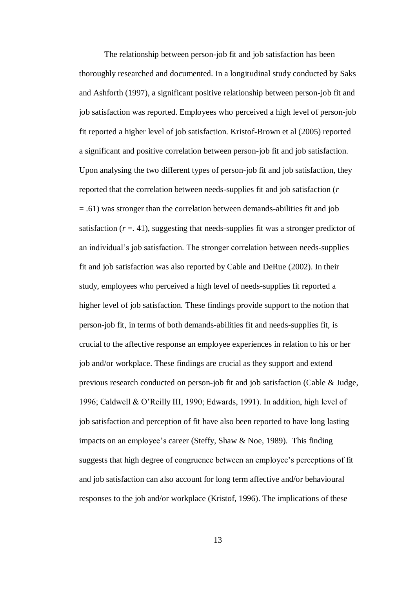The relationship between person-job fit and job satisfaction has been thoroughly researched and documented. In a longitudinal study conducted by Saks and Ashforth (1997), a significant positive relationship between person-job fit and job satisfaction was reported. Employees who perceived a high level of person-job fit reported a higher level of job satisfaction. Kristof-Brown et al (2005) reported a significant and positive correlation between person-job fit and job satisfaction. Upon analysing the two different types of person-job fit and job satisfaction, they reported that the correlation between needs-supplies fit and job satisfaction (*r* = .61) was stronger than the correlation between demands-abilities fit and job satisfaction  $(r = 0.41)$ , suggesting that needs-supplies fit was a stronger predictor of an individual"s job satisfaction. The stronger correlation between needs-supplies fit and job satisfaction was also reported by Cable and DeRue (2002). In their study, employees who perceived a high level of needs-supplies fit reported a higher level of job satisfaction. These findings provide support to the notion that person-job fit, in terms of both demands-abilities fit and needs-supplies fit, is crucial to the affective response an employee experiences in relation to his or her job and/or workplace. These findings are crucial as they support and extend previous research conducted on person-job fit and job satisfaction (Cable & Judge, 1996; Caldwell & O"Reilly III, 1990; Edwards, 1991). In addition, high level of job satisfaction and perception of fit have also been reported to have long lasting impacts on an employee's career (Steffy, Shaw & Noe, 1989). This finding suggests that high degree of congruence between an employee's perceptions of fit and job satisfaction can also account for long term affective and/or behavioural responses to the job and/or workplace (Kristof, 1996). The implications of these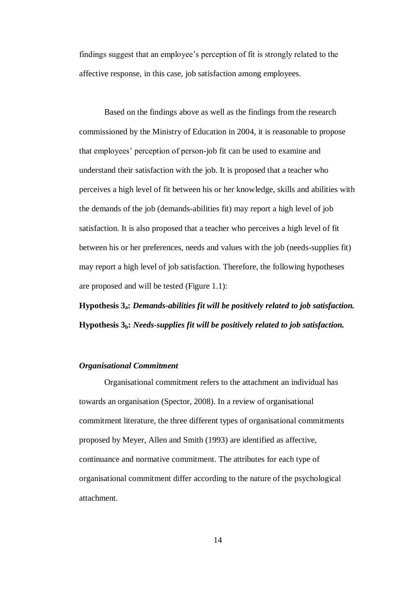findings suggest that an employee"s perception of fit is strongly related to the affective response, in this case, job satisfaction among employees.

Based on the findings above as well as the findings from the research commissioned by the Ministry of Education in 2004, it is reasonable to propose that employees" perception of person-job fit can be used to examine and understand their satisfaction with the job. It is proposed that a teacher who perceives a high level of fit between his or her knowledge, skills and abilities with the demands of the job (demands-abilities fit) may report a high level of job satisfaction. It is also proposed that a teacher who perceives a high level of fit between his or her preferences, needs and values with the job (needs-supplies fit) may report a high level of job satisfaction. Therefore, the following hypotheses are proposed and will be tested (Figure 1.1):

**Hypothesis 3a:** *Demands-abilities fit will be positively related to job satisfaction.* **Hypothesis 3b:** *Needs-supplies fit will be positively related to job satisfaction.*

#### <span id="page-23-0"></span>*Organisational Commitment*

Organisational commitment refers to the attachment an individual has towards an organisation (Spector, 2008). In a review of organisational commitment literature, the three different types of organisational commitments proposed by Meyer, Allen and Smith (1993) are identified as affective, continuance and normative commitment. The attributes for each type of organisational commitment differ according to the nature of the psychological attachment.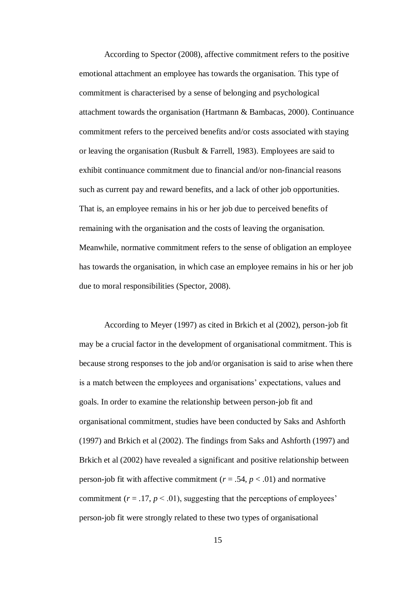According to Spector (2008), affective commitment refers to the positive emotional attachment an employee has towards the organisation. This type of commitment is characterised by a sense of belonging and psychological attachment towards the organisation (Hartmann & Bambacas, 2000). Continuance commitment refers to the perceived benefits and/or costs associated with staying or leaving the organisation (Rusbult & Farrell, 1983). Employees are said to exhibit continuance commitment due to financial and/or non-financial reasons such as current pay and reward benefits, and a lack of other job opportunities. That is, an employee remains in his or her job due to perceived benefits of remaining with the organisation and the costs of leaving the organisation. Meanwhile, normative commitment refers to the sense of obligation an employee has towards the organisation, in which case an employee remains in his or her job due to moral responsibilities (Spector, 2008).

According to Meyer (1997) as cited in Brkich et al (2002), person-job fit may be a crucial factor in the development of organisational commitment. This is because strong responses to the job and/or organisation is said to arise when there is a match between the employees and organisations" expectations, values and goals. In order to examine the relationship between person-job fit and organisational commitment, studies have been conducted by Saks and Ashforth (1997) and Brkich et al (2002). The findings from Saks and Ashforth (1997) and Brkich et al (2002) have revealed a significant and positive relationship between person-job fit with affective commitment ( $r = .54$ ,  $p < .01$ ) and normative commitment  $(r = .17, p < .01)$ , suggesting that the perceptions of employees' person-job fit were strongly related to these two types of organisational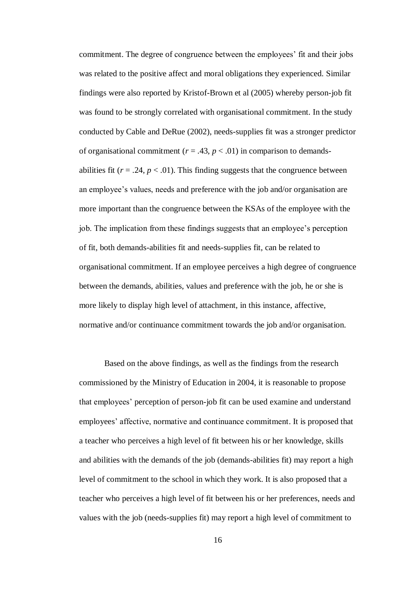commitment. The degree of congruence between the employees' fit and their jobs was related to the positive affect and moral obligations they experienced. Similar findings were also reported by Kristof-Brown et al (2005) whereby person-job fit was found to be strongly correlated with organisational commitment. In the study conducted by Cable and DeRue (2002), needs-supplies fit was a stronger predictor of organisational commitment ( $r = .43$ ,  $p < .01$ ) in comparison to demandsabilities fit ( $r = .24$ ,  $p < .01$ ). This finding suggests that the congruence between an employee"s values, needs and preference with the job and/or organisation are more important than the congruence between the KSAs of the employee with the job. The implication from these findings suggests that an employee"s perception of fit, both demands-abilities fit and needs-supplies fit, can be related to organisational commitment. If an employee perceives a high degree of congruence between the demands, abilities, values and preference with the job, he or she is more likely to display high level of attachment, in this instance, affective, normative and/or continuance commitment towards the job and/or organisation.

Based on the above findings, as well as the findings from the research commissioned by the Ministry of Education in 2004, it is reasonable to propose that employees" perception of person-job fit can be used examine and understand employees" affective, normative and continuance commitment. It is proposed that a teacher who perceives a high level of fit between his or her knowledge, skills and abilities with the demands of the job (demands-abilities fit) may report a high level of commitment to the school in which they work. It is also proposed that a teacher who perceives a high level of fit between his or her preferences, needs and values with the job (needs-supplies fit) may report a high level of commitment to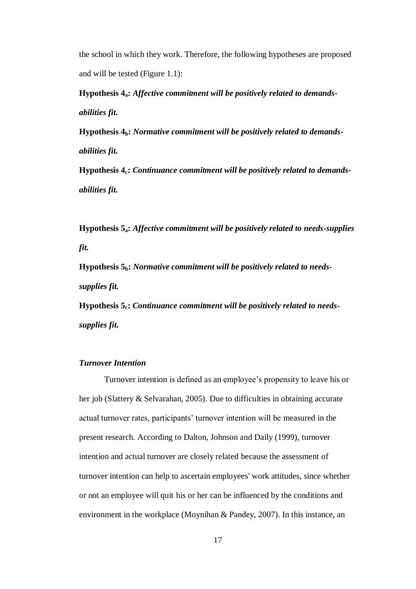the school in which they work. Therefore, the following hypotheses are proposed and will be tested (Figure 1.1):

**Hypothesis 4a:** *Affective commitment will be positively related to demandsabilities fit.*

**Hypothesis 4b:** *Normative commitment will be positively related to demandsabilities fit.*

**Hypothesis 4c:** *Continuance commitment will be positively related to demandsabilities fit.*

**Hypothesis 5a:** *Affective commitment will be positively related to needs-supplies fit.*

**Hypothesis 5b:** *Normative commitment will be positively related to needssupplies fit.*

**Hypothesis 5c:** *Continuance commitment will be positively related to needssupplies fit.*

### <span id="page-26-0"></span>*Turnover Intention*

Turnover intention is defined as an employee"s propensity to leave his or her job (Slattery & Selvarahan, 2005). Due to difficulties in obtaining accurate actual turnover rates, participants" turnover intention will be measured in the present research. According to Dalton, Johnson and Daily (1999), turnover intention and actual turnover are closely related because the assessment of turnover intention can help to ascertain employees' work attitudes, since whether or not an employee will quit his or her can be influenced by the conditions and environment in the workplace (Moynihan & Pandey, 2007). In this instance, an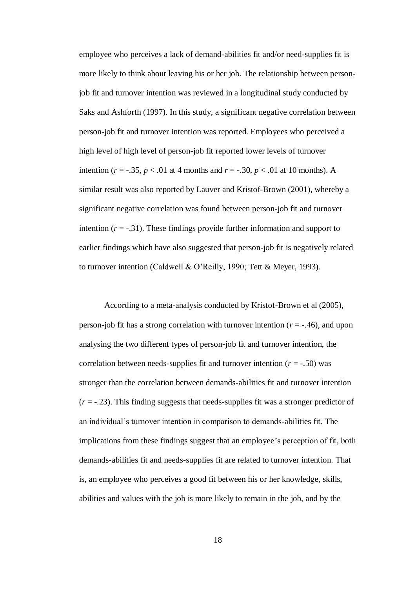employee who perceives a lack of demand-abilities fit and/or need-supplies fit is more likely to think about leaving his or her job. The relationship between personjob fit and turnover intention was reviewed in a longitudinal study conducted by Saks and Ashforth (1997). In this study, a significant negative correlation between person-job fit and turnover intention was reported. Employees who perceived a high level of high level of person-job fit reported lower levels of turnover intention ( $r = -.35$ ,  $p < .01$  at 4 months and  $r = -.30$ ,  $p < .01$  at 10 months). A similar result was also reported by Lauver and Kristof-Brown (2001), whereby a significant negative correlation was found between person-job fit and turnover intention  $(r = -0.31)$ . These findings provide further information and support to earlier findings which have also suggested that person-job fit is negatively related to turnover intention (Caldwell & O"Reilly, 1990; Tett & Meyer, 1993).

According to a meta-analysis conducted by Kristof-Brown et al (2005), person-job fit has a strong correlation with turnover intention  $(r = -.46)$ , and upon analysing the two different types of person-job fit and turnover intention, the correlation between needs-supplies fit and turnover intention  $(r = -0.50)$  was stronger than the correlation between demands-abilities fit and turnover intention  $(r = -.23)$ . This finding suggests that needs-supplies fit was a stronger predictor of an individual"s turnover intention in comparison to demands-abilities fit. The implications from these findings suggest that an employee's perception of fit, both demands-abilities fit and needs-supplies fit are related to turnover intention. That is, an employee who perceives a good fit between his or her knowledge, skills, abilities and values with the job is more likely to remain in the job, and by the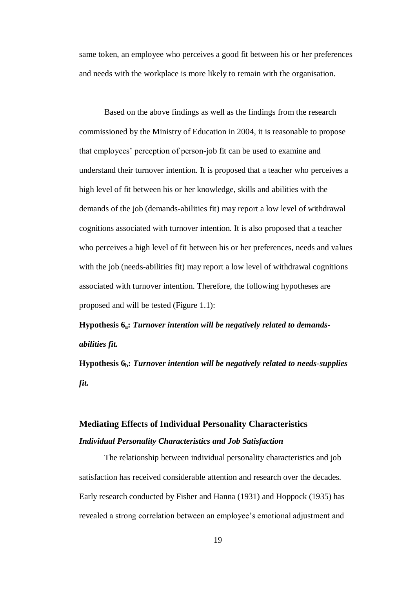same token, an employee who perceives a good fit between his or her preferences and needs with the workplace is more likely to remain with the organisation.

Based on the above findings as well as the findings from the research commissioned by the Ministry of Education in 2004, it is reasonable to propose that employees" perception of person-job fit can be used to examine and understand their turnover intention. It is proposed that a teacher who perceives a high level of fit between his or her knowledge, skills and abilities with the demands of the job (demands-abilities fit) may report a low level of withdrawal cognitions associated with turnover intention. It is also proposed that a teacher who perceives a high level of fit between his or her preferences, needs and values with the job (needs-abilities fit) may report a low level of withdrawal cognitions associated with turnover intention. Therefore, the following hypotheses are proposed and will be tested (Figure 1.1):

## **Hypothesis 6a:** *Turnover intention will be negatively related to demandsabilities fit.*

**Hypothesis 6b:** *Turnover intention will be negatively related to needs-supplies fit.*

### <span id="page-28-0"></span>**Mediating Effects of Individual Personality Characteristics**

### <span id="page-28-1"></span>*Individual Personality Characteristics and Job Satisfaction*

The relationship between individual personality characteristics and job satisfaction has received considerable attention and research over the decades. Early research conducted by Fisher and Hanna (1931) and Hoppock (1935) has revealed a strong correlation between an employee"s emotional adjustment and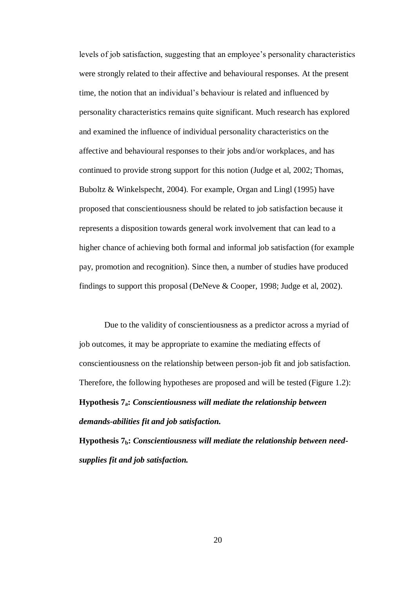levels of job satisfaction, suggesting that an employee's personality characteristics were strongly related to their affective and behavioural responses. At the present time, the notion that an individual"s behaviour is related and influenced by personality characteristics remains quite significant. Much research has explored and examined the influence of individual personality characteristics on the affective and behavioural responses to their jobs and/or workplaces, and has continued to provide strong support for this notion (Judge et al, 2002; Thomas, Buboltz & Winkelspecht, 2004). For example, Organ and Lingl (1995) have proposed that conscientiousness should be related to job satisfaction because it represents a disposition towards general work involvement that can lead to a higher chance of achieving both formal and informal job satisfaction (for example pay, promotion and recognition). Since then, a number of studies have produced findings to support this proposal (DeNeve & Cooper, 1998; Judge et al, 2002).

Due to the validity of conscientiousness as a predictor across a myriad of job outcomes, it may be appropriate to examine the mediating effects of conscientiousness on the relationship between person-job fit and job satisfaction. Therefore, the following hypotheses are proposed and will be tested (Figure 1.2): **Hypothesis 7a:** *Conscientiousness will mediate the relationship between demands-abilities fit and job satisfaction.*

**Hypothesis 7b:** *Conscientiousness will mediate the relationship between needsupplies fit and job satisfaction.*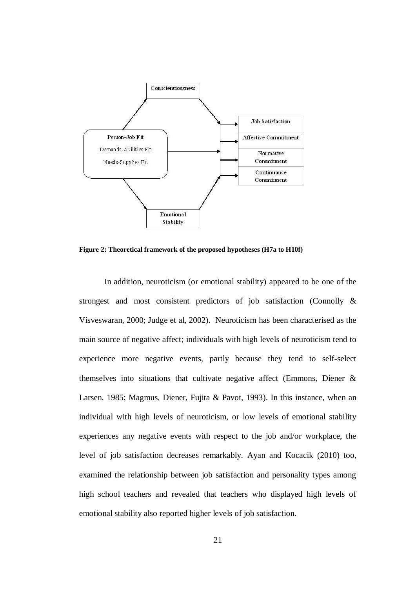

<span id="page-30-0"></span>**Figure 2: Theoretical framework of the proposed hypotheses (H7a to H10f)**

In addition, neuroticism (or emotional stability) appeared to be one of the strongest and most consistent predictors of job satisfaction (Connolly & Visveswaran, 2000; Judge et al, 2002). Neuroticism has been characterised as the main source of negative affect; individuals with high levels of neuroticism tend to experience more negative events, partly because they tend to self-select themselves into situations that cultivate negative affect (Emmons, Diener & Larsen, 1985; Magmus, Diener, Fujita & Pavot, 1993). In this instance, when an individual with high levels of neuroticism, or low levels of emotional stability experiences any negative events with respect to the job and/or workplace, the level of job satisfaction decreases remarkably. Ayan and Kocacik (2010) too, examined the relationship between job satisfaction and personality types among high school teachers and revealed that teachers who displayed high levels of emotional stability also reported higher levels of job satisfaction.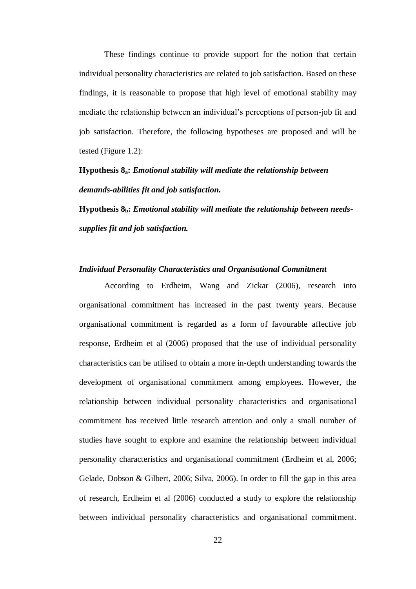These findings continue to provide support for the notion that certain individual personality characteristics are related to job satisfaction. Based on these findings, it is reasonable to propose that high level of emotional stability may mediate the relationship between an individual"s perceptions of person-job fit and job satisfaction. Therefore, the following hypotheses are proposed and will be tested (Figure 1.2):

### **Hypothesis 8a:** *Emotional stability will mediate the relationship between demands-abilities fit and job satisfaction.*

**Hypothesis 8b:** *Emotional stability will mediate the relationship between needssupplies fit and job satisfaction.*

### <span id="page-31-0"></span>*Individual Personality Characteristics and Organisational Commitment*

According to Erdheim, Wang and Zickar (2006), research into organisational commitment has increased in the past twenty years. Because organisational commitment is regarded as a form of favourable affective job response, Erdheim et al (2006) proposed that the use of individual personality characteristics can be utilised to obtain a more in-depth understanding towards the development of organisational commitment among employees. However, the relationship between individual personality characteristics and organisational commitment has received little research attention and only a small number of studies have sought to explore and examine the relationship between individual personality characteristics and organisational commitment (Erdheim et al, 2006; Gelade, Dobson & Gilbert, 2006; Silva, 2006). In order to fill the gap in this area of research, Erdheim et al (2006) conducted a study to explore the relationship between individual personality characteristics and organisational commitment.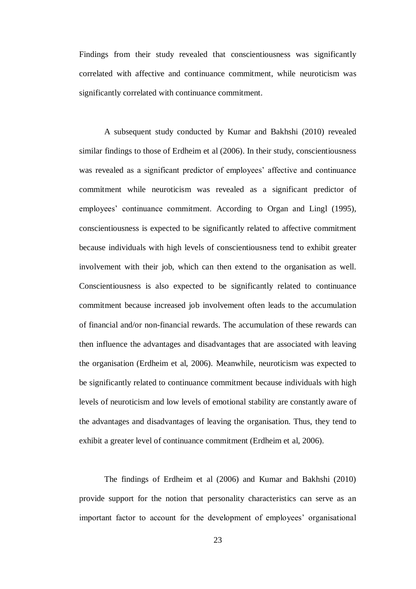Findings from their study revealed that conscientiousness was significantly correlated with affective and continuance commitment, while neuroticism was significantly correlated with continuance commitment.

A subsequent study conducted by Kumar and Bakhshi (2010) revealed similar findings to those of Erdheim et al (2006). In their study, conscientiousness was revealed as a significant predictor of employees' affective and continuance commitment while neuroticism was revealed as a significant predictor of employees' continuance commitment. According to Organ and Lingl (1995), conscientiousness is expected to be significantly related to affective commitment because individuals with high levels of conscientiousness tend to exhibit greater involvement with their job, which can then extend to the organisation as well. Conscientiousness is also expected to be significantly related to continuance commitment because increased job involvement often leads to the accumulation of financial and/or non-financial rewards. The accumulation of these rewards can then influence the advantages and disadvantages that are associated with leaving the organisation (Erdheim et al, 2006). Meanwhile, neuroticism was expected to be significantly related to continuance commitment because individuals with high levels of neuroticism and low levels of emotional stability are constantly aware of the advantages and disadvantages of leaving the organisation. Thus, they tend to exhibit a greater level of continuance commitment (Erdheim et al, 2006).

The findings of Erdheim et al (2006) and Kumar and Bakhshi (2010) provide support for the notion that personality characteristics can serve as an important factor to account for the development of employees' organisational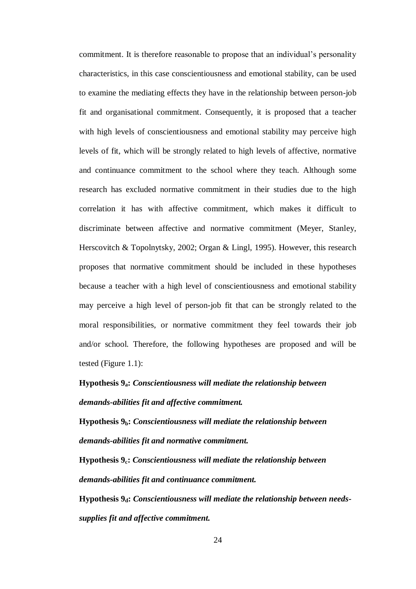commitment. It is therefore reasonable to propose that an individual"s personality characteristics, in this case conscientiousness and emotional stability, can be used to examine the mediating effects they have in the relationship between person-job fit and organisational commitment. Consequently, it is proposed that a teacher with high levels of conscientiousness and emotional stability may perceive high levels of fit, which will be strongly related to high levels of affective, normative and continuance commitment to the school where they teach. Although some research has excluded normative commitment in their studies due to the high correlation it has with affective commitment, which makes it difficult to discriminate between affective and normative commitment (Meyer, Stanley, Herscovitch & Topolnytsky, 2002; Organ & Lingl, 1995). However, this research proposes that normative commitment should be included in these hypotheses because a teacher with a high level of conscientiousness and emotional stability may perceive a high level of person-job fit that can be strongly related to the moral responsibilities, or normative commitment they feel towards their job and/or school. Therefore, the following hypotheses are proposed and will be tested (Figure 1.1):

**Hypothesis 9a:** *Conscientiousness will mediate the relationship between demands-abilities fit and affective commitment.*

**Hypothesis 9b:** *Conscientiousness will mediate the relationship between demands-abilities fit and normative commitment.*

**Hypothesis 9c:** *Conscientiousness will mediate the relationship between demands-abilities fit and continuance commitment.*

**Hypothesis 9d:** *Conscientiousness will mediate the relationship between needssupplies fit and affective commitment.*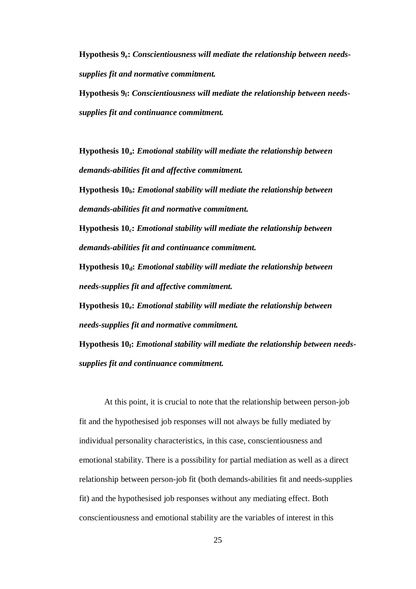**Hypothesis 9e:** *Conscientiousness will mediate the relationship between needssupplies fit and normative commitment.*

**Hypothesis 9f:** *Conscientiousness will mediate the relationship between needssupplies fit and continuance commitment.*

**Hypothesis 10a:** *Emotional stability will mediate the relationship between demands-abilities fit and affective commitment.*

**Hypothesis 10b:** *Emotional stability will mediate the relationship between demands-abilities fit and normative commitment.*

**Hypothesis 10c:** *Emotional stability will mediate the relationship between demands-abilities fit and continuance commitment.*

**Hypothesis 10d:** *Emotional stability will mediate the relationship between needs-supplies fit and affective commitment.*

**Hypothesis 10e:** *Emotional stability will mediate the relationship between needs-supplies fit and normative commitment.*

**Hypothesis 10f:** *Emotional stability will mediate the relationship between needssupplies fit and continuance commitment.*

At this point, it is crucial to note that the relationship between person-job fit and the hypothesised job responses will not always be fully mediated by individual personality characteristics, in this case, conscientiousness and emotional stability. There is a possibility for partial mediation as well as a direct relationship between person-job fit (both demands-abilities fit and needs-supplies fit) and the hypothesised job responses without any mediating effect. Both conscientiousness and emotional stability are the variables of interest in this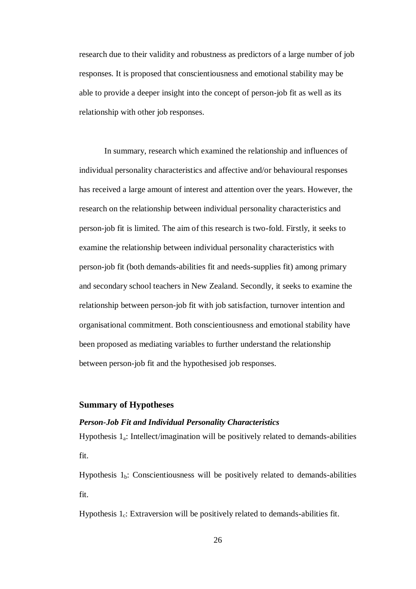research due to their validity and robustness as predictors of a large number of job responses. It is proposed that conscientiousness and emotional stability may be able to provide a deeper insight into the concept of person-job fit as well as its relationship with other job responses.

In summary, research which examined the relationship and influences of individual personality characteristics and affective and/or behavioural responses has received a large amount of interest and attention over the years. However, the research on the relationship between individual personality characteristics and person-job fit is limited. The aim of this research is two-fold. Firstly, it seeks to examine the relationship between individual personality characteristics with person-job fit (both demands-abilities fit and needs-supplies fit) among primary and secondary school teachers in New Zealand. Secondly, it seeks to examine the relationship between person-job fit with job satisfaction, turnover intention and organisational commitment. Both conscientiousness and emotional stability have been proposed as mediating variables to further understand the relationship between person-job fit and the hypothesised job responses.

### <span id="page-35-0"></span>**Summary of Hypotheses**

#### *Person-Job Fit and Individual Personality Characteristics*

Hypothesis  $1_a$ : Intellect/imagination will be positively related to demands-abilities fit.

Hypothesis  $1<sub>b</sub>$ : Conscientiousness will be positively related to demands-abilities fit.

Hypothesis  $1_c$ : Extraversion will be positively related to demands-abilities fit.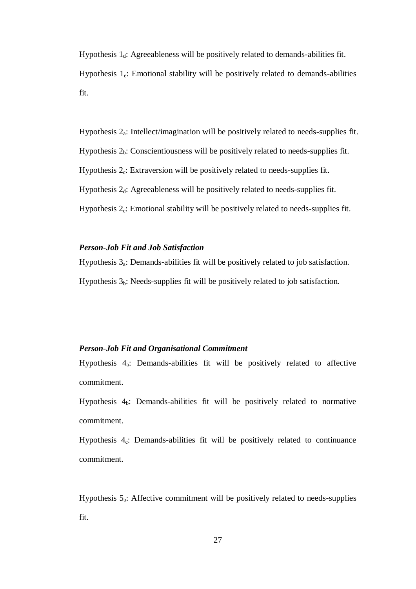Hypothesis  $1_d$ : Agreeableness will be positively related to demands-abilities fit. Hypothesis  $1_e$ : Emotional stability will be positively related to demands-abilities fit.

Hypothesis 2a: Intellect/imagination will be positively related to needs-supplies fit. Hypothesis  $2<sub>b</sub>$ : Conscientiousness will be positively related to needs-supplies fit. Hypothesis 2c: Extraversion will be positively related to needs-supplies fit. Hypothesis  $2_d$ : Agreeableness will be positively related to needs-supplies fit. Hypothesis  $2_e$ : Emotional stability will be positively related to needs-supplies fit.

#### *Person-Job Fit and Job Satisfaction*

Hypothesis 3a: Demands-abilities fit will be positively related to job satisfaction.

Hypothesis  $3<sub>b</sub>$ : Needs-supplies fit will be positively related to job satisfaction.

#### *Person-Job Fit and Organisational Commitment*

Hypothesis  $4_a$ : Demands-abilities fit will be positively related to affective commitment.

Hypothesis  $4<sub>b</sub>$ : Demands-abilities fit will be positively related to normative commitment.

Hypothesis  $4<sub>c</sub>$ : Demands-abilities fit will be positively related to continuance commitment.

Hypothesis 5a: Affective commitment will be positively related to needs-supplies fit.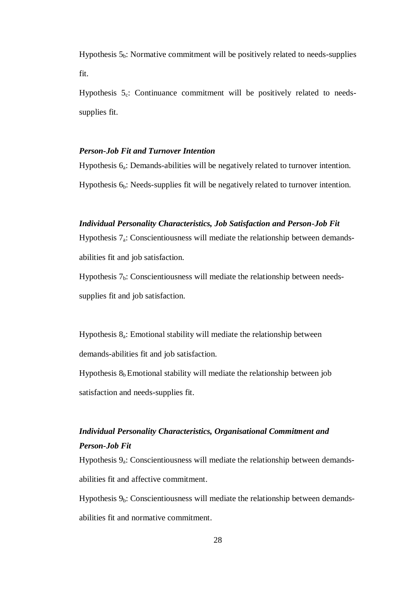Hypothesis  $5<sub>b</sub>$ : Normative commitment will be positively related to needs-supplies fit.

Hypothesis  $5<sub>c</sub>$ : Continuance commitment will be positively related to needssupplies fit.

#### *Person-Job Fit and Turnover Intention*

Hypothesis 6a: Demands-abilities will be negatively related to turnover intention. Hypothesis  $6<sub>b</sub>$ : Needs-supplies fit will be negatively related to turnover intention.

#### *Individual Personality Characteristics, Job Satisfaction and Person-Job Fit*

Hypothesis 7a: Conscientiousness will mediate the relationship between demandsabilities fit and job satisfaction.

Hypothesis  $7<sub>b</sub>$ : Conscientiousness will mediate the relationship between needssupplies fit and job satisfaction.

Hypothesis  $\delta_a$ : Emotional stability will mediate the relationship between demands-abilities fit and job satisfaction.

Hypothesis  $\delta_b$  Emotional stability will mediate the relationship between job satisfaction and needs-supplies fit.

### *Individual Personality Characteristics, Organisational Commitment and Person-Job Fit*

Hypothesis  $9<sub>a</sub>$ : Conscientiousness will mediate the relationship between demandsabilities fit and affective commitment.

Hypothesis  $9<sub>b</sub>$ : Conscientiousness will mediate the relationship between demandsabilities fit and normative commitment.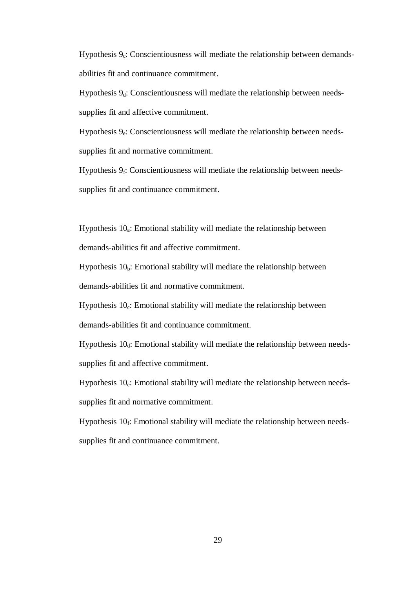Hypothesis  $9<sub>c</sub>$ : Conscientiousness will mediate the relationship between demandsabilities fit and continuance commitment.

Hypothesis  $9_d$ : Conscientiousness will mediate the relationship between needssupplies fit and affective commitment.

Hypothesis  $9e$ : Conscientiousness will mediate the relationship between needssupplies fit and normative commitment.

Hypothesis  $9<sub>f</sub>$ : Conscientiousness will mediate the relationship between needssupplies fit and continuance commitment.

Hypothesis  $10_a$ : Emotional stability will mediate the relationship between demands-abilities fit and affective commitment.

Hypothesis  $10<sub>b</sub>$ : Emotional stability will mediate the relationship between demands-abilities fit and normative commitment.

Hypothesis  $10<sub>c</sub>$ : Emotional stability will mediate the relationship between demands-abilities fit and continuance commitment.

Hypothesis  $10_d$ : Emotional stability will mediate the relationship between needssupplies fit and affective commitment.

Hypothesis  $10<sub>e</sub>$ : Emotional stability will mediate the relationship between needssupplies fit and normative commitment.

Hypothesis  $10<sub>f</sub>$ : Emotional stability will mediate the relationship between needssupplies fit and continuance commitment.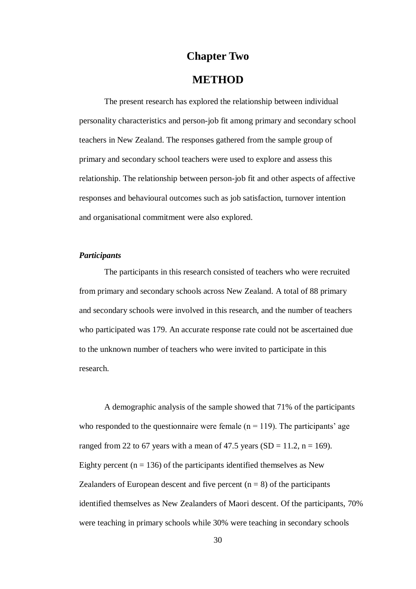### **Chapter Two**

### **METHOD**

The present research has explored the relationship between individual personality characteristics and person-job fit among primary and secondary school teachers in New Zealand. The responses gathered from the sample group of primary and secondary school teachers were used to explore and assess this relationship. The relationship between person-job fit and other aspects of affective responses and behavioural outcomes such as job satisfaction, turnover intention and organisational commitment were also explored.

#### *Participants*

The participants in this research consisted of teachers who were recruited from primary and secondary schools across New Zealand. A total of 88 primary and secondary schools were involved in this research, and the number of teachers who participated was 179. An accurate response rate could not be ascertained due to the unknown number of teachers who were invited to participate in this research.

A demographic analysis of the sample showed that 71% of the participants who responded to the questionnaire were female  $(n = 119)$ . The participants' age ranged from 22 to 67 years with a mean of 47.5 years (SD = 11.2, n = 169). Eighty percent ( $n = 136$ ) of the participants identified themselves as New Zealanders of European descent and five percent  $(n = 8)$  of the participants identified themselves as New Zealanders of Maori descent. Of the participants, 70% were teaching in primary schools while 30% were teaching in secondary schools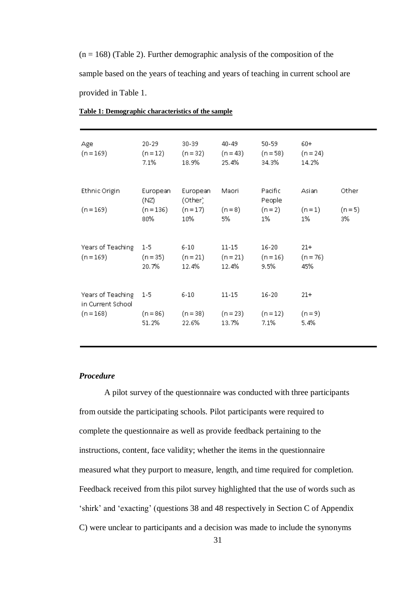$(n = 168)$  (Table 2). Further demographic analysis of the composition of the sample based on the years of teaching and years of teaching in current school are provided in Table 1.

| Age<br>$(n=169)$                                    | $20 - 29$<br>$(n=12)$<br>7.1%        | 30-39<br>$(n=32)$<br>18.9%             | 40-49<br>$(n = 43)$<br>25.4%   | 50-59<br>$(n=58)$<br>34.3%         | $60+$<br>$(n=24)$<br>14.2% |                        |
|-----------------------------------------------------|--------------------------------------|----------------------------------------|--------------------------------|------------------------------------|----------------------------|------------------------|
| Ethnic Origin<br>$(n=169)$                          | European<br>(NZ)<br>$(n=136)$<br>80% | European<br>(Other)<br>$(n=17)$<br>10% | Maori<br>$(n=8)$<br>5%         | Pacific<br>People<br>$(n=2)$<br>1% | Asian<br>$(n=1)$<br>1%     | Other<br>$(n=5)$<br>3% |
| Years of Teaching<br>$(n=169)$                      | $1 - 5$<br>$(n = 35)$<br>20.7%       | $6 - 10$<br>$(n=21)$<br>12.4%          | $11 - 15$<br>$(n=21)$<br>12.4% | $16 - 20$<br>$(n=16)$<br>9.5%      | $21+$<br>$(n = 76)$<br>45% |                        |
| Years of Teaching<br>in Current School<br>$(n=168)$ | $1 - 5$<br>$(n=86)$<br>51.2%         | $6 - 10$<br>$(n=38)$<br>22.6%          | $11 - 15$<br>$(n=23)$<br>13.7% | $16 - 20$<br>$(n=12)$<br>7.1%      | $21+$<br>$(n=9)$<br>5.4%   |                        |

**Table 1: Demographic characteristics of the sample**

#### *Procedure*

A pilot survey of the questionnaire was conducted with three participants from outside the participating schools. Pilot participants were required to complete the questionnaire as well as provide feedback pertaining to the instructions, content, face validity; whether the items in the questionnaire measured what they purport to measure, length, and time required for completion. Feedback received from this pilot survey highlighted that the use of words such as 'shirk' and 'exacting' (questions 38 and 48 respectively in Section C of Appendix C) were unclear to participants and a decision was made to include the synonyms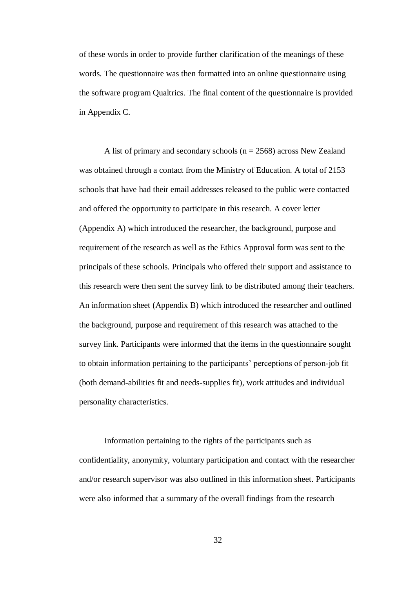of these words in order to provide further clarification of the meanings of these words. The questionnaire was then formatted into an online questionnaire using the software program Qualtrics. The final content of the questionnaire is provided in Appendix C.

A list of primary and secondary schools ( $n = 2568$ ) across New Zealand was obtained through a contact from the Ministry of Education. A total of 2153 schools that have had their email addresses released to the public were contacted and offered the opportunity to participate in this research. A cover letter (Appendix A) which introduced the researcher, the background, purpose and requirement of the research as well as the Ethics Approval form was sent to the principals of these schools. Principals who offered their support and assistance to this research were then sent the survey link to be distributed among their teachers. An information sheet (Appendix B) which introduced the researcher and outlined the background, purpose and requirement of this research was attached to the survey link. Participants were informed that the items in the questionnaire sought to obtain information pertaining to the participants" perceptions of person-job fit (both demand-abilities fit and needs-supplies fit), work attitudes and individual personality characteristics.

Information pertaining to the rights of the participants such as confidentiality, anonymity, voluntary participation and contact with the researcher and/or research supervisor was also outlined in this information sheet. Participants were also informed that a summary of the overall findings from the research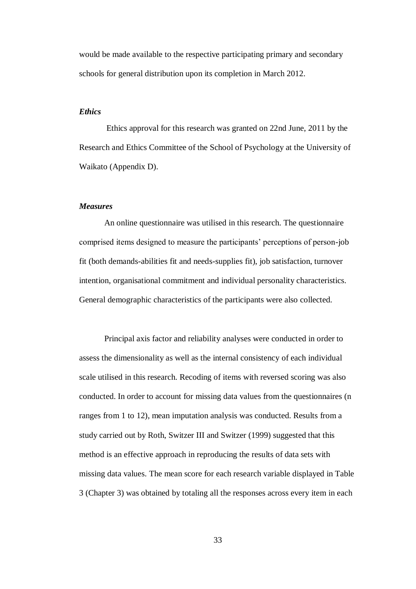would be made available to the respective participating primary and secondary schools for general distribution upon its completion in March 2012.

#### *Ethics*

Ethics approval for this research was granted on 22nd June, 2011 by the Research and Ethics Committee of the School of Psychology at the University of Waikato (Appendix D).

#### *Measures*

An online questionnaire was utilised in this research. The questionnaire comprised items designed to measure the participants" perceptions of person-job fit (both demands-abilities fit and needs-supplies fit), job satisfaction, turnover intention, organisational commitment and individual personality characteristics. General demographic characteristics of the participants were also collected.

Principal axis factor and reliability analyses were conducted in order to assess the dimensionality as well as the internal consistency of each individual scale utilised in this research. Recoding of items with reversed scoring was also conducted. In order to account for missing data values from the questionnaires (n ranges from 1 to 12), mean imputation analysis was conducted. Results from a study carried out by Roth, Switzer III and Switzer (1999) suggested that this method is an effective approach in reproducing the results of data sets with missing data values. The mean score for each research variable displayed in Table 3 (Chapter 3) was obtained by totaling all the responses across every item in each

33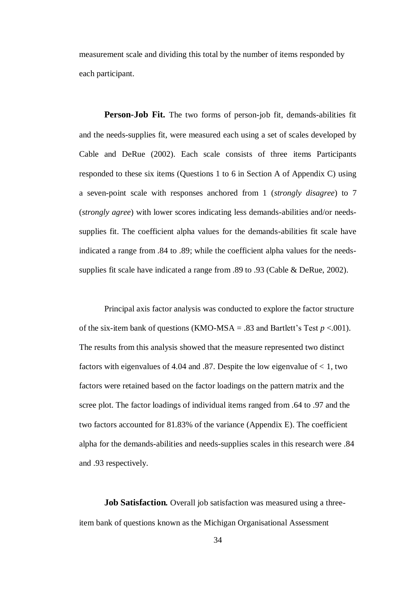measurement scale and dividing this total by the number of items responded by each participant.

**Person-Job Fit.** The two forms of person-job fit, demands-abilities fit and the needs-supplies fit, were measured each using a set of scales developed by Cable and DeRue (2002). Each scale consists of three items Participants responded to these six items (Questions 1 to 6 in Section A of Appendix C) using a seven-point scale with responses anchored from 1 (*strongly disagree*) to 7 (*strongly agree*) with lower scores indicating less demands-abilities and/or needssupplies fit. The coefficient alpha values for the demands-abilities fit scale have indicated a range from .84 to .89; while the coefficient alpha values for the needssupplies fit scale have indicated a range from .89 to .93 (Cable & DeRue, 2002).

Principal axis factor analysis was conducted to explore the factor structure of the six-item bank of questions (KMO-MSA = .83 and Bartlett's Test  $p < .001$ ). The results from this analysis showed that the measure represented two distinct factors with eigenvalues of 4.04 and .87. Despite the low eigenvalue of  $< 1$ , two factors were retained based on the factor loadings on the pattern matrix and the scree plot. The factor loadings of individual items ranged from .64 to .97 and the two factors accounted for 81.83% of the variance (Appendix E). The coefficient alpha for the demands-abilities and needs-supplies scales in this research were .84 and .93 respectively.

**Job Satisfaction***.* Overall job satisfaction was measured using a threeitem bank of questions known as the Michigan Organisational Assessment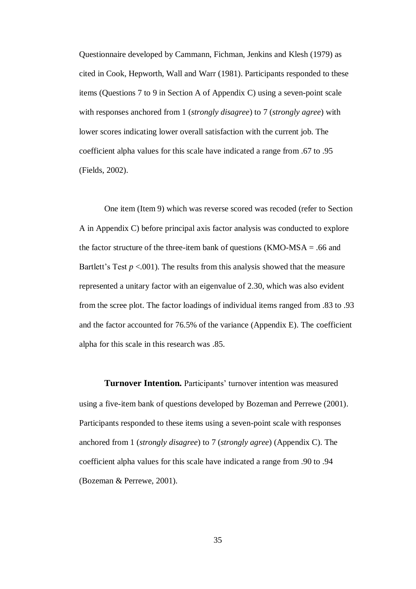Questionnaire developed by Cammann, Fichman, Jenkins and Klesh (1979) as cited in Cook, Hepworth, Wall and Warr (1981). Participants responded to these items (Questions 7 to 9 in Section A of Appendix C) using a seven-point scale with responses anchored from 1 (*strongly disagree*) to 7 (*strongly agree*) with lower scores indicating lower overall satisfaction with the current job. The coefficient alpha values for this scale have indicated a range from .67 to .95 (Fields, 2002).

One item (Item 9) which was reverse scored was recoded (refer to Section A in Appendix C) before principal axis factor analysis was conducted to explore the factor structure of the three-item bank of questions  $(KMO-MSA = .66$  and Bartlett's Test  $p < 0.001$ . The results from this analysis showed that the measure represented a unitary factor with an eigenvalue of 2.30, which was also evident from the scree plot. The factor loadings of individual items ranged from .83 to .93 and the factor accounted for 76.5% of the variance (Appendix E). The coefficient alpha for this scale in this research was .85.

**Turnover Intention.** Participants' turnover intention was measured using a five-item bank of questions developed by Bozeman and Perrewe (2001). Participants responded to these items using a seven-point scale with responses anchored from 1 (*strongly disagree*) to 7 (*strongly agree*) (Appendix C). The coefficient alpha values for this scale have indicated a range from .90 to .94 (Bozeman & Perrewe, 2001).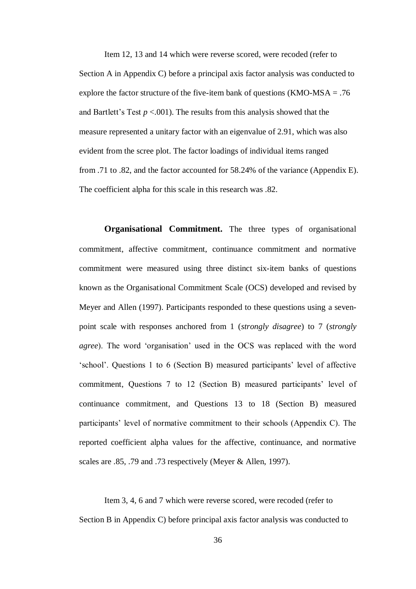Item 12, 13 and 14 which were reverse scored, were recoded (refer to Section A in Appendix C) before a principal axis factor analysis was conducted to explore the factor structure of the five-item bank of questions (KMO-MSA = .76 and Bartlett's Test  $p < .001$ ). The results from this analysis showed that the measure represented a unitary factor with an eigenvalue of 2.91, which was also evident from the scree plot. The factor loadings of individual items ranged from .71 to .82, and the factor accounted for 58.24% of the variance (Appendix E). The coefficient alpha for this scale in this research was .82.

**Organisational Commitment.** The three types of organisational commitment, affective commitment, continuance commitment and normative commitment were measured using three distinct six-item banks of questions known as the Organisational Commitment Scale (OCS) developed and revised by Meyer and Allen (1997). Participants responded to these questions using a sevenpoint scale with responses anchored from 1 (*strongly disagree*) to 7 (*strongly agree*). The word 'organisation' used in the OCS was replaced with the word "school". Questions 1 to 6 (Section B) measured participants" level of affective commitment, Questions 7 to 12 (Section B) measured participants' level of continuance commitment, and Questions 13 to 18 (Section B) measured participants' level of normative commitment to their schools (Appendix C). The reported coefficient alpha values for the affective, continuance, and normative scales are .85, .79 and .73 respectively (Meyer & Allen, 1997).

Item 3, 4, 6 and 7 which were reverse scored, were recoded (refer to Section B in Appendix C) before principal axis factor analysis was conducted to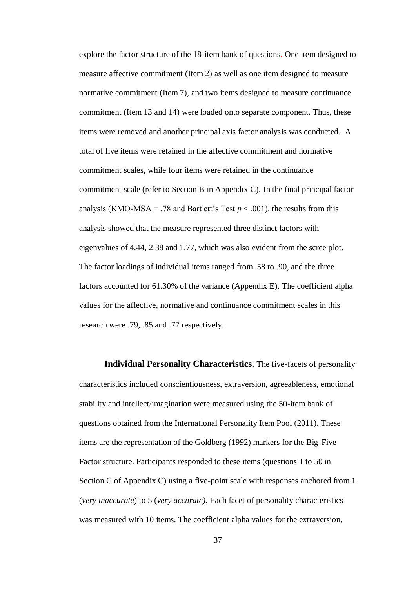explore the factor structure of the 18-item bank of questions. One item designed to measure affective commitment (Item 2) as well as one item designed to measure normative commitment (Item 7), and two items designed to measure continuance commitment (Item 13 and 14) were loaded onto separate component. Thus, these items were removed and another principal axis factor analysis was conducted. A total of five items were retained in the affective commitment and normative commitment scales, while four items were retained in the continuance commitment scale (refer to Section B in Appendix C). In the final principal factor analysis (KMO-MSA = .78 and Bartlett's Test  $p < .001$ ), the results from this analysis showed that the measure represented three distinct factors with eigenvalues of 4.44, 2.38 and 1.77, which was also evident from the scree plot. The factor loadings of individual items ranged from .58 to .90, and the three factors accounted for 61.30% of the variance (Appendix E). The coefficient alpha values for the affective, normative and continuance commitment scales in this research were .79, .85 and .77 respectively.

**Individual Personality Characteristics.** The five-facets of personality characteristics included conscientiousness, extraversion, agreeableness, emotional stability and intellect/imagination were measured using the 50-item bank of questions obtained from the International Personality Item Pool (2011). These items are the representation of the Goldberg (1992) markers for the Big-Five Factor structure. Participants responded to these items (questions 1 to 50 in Section C of Appendix C) using a five-point scale with responses anchored from 1 (*very inaccurate*) to 5 (*very accurate).* Each facet of personality characteristics was measured with 10 items. The coefficient alpha values for the extraversion,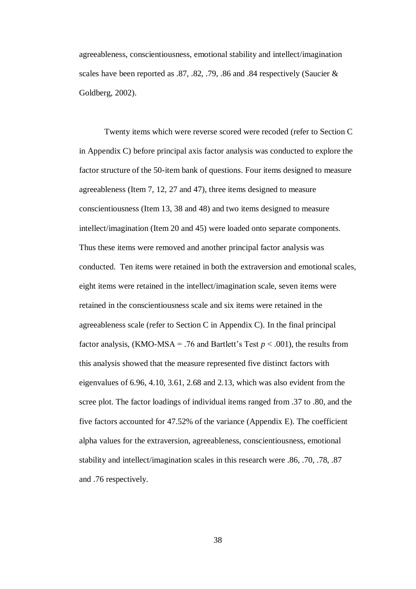agreeableness, conscientiousness, emotional stability and intellect/imagination scales have been reported as .87, .82, .79, .86 and .84 respectively (Saucier & Goldberg, 2002).

Twenty items which were reverse scored were recoded (refer to Section C in Appendix C) before principal axis factor analysis was conducted to explore the factor structure of the 50-item bank of questions. Four items designed to measure agreeableness (Item 7, 12, 27 and 47), three items designed to measure conscientiousness (Item 13, 38 and 48) and two items designed to measure intellect/imagination (Item 20 and 45) were loaded onto separate components. Thus these items were removed and another principal factor analysis was conducted. Ten items were retained in both the extraversion and emotional scales, eight items were retained in the intellect/imagination scale, seven items were retained in the conscientiousness scale and six items were retained in the agreeableness scale (refer to Section C in Appendix C). In the final principal factor analysis, (KMO-MSA = .76 and Bartlett's Test  $p < .001$ ), the results from this analysis showed that the measure represented five distinct factors with eigenvalues of 6.96, 4.10, 3.61, 2.68 and 2.13, which was also evident from the scree plot. The factor loadings of individual items ranged from .37 to .80, and the five factors accounted for 47.52% of the variance (Appendix E). The coefficient alpha values for the extraversion, agreeableness, conscientiousness, emotional stability and intellect/imagination scales in this research were .86, .70, .78, .87 and .76 respectively.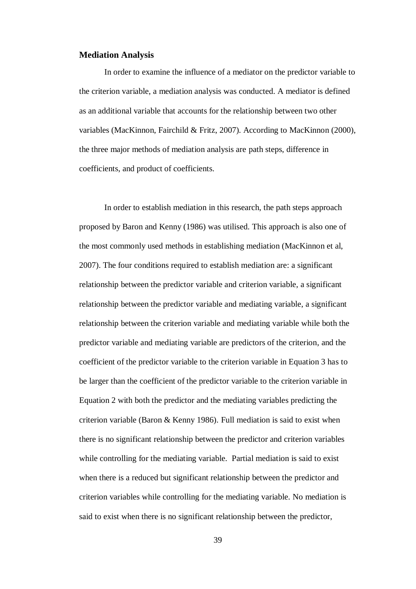#### **Mediation Analysis**

In order to examine the influence of a mediator on the predictor variable to the criterion variable, a mediation analysis was conducted. A mediator is defined as an additional variable that accounts for the relationship between two other variables (MacKinnon, Fairchild & Fritz, 2007). According to MacKinnon (2000), the three major methods of mediation analysis are path steps, difference in coefficients, and product of coefficients.

In order to establish mediation in this research, the path steps approach proposed by Baron and Kenny (1986) was utilised. This approach is also one of the most commonly used methods in establishing mediation (MacKinnon et al, 2007). The four conditions required to establish mediation are: a significant relationship between the predictor variable and criterion variable, a significant relationship between the predictor variable and mediating variable, a significant relationship between the criterion variable and mediating variable while both the predictor variable and mediating variable are predictors of the criterion, and the coefficient of the predictor variable to the criterion variable in Equation 3 has to be larger than the coefficient of the predictor variable to the criterion variable in Equation 2 with both the predictor and the mediating variables predicting the criterion variable (Baron & Kenny 1986). Full mediation is said to exist when there is no significant relationship between the predictor and criterion variables while controlling for the mediating variable. Partial mediation is said to exist when there is a reduced but significant relationship between the predictor and criterion variables while controlling for the mediating variable. No mediation is said to exist when there is no significant relationship between the predictor,

39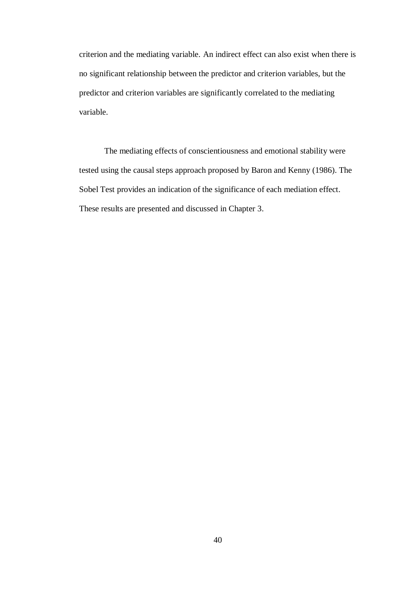criterion and the mediating variable. An indirect effect can also exist when there is no significant relationship between the predictor and criterion variables, but the predictor and criterion variables are significantly correlated to the mediating variable.

The mediating effects of conscientiousness and emotional stability were tested using the causal steps approach proposed by Baron and Kenny (1986). The Sobel Test provides an indication of the significance of each mediation effect. These results are presented and discussed in Chapter 3.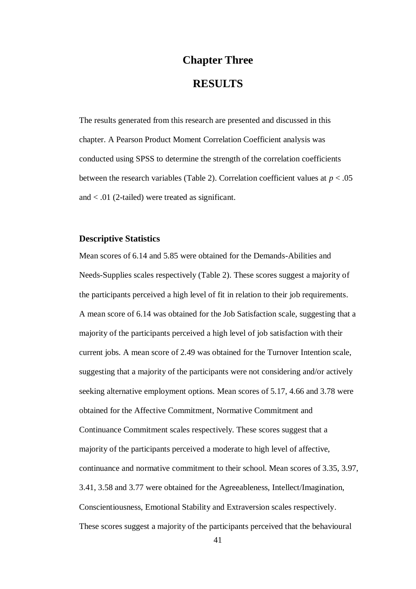## **Chapter Three**

### **RESULTS**

The results generated from this research are presented and discussed in this chapter. A Pearson Product Moment Correlation Coefficient analysis was conducted using SPSS to determine the strength of the correlation coefficients between the research variables (Table 2). Correlation coefficient values at  $p < .05$ and < .01 (2-tailed) were treated as significant.

#### **Descriptive Statistics**

Mean scores of 6.14 and 5.85 were obtained for the Demands-Abilities and Needs-Supplies scales respectively (Table 2). These scores suggest a majority of the participants perceived a high level of fit in relation to their job requirements. A mean score of 6.14 was obtained for the Job Satisfaction scale, suggesting that a majority of the participants perceived a high level of job satisfaction with their current jobs. A mean score of 2.49 was obtained for the Turnover Intention scale, suggesting that a majority of the participants were not considering and/or actively seeking alternative employment options. Mean scores of 5.17, 4.66 and 3.78 were obtained for the Affective Commitment, Normative Commitment and Continuance Commitment scales respectively. These scores suggest that a majority of the participants perceived a moderate to high level of affective, continuance and normative commitment to their school. Mean scores of 3.35, 3.97, 3.41, 3.58 and 3.77 were obtained for the Agreeableness, Intellect/Imagination, Conscientiousness, Emotional Stability and Extraversion scales respectively. These scores suggest a majority of the participants perceived that the behavioural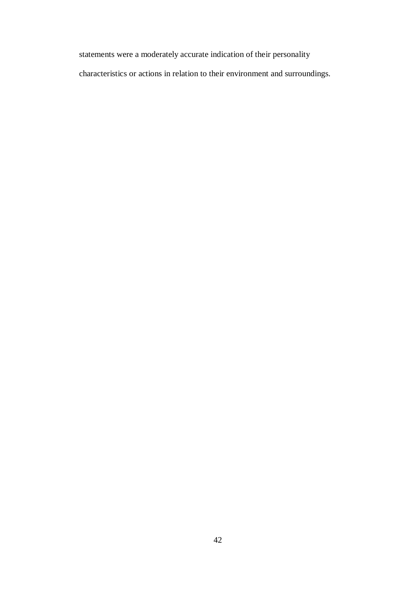statements were a moderately accurate indication of their personality

characteristics or actions in relation to their environment and surroundings.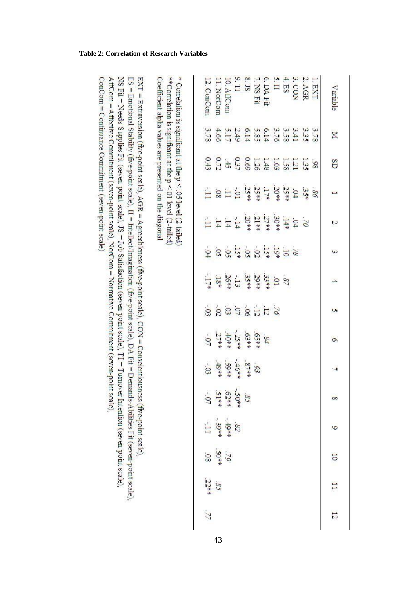| <b>Variable</b>                                                                                                                                                                                                                                                                                                                                                                                                                                   | N    | GS             | I               | $\tilde{2}$    | ω                          | 4              | Ú,                    | G       | $\rightarrow$ | $\infty$       | 6              | $\overline{0}$  |                           | 12 |
|---------------------------------------------------------------------------------------------------------------------------------------------------------------------------------------------------------------------------------------------------------------------------------------------------------------------------------------------------------------------------------------------------------------------------------------------------|------|----------------|-----------------|----------------|----------------------------|----------------|-----------------------|---------|---------------|----------------|----------------|-----------------|---------------------------|----|
| EXT                                                                                                                                                                                                                                                                                                                                                                                                                                               | 3.78 | $-98$          | $-86$           |                |                            |                |                       |         |               |                |                |                 |                           |    |
| 2. AGR                                                                                                                                                                                                                                                                                                                                                                                                                                            | 3.35 | 35             | $35*$           | $\sim$         |                            |                |                       |         |               |                |                |                 |                           |    |
| 3. CON                                                                                                                                                                                                                                                                                                                                                                                                                                            | 3.41 | $\overline{z}$ | 64              | 04             | $\overline{\mathcal{S}}$ . |                |                       |         |               |                |                |                 |                           |    |
| 4,<br>ES                                                                                                                                                                                                                                                                                                                                                                                                                                          | 3.58 | 1.58           | 25**            | $14*$          | $\overline{10}$            | 37             |                       |         |               |                |                |                 |                           |    |
| Ξ                                                                                                                                                                                                                                                                                                                                                                                                                                                 | 3.76 | 1.03           | 20**            | $30**$         | $19*$                      | $\overline{0}$ | $\tilde{\mathcal{S}}$ |         |               |                |                |                 |                           |    |
| $\sigma$<br><b>DA Fit</b>                                                                                                                                                                                                                                                                                                                                                                                                                         | 6.14 | 1.48           | $17*$           | $27**$         | $15*$                      | 33**           | 12                    | s4      |               |                |                |                 |                           |    |
| 7. NS Fit                                                                                                                                                                                                                                                                                                                                                                                                                                         | 5.85 | 1.26           | 25**            | $21**$         | $-02$                      | 29**           | $\frac{17}{12}$       | $-65**$ | .93           |                |                |                 |                           |    |
| S. JS                                                                                                                                                                                                                                                                                                                                                                                                                                             | 6.14 | 69.0           | 25***           | $20**$         | SO <sup>2</sup>            | $35***$        | $-06$                 | $-63**$ | $-8^{***}$    | s <sub>2</sub> |                |                 |                           |    |
| 11.6                                                                                                                                                                                                                                                                                                                                                                                                                                              | 2.49 | 0.37           | $10 -$          | $\frac{14}{1}$ | $15*$                      | $-13$          | $07$                  | $-25**$ | $-46**$       | $-50**$        | $\mathcal{S}2$ |                 |                           |    |
| 10. A ffC om                                                                                                                                                                                                                                                                                                                                                                                                                                      | 5.17 | $.45$          | Ë               | 14             | $-0.5$                     | 26**           | .03                   | $+40+$  | $+465$        | $.62**$        | $-49**$        | $\sqrt{2}$      |                           |    |
| 11. NorCom                                                                                                                                                                                                                                                                                                                                                                                                                                        | 4.66 | 0.72           | $\overline{08}$ | 14             | Š                          | $-18*$         | $-02$                 | $27*$   | 49**          | $51***$        | $-39**$        | $-50**$         | $\widetilde{\mathcal{S}}$ |    |
| 12. ConCom                                                                                                                                                                                                                                                                                                                                                                                                                                        | 3.78 | 0.43           |                 |                | $-04$                      | $-L_{*}$       | -.03                  | $-07$   | $-93$         | $-07$          |                | $\overline{80}$ | $32**$                    |    |
| Coefficient alpha values are presented on the diagonal<br>** Correlation is significant at the $p < 01$ level (2-tailed)<br>* Correlation is significant at the $p < .05$ level (2-tailed)                                                                                                                                                                                                                                                        |      |                |                 |                |                            |                |                       |         |               |                |                |                 |                           |    |
| $NS$ Fit = Needs-Supplies Fit (seven-point scale), $JS = Job$ Satisfaction (seven-point scale), $TI = Tunnov$ er Intention (seven-point scale),<br>$ES = E$ motional Stability (five-point scale), $\Pi =$ Intellect I magination (five-point scale), $DA$ Fit = Demands-Abilities Fit (seven-point scale),<br>$EXT = EXtraversion$ (five-point scale), $AGR = Agreedbleness (five-point scale)$ , $CON = Comscientionsness (five-point scale)$ , |      |                |                 |                |                            |                |                       |         |               |                |                |                 |                           |    |

ConCom = Continuance Commitment (seven-point scale)

 $A f f C om = A f i e c tiv e Commitiment (seven-point scale), N or Com = Normative Commitment (seven-point scale),$ 

43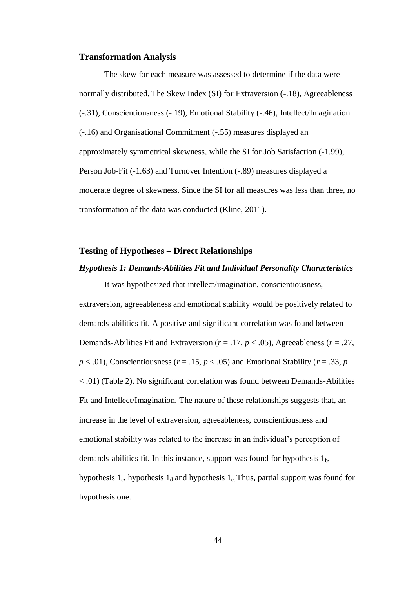#### **Transformation Analysis**

The skew for each measure was assessed to determine if the data were normally distributed. The Skew Index (SI) for Extraversion (-.18), Agreeableness (-.31), Conscientiousness (-.19), Emotional Stability (-.46), Intellect/Imagination (-.16) and Organisational Commitment (-.55) measures displayed an approximately symmetrical skewness, while the SI for Job Satisfaction (-1.99), Person Job-Fit (-1.63) and Turnover Intention (-.89) measures displayed a moderate degree of skewness. Since the SI for all measures was less than three, no transformation of the data was conducted (Kline, 2011).

#### **Testing of Hypotheses – Direct Relationships**

#### *Hypothesis 1: Demands-Abilities Fit and Individual Personality Characteristics*

It was hypothesized that intellect/imagination, conscientiousness, extraversion, agreeableness and emotional stability would be positively related to demands-abilities fit. A positive and significant correlation was found between Demands-Abilities Fit and Extraversion ( $r = .17$ ,  $p < .05$ ), Agreeableness ( $r = .27$ ,  $p < .01$ ), Conscientiousness ( $r = .15$ ,  $p < .05$ ) and Emotional Stability ( $r = .33$ ,  $p$ < .01) (Table 2). No significant correlation was found between Demands-Abilities Fit and Intellect/Imagination. The nature of these relationships suggests that, an increase in the level of extraversion, agreeableness, conscientiousness and emotional stability was related to the increase in an individual"s perception of demands-abilities fit. In this instance, support was found for hypothesis  $1<sub>b</sub>$ , hypothesis  $1_c$ , hypothesis  $1_d$  and hypothesis  $1_e$ . Thus, partial support was found for hypothesis one.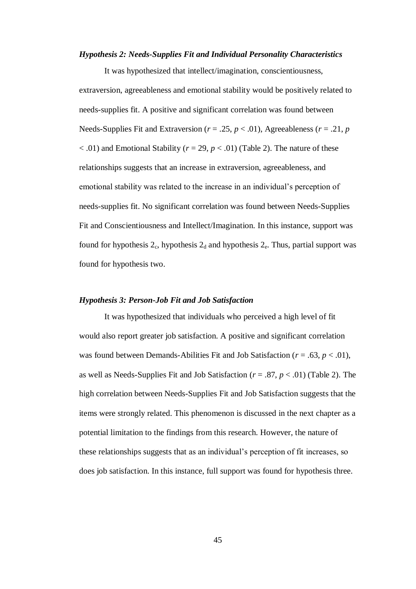#### *Hypothesis 2: Needs-Supplies Fit and Individual Personality Characteristics*

It was hypothesized that intellect/imagination, conscientiousness, extraversion, agreeableness and emotional stability would be positively related to needs-supplies fit. A positive and significant correlation was found between Needs-Supplies Fit and Extraversion ( $r = .25$ ,  $p < .01$ ), Agreeableness ( $r = .21$ ,  $p$ )  $<$ .01) and Emotional Stability ( $r = 29$ ,  $p < .01$ ) (Table 2). The nature of these relationships suggests that an increase in extraversion, agreeableness, and emotional stability was related to the increase in an individual"s perception of needs-supplies fit. No significant correlation was found between Needs-Supplies Fit and Conscientiousness and Intellect/Imagination. In this instance, support was found for hypothesis  $2_c$ , hypothesis  $2_d$  and hypothesis  $2_e$ . Thus, partial support was found for hypothesis two.

#### *Hypothesis 3: Person-Job Fit and Job Satisfaction*

It was hypothesized that individuals who perceived a high level of fit would also report greater job satisfaction. A positive and significant correlation was found between Demands-Abilities Fit and Job Satisfaction (*r* = .63, *p* < .01), as well as Needs-Supplies Fit and Job Satisfaction (*r* = .87, *p* < .01) (Table 2). The high correlation between Needs-Supplies Fit and Job Satisfaction suggests that the items were strongly related. This phenomenon is discussed in the next chapter as a potential limitation to the findings from this research. However, the nature of these relationships suggests that as an individual"s perception of fit increases, so does job satisfaction. In this instance, full support was found for hypothesis three.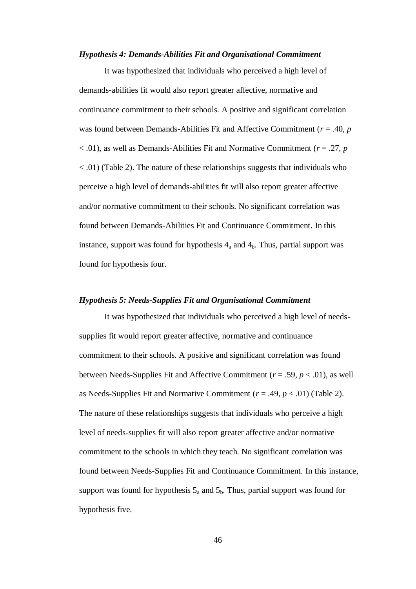#### *Hypothesis 4: Demands-Abilities Fit and Organisational Commitment*

It was hypothesized that individuals who perceived a high level of demands-abilities fit would also report greater affective, normative and continuance commitment to their schools. A positive and significant correlation was found between Demands-Abilities Fit and Affective Commitment (*r* = .40, *p* < .01), as well as Demands-Abilities Fit and Normative Commitment (*r* = .27, *p*  < .01) (Table 2). The nature of these relationships suggests that individuals who perceive a high level of demands-abilities fit will also report greater affective and/or normative commitment to their schools. No significant correlation was found between Demands-Abilities Fit and Continuance Commitment. In this instance, support was found for hypothesis  $4<sub>a</sub>$  and  $4<sub>b</sub>$ . Thus, partial support was found for hypothesis four.

#### *Hypothesis 5: Needs-Supplies Fit and Organisational Commitment*

It was hypothesized that individuals who perceived a high level of needssupplies fit would report greater affective, normative and continuance commitment to their schools. A positive and significant correlation was found between Needs-Supplies Fit and Affective Commitment (*r* = .59, *p* < .01), as well as Needs-Supplies Fit and Normative Commitment  $(r = .49, p < .01)$  (Table 2). The nature of these relationships suggests that individuals who perceive a high level of needs-supplies fit will also report greater affective and/or normative commitment to the schools in which they teach. No significant correlation was found between Needs-Supplies Fit and Continuance Commitment. In this instance, support was found for hypothesis  $5_a$  and  $5_b$ . Thus, partial support was found for hypothesis five.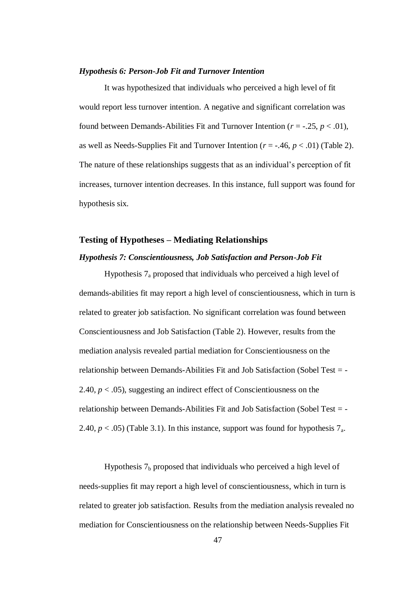#### *Hypothesis 6: Person-Job Fit and Turnover Intention*

It was hypothesized that individuals who perceived a high level of fit would report less turnover intention. A negative and significant correlation was found between Demands-Abilities Fit and Turnover Intention ( $r = -0.25$ ,  $p < 0.01$ ), as well as Needs-Supplies Fit and Turnover Intention  $(r = -0.46, p < 0.01)$  (Table 2). The nature of these relationships suggests that as an individual"s perception of fit increases, turnover intention decreases. In this instance, full support was found for hypothesis six.

#### **Testing of Hypotheses – Mediating Relationships**

#### *Hypothesis 7: Conscientiousness, Job Satisfaction and Person-Job Fit*

Hypothesis  $7_a$  proposed that individuals who perceived a high level of demands-abilities fit may report a high level of conscientiousness, which in turn is related to greater job satisfaction. No significant correlation was found between Conscientiousness and Job Satisfaction (Table 2). However, results from the mediation analysis revealed partial mediation for Conscientiousness on the relationship between Demands-Abilities Fit and Job Satisfaction (Sobel Test = - 2.40,  $p < .05$ ), suggesting an indirect effect of Conscientiousness on the relationship between Demands-Abilities Fit and Job Satisfaction (Sobel Test = - 2.40,  $p < .05$ ) (Table 3.1). In this instance, support was found for hypothesis  $7_a$ .

Hypothesis  $7<sub>b</sub>$  proposed that individuals who perceived a high level of needs-supplies fit may report a high level of conscientiousness, which in turn is related to greater job satisfaction. Results from the mediation analysis revealed no mediation for Conscientiousness on the relationship between Needs-Supplies Fit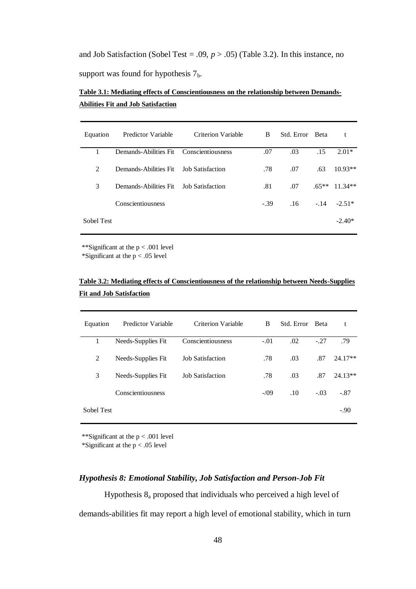and Job Satisfaction (Sobel Test = .09,  $p > .05$ ) (Table 3.2). In this instance, no support was found for hypothesis  $7<sub>b</sub>$ .

**Table 3.1: Mediating effects of Conscientiousness on the relationship between Demands-Abilities Fit and Job Satisfaction**

| Equation   | <b>Predictor Variable</b> | Criterion Variable | B     | Std. Error Beta |          | t         |
|------------|---------------------------|--------------------|-------|-----------------|----------|-----------|
|            | Demands-Abilities Fit     | Conscientiousness  | .07   | .03             | .15      | $2.01*$   |
| 2          | Demands-Abilities Fit     | Job Satisfaction   | .78   | .07             | .63      | $10.93**$ |
| 3          | Demands-Abilities Fit     | Job Satisfaction   | .81   | .07             | $.65***$ | $11.34**$ |
|            | Conscientiousness         |                    | $-39$ | .16             | $-14$    | $-2.51*$  |
| Sobel Test |                           |                    |       |                 |          | $-2.40*$  |
|            |                           |                    |       |                 |          |           |

\*\*Significant at the p < .001 level \*Significant at the p < .05 level

### **Table 3.2: Mediating effects of Conscientiousness of the relationship between Needs-Supplies Fit and Job Satisfaction**

| Equation   | <b>Predictor Variable</b> | Criterion Variable      | B      | Std. Error | <b>Beta</b> | t         |
|------------|---------------------------|-------------------------|--------|------------|-------------|-----------|
|            | Needs-Supplies Fit        | Conscientiousness       | $-.01$ | .02        | $-.27$      | .79       |
| 2          | Needs-Supplies Fit        | <b>Job Satisfaction</b> | .78    | .03        | .87         | $24.17**$ |
| 3          | Needs-Supplies Fit        | <b>Job Satisfaction</b> | .78    | .03        | .87         | $24.13**$ |
|            | Conscientiousness         |                         | $-109$ | .10        | $-.03$      | $-.87$    |
| Sobel Test |                           |                         |        |            |             | $-.90$    |

\*\*Significant at the p < .001 level

\*Significant at the  $p < .05$  level

#### *Hypothesis 8: Emotional Stability, Job Satisfaction and Person-Job Fit*

Hypothesis  $\mathcal{S}_a$  proposed that individuals who perceived a high level of demands-abilities fit may report a high level of emotional stability, which in turn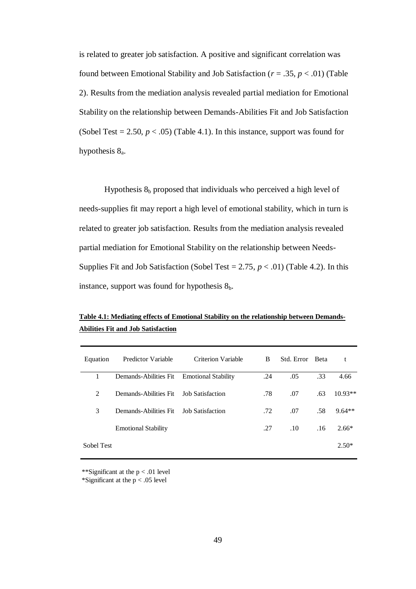is related to greater job satisfaction. A positive and significant correlation was found between Emotional Stability and Job Satisfaction (*r* = .35, *p* < .01) (Table 2). Results from the mediation analysis revealed partial mediation for Emotional Stability on the relationship between Demands-Abilities Fit and Job Satisfaction (Sobel Test  $= 2.50, p < .05$ ) (Table 4.1). In this instance, support was found for hypothesis 8a.

Hypothesis  $8<sub>b</sub>$  proposed that individuals who perceived a high level of needs-supplies fit may report a high level of emotional stability, which in turn is related to greater job satisfaction. Results from the mediation analysis revealed partial mediation for Emotional Stability on the relationship between Needs-Supplies Fit and Job Satisfaction (Sobel Test =  $2.75$ ,  $p < .01$ ) (Table 4.2). In this instance, support was found for hypothesis  $8<sub>b</sub>$ .

**Table 4.1: Mediating effects of Emotional Stability on the relationship between Demands-Abilities Fit and Job Satisfaction**

| Equation   | <b>Predictor Variable</b>  | Criterion Variable         | B   | Std. Error Beta |     | t         |
|------------|----------------------------|----------------------------|-----|-----------------|-----|-----------|
| 1          | Demands-Abilities Fit      | <b>Emotional Stability</b> | .24 | .05             | .33 | 4.66      |
| 2          | Demands-Abilities Fit      | <b>Job Satisfaction</b>    | .78 | .07             | .63 | $10.93**$ |
| 3          | Demands-Abilities Fit      | <b>Job Satisfaction</b>    | .72 | .07             | .58 | $9.64**$  |
|            | <b>Emotional Stability</b> |                            | .27 | .10             | .16 | $2.66*$   |
| Sobel Test |                            |                            |     |                 |     | $2.50*$   |

\*\*Significant at the  $p < .01$  level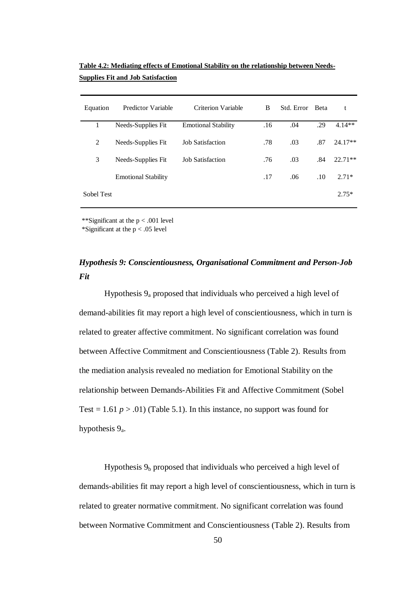| Equation   | Predictor Variable         | Criterion Variable         | B   | Std. Error | Beta | t         |
|------------|----------------------------|----------------------------|-----|------------|------|-----------|
|            | Needs-Supplies Fit         | <b>Emotional Stability</b> | .16 | .04        | .29  | $4.14**$  |
| 2          | Needs-Supplies Fit         | <b>Job Satisfaction</b>    | .78 | .03        | .87  | $24.17**$ |
| 3          | Needs-Supplies Fit         | <b>Job Satisfaction</b>    | .76 | .03        | .84  | $22.71**$ |
|            | <b>Emotional Stability</b> |                            | .17 | .06        | .10  | $2.71*$   |
| Sobel Test |                            |                            |     |            |      | $2.75*$   |

**Table 4.2: Mediating effects of Emotional Stability on the relationship between Needs-Supplies Fit and Job Satisfaction**

\*Significant at the  $p < .05$  level

### *Hypothesis 9: Conscientiousness, Organisational Commitment and Person-Job Fit*

Hypothesis  $9_a$  proposed that individuals who perceived a high level of demand-abilities fit may report a high level of conscientiousness, which in turn is related to greater affective commitment. No significant correlation was found between Affective Commitment and Conscientiousness (Table 2). Results from the mediation analysis revealed no mediation for Emotional Stability on the relationship between Demands-Abilities Fit and Affective Commitment (Sobel Test = 1.61  $p > .01$ ) (Table 5.1). In this instance, no support was found for hypothesis 9a.

Hypothesis  $9<sub>b</sub>$  proposed that individuals who perceived a high level of demands-abilities fit may report a high level of conscientiousness, which in turn is related to greater normative commitment. No significant correlation was found between Normative Commitment and Conscientiousness (Table 2). Results from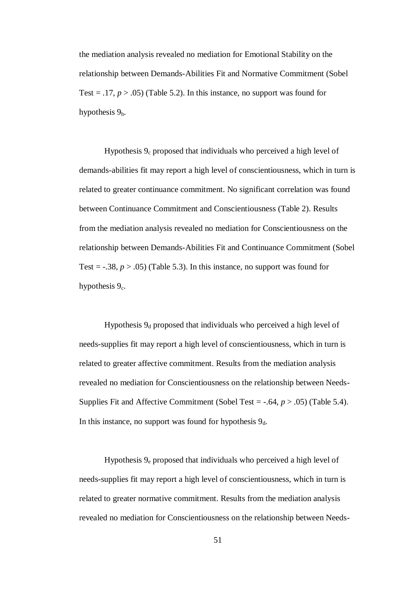the mediation analysis revealed no mediation for Emotional Stability on the relationship between Demands-Abilities Fit and Normative Commitment (Sobel Test =  $.17, p > .05$ ) (Table 5.2). In this instance, no support was found for hypothesis  $9<sub>b</sub>$ .

Hypothesis  $9<sub>c</sub>$  proposed that individuals who perceived a high level of demands-abilities fit may report a high level of conscientiousness, which in turn is related to greater continuance commitment. No significant correlation was found between Continuance Commitment and Conscientiousness (Table 2). Results from the mediation analysis revealed no mediation for Conscientiousness on the relationship between Demands-Abilities Fit and Continuance Commitment (Sobel Test =  $-0.38$ ,  $p > 0.05$ ) (Table 5.3). In this instance, no support was found for hypothesis 9<sub>c</sub>.

Hypothesis  $9_d$  proposed that individuals who perceived a high level of needs-supplies fit may report a high level of conscientiousness, which in turn is related to greater affective commitment. Results from the mediation analysis revealed no mediation for Conscientiousness on the relationship between Needs-Supplies Fit and Affective Commitment (Sobel Test  $= -.64$ ,  $p > .05$ ) (Table 5.4). In this instance, no support was found for hypothesis  $9<sub>d</sub>$ .

Hypothesis  $9_e$  proposed that individuals who perceived a high level of needs-supplies fit may report a high level of conscientiousness, which in turn is related to greater normative commitment. Results from the mediation analysis revealed no mediation for Conscientiousness on the relationship between Needs-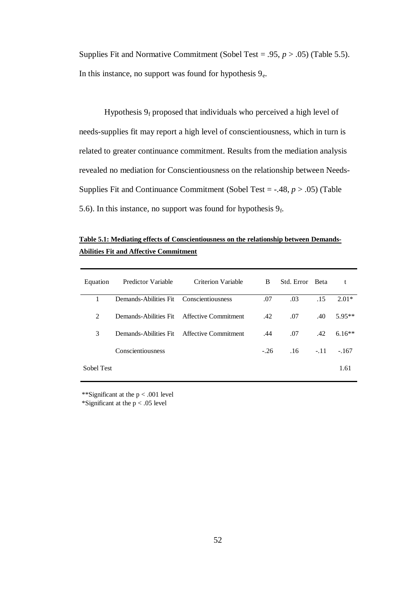Supplies Fit and Normative Commitment (Sobel Test = .95,  $p > .05$ ) (Table 5.5). In this instance, no support was found for hypothesis  $9_e$ .

Hypothesis  $9<sub>f</sub>$  proposed that individuals who perceived a high level of needs-supplies fit may report a high level of conscientiousness, which in turn is related to greater continuance commitment. Results from the mediation analysis revealed no mediation for Conscientiousness on the relationship between Needs-Supplies Fit and Continuance Commitment (Sobel Test = -.48, *p* > .05) (Table 5.6). In this instance, no support was found for hypothesis  $9<sub>f</sub>$ .

**Table 5.1: Mediating effects of Conscientiousness on the relationship between Demands-Abilities Fit and Affective Commitment**

| Equation   | <b>Predictor Variable</b> | Criterion Variable   | B     | Std. Error Beta |        | t        |
|------------|---------------------------|----------------------|-------|-----------------|--------|----------|
|            | Demands-Abilities Fit     | Conscientiousness    | .07   | .03             | .15    | $2.01*$  |
| 2          | Demands-Abilities Fit     | Affective Commitment | .42   | .07             | .40    | $5.95**$ |
| 3          | Demands-Abilities Fit     | Affective Commitment | .44   | .07             | .42    | $6.16**$ |
|            | Conscientiousness         |                      | $-26$ | .16             | $-.11$ | $-.167$  |
| Sobel Test |                           |                      |       |                 |        | 1.61     |

\*\*Significant at the p < .001 level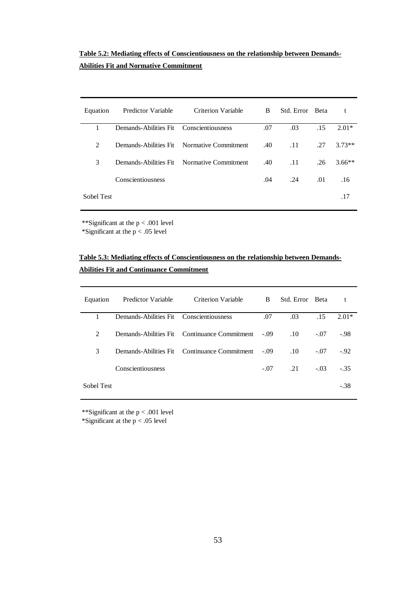**Table 5.2: Mediating effects of Conscientiousness on the relationship between Demands-Abilities Fit and Normative Commitment**

| Equation   | <b>Predictor Variable</b>               | <b>Criterion Variable</b> | B   | Std. Error Beta |     |          |
|------------|-----------------------------------------|---------------------------|-----|-----------------|-----|----------|
|            | Demands-Abilities Fit Conscientiousness |                           | .07 | .03             | .15 | $2.01*$  |
| 2          | Demands-Abilities Fit                   | Normative Commitment      | .40 | .11             | .27 | $3.73**$ |
| 3          | Demands-Abilities Fit                   | Normative Commitment      | .40 | .11             | .26 | $3.66**$ |
|            | Conscientiousness                       |                           | .04 | .24             | .01 | .16      |
| Sobel Test |                                         |                           |     |                 |     | .17      |

\*Significant at the p < .05 level

### **Table 5.3: Mediating effects of Conscientiousness on the relationship between Demands-Abilities Fit and Continuance Commitment**

| Equation   | <b>Predictor Variable</b>               | Criterion Variable                                | B.     | Std. Error Beta |        |         |
|------------|-----------------------------------------|---------------------------------------------------|--------|-----------------|--------|---------|
|            | Demands-Abilities Fit Conscientiousness |                                                   | .07    | .03             | .15    | $2.01*$ |
| 2          |                                         | Demands-Abilities Fit Continuance Commitment -.09 |        | .10             | $-.07$ | $-98$   |
| 3          |                                         | Demands-Abilities Fit Continuance Commitment -.09 |        | .10             | $-.07$ | $-92$   |
|            | Conscientiousness                       |                                                   | $-.07$ | .21             | $-.03$ | $-.35$  |
| Sobel Test |                                         |                                                   |        |                 |        | $-.38$  |

\*\*Significant at the p < .001 level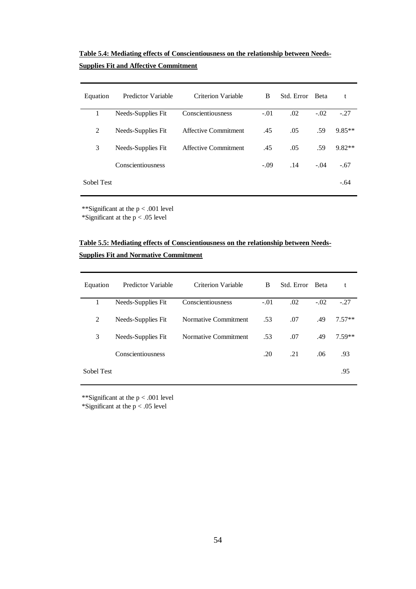**Table 5.4: Mediating effects of Conscientiousness on the relationship between Needs-Supplies Fit and Affective Commitment**

| Equation   | <b>Predictor Variable</b> | Criterion Variable   | B      | Std. Error Beta |        | t        |
|------------|---------------------------|----------------------|--------|-----------------|--------|----------|
|            | Needs-Supplies Fit        | Conscientiousness    | $-.01$ | .02             | $-.02$ | $-.27$   |
| 2          | Needs-Supplies Fit        | Affective Commitment | .45    | .05             | .59    | $9.85**$ |
| 3          | Needs-Supplies Fit        | Affective Commitment | .45    | .05             | .59    | $9.82**$ |
|            | Conscientiousness         |                      | $-.09$ | .14             | $-.04$ | $-.67$   |
| Sobel Test |                           |                      |        |                 |        | $-.64$   |

\*Significant at the p < .05 level

### **Table 5.5: Mediating effects of Conscientiousness on the relationship between Needs-Supplies Fit and Normative Commitment**

| Equation       | Predictor Variable  | Criterion Variable   | В      | Std. Error | Beta   | t        |
|----------------|---------------------|----------------------|--------|------------|--------|----------|
|                | Needs-Supplies Fit  | Conscientiousness    | $-.01$ | .02        | $-.02$ | $-.27$   |
| $\overline{2}$ | Needs-Supplies Fit. | Normative Commitment | .53    | .07        | .49    | $7.57**$ |
| 3              | Needs-Supplies Fit. | Normative Commitment | .53    | .07        | .49    | $7.59**$ |
|                | Conscientiousness   |                      | .20    | .21        | .06    | .93      |
| Sobel Test     |                     |                      |        |            |        | .95      |

\*\*Significant at the p < .001 level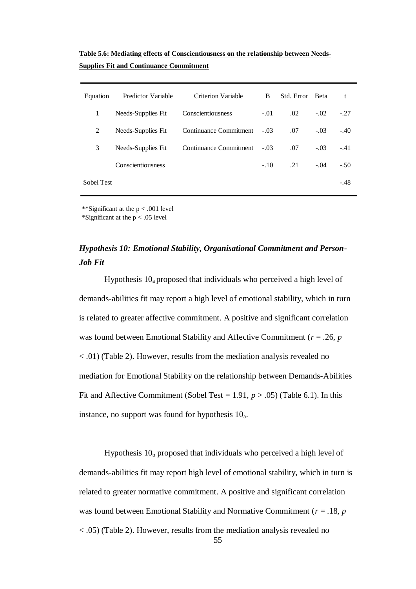**Table 5.6: Mediating effects of Conscientiousness on the relationship between Needs-Supplies Fit and Continuance Commitment**

| Equation       | Predictor Variable  | Criterion Variable     | B      | Std. Error Beta |        | t      |
|----------------|---------------------|------------------------|--------|-----------------|--------|--------|
| 1              | Needs-Supplies Fit  | Conscientiousness      | $-.01$ | .02             | $-.02$ | $-.27$ |
| $\overline{c}$ | Needs-Supplies Fit. | Continuance Commitment | $-.03$ | .07             | $-.03$ | $-.40$ |
| 3              | Needs-Supplies Fit  | Continuance Commitment | $-.03$ | .07             | $-.03$ | $-.41$ |
|                | Conscientiousness   |                        | $-.10$ | .21             | $-.04$ | $-.50$ |
| Sobel Test     |                     |                        |        |                 |        | -.48   |

\*Significant at the  $p < .05$  level

### *Hypothesis 10: Emotional Stability, Organisational Commitment and Person-Job Fit*

Hypothesis  $10_a$  proposed that individuals who perceived a high level of demands-abilities fit may report a high level of emotional stability, which in turn is related to greater affective commitment. A positive and significant correlation was found between Emotional Stability and Affective Commitment ( $r = .26$ ,  $p$ ) < .01) (Table 2). However, results from the mediation analysis revealed no mediation for Emotional Stability on the relationship between Demands-Abilities Fit and Affective Commitment (Sobel Test = 1.91,  $p > .05$ ) (Table 6.1). In this instance, no support was found for hypothesis  $10<sub>a</sub>$ .

Hypothesis  $10<sub>b</sub>$  proposed that individuals who perceived a high level of demands-abilities fit may report high level of emotional stability, which in turn is related to greater normative commitment. A positive and significant correlation was found between Emotional Stability and Normative Commitment ( $r = .18$ ,  $p$ ) < .05) (Table 2). However, results from the mediation analysis revealed no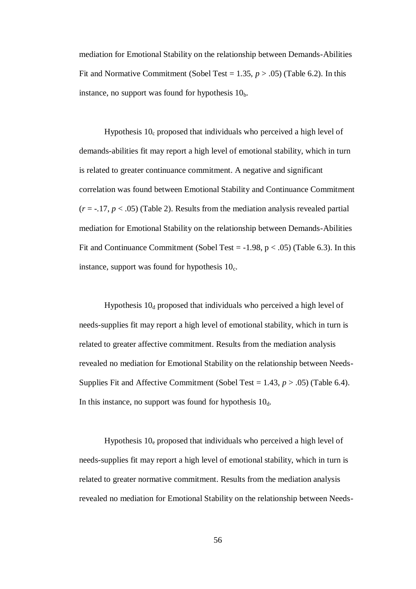mediation for Emotional Stability on the relationship between Demands-Abilities Fit and Normative Commitment (Sobel Test  $= 1.35, p > .05$ ) (Table 6.2). In this instance, no support was found for hypothesis  $10<sub>b</sub>$ .

Hypothesis  $10<sub>c</sub>$  proposed that individuals who perceived a high level of demands-abilities fit may report a high level of emotional stability, which in turn is related to greater continuance commitment. A negative and significant correlation was found between Emotional Stability and Continuance Commitment  $(r = -17, p < .05)$  (Table 2). Results from the mediation analysis revealed partial mediation for Emotional Stability on the relationship between Demands-Abilities Fit and Continuance Commitment (Sobel Test  $= -1.98$ ,  $p < .05$ ) (Table 6.3). In this instance, support was found for hypothesis  $10<sub>c</sub>$ .

Hypothesis  $10_d$  proposed that individuals who perceived a high level of needs-supplies fit may report a high level of emotional stability, which in turn is related to greater affective commitment. Results from the mediation analysis revealed no mediation for Emotional Stability on the relationship between Needs-Supplies Fit and Affective Commitment (Sobel Test =  $1.43$ ,  $p > .05$ ) (Table 6.4). In this instance, no support was found for hypothesis  $10_d$ .

Hypothesis  $10<sub>e</sub>$  proposed that individuals who perceived a high level of needs-supplies fit may report a high level of emotional stability, which in turn is related to greater normative commitment. Results from the mediation analysis revealed no mediation for Emotional Stability on the relationship between Needs-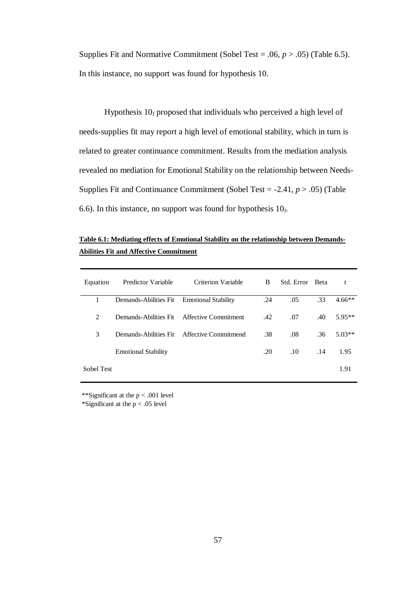Supplies Fit and Normative Commitment (Sobel Test =  $.06, p > .05$ ) (Table 6.5). In this instance, no support was found for hypothesis 10.

Hypothesis  $10<sub>f</sub>$  proposed that individuals who perceived a high level of needs-supplies fit may report a high level of emotional stability, which in turn is related to greater continuance commitment. Results from the mediation analysis revealed no mediation for Emotional Stability on the relationship between Needs-Supplies Fit and Continuance Commitment (Sobel Test = -2.41, *p* > .05) (Table 6.6). In this instance, no support was found for hypothesis  $10<sub>f</sub>$ .

**Table 6.1: Mediating effects of Emotional Stability on the relationship between Demands-Abilities Fit and Affective Commitment**

| Equation   | <b>Predictor Variable</b>  | Criterion Variable         | B   | Std. Error Beta |     | t        |
|------------|----------------------------|----------------------------|-----|-----------------|-----|----------|
|            | Demands-Abilities Fit      | <b>Emotional Stability</b> | .24 | .05             | .33 | $4.66**$ |
| 2          | Demands-Abilities Fit      | Affective Commitment       | .42 | .07             | .40 | $5.95**$ |
| 3          | Demands-Abilities Fit      | Affective Commitmend       | .38 | .08             | .36 | $5.03**$ |
|            | <b>Emotional Stability</b> |                            | .20 | .10             | .14 | 1.95     |
| Sobel Test |                            |                            |     |                 |     | 1.91     |

\*\*Significant at the p < .001 level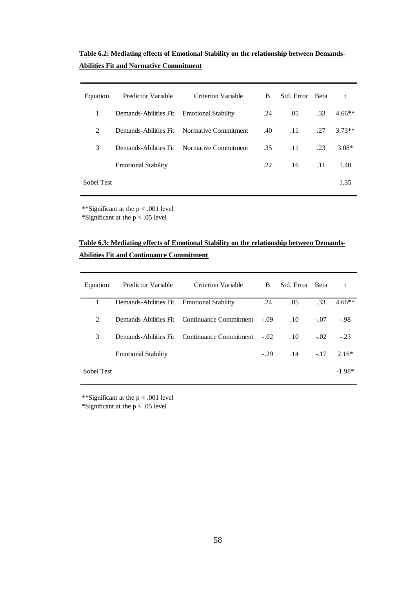**Table 6.2: Mediating effects of Emotional Stability on the relationship between Demands-Abilities Fit and Normative Commitment**

| Equation   | <b>Predictor Variable</b>  | Criterion Variable         | B   | Std. Error Beta |     |          |
|------------|----------------------------|----------------------------|-----|-----------------|-----|----------|
| 1          | Demands-Abilities Fit      | <b>Emotional Stability</b> | .24 | .05             | .33 | $4.66**$ |
| 2          | Demands-Abilities Fit      | Normative Commitment       | .40 | .11             | .27 | $3.73**$ |
| 3          | Demands-Abilities Fit      | Normative Commitment       | .35 | .11             | .23 | $3.08*$  |
|            | <b>Emotional Stability</b> |                            | .22 | .16             | .11 | 1.40     |
| Sobel Test |                            |                            |     |                 |     | 1.35     |

\*Significant at the p < .05 level

### **Table 6.3: Mediating effects of Emotional Stability on the relationship between Demands-Abilities Fit and Continuance Commitment**

| Equation   | <b>Predictor Variable</b>                 | Criterion Variable     | B      | Std. Error Beta |        | t        |
|------------|-------------------------------------------|------------------------|--------|-----------------|--------|----------|
|            | Demands-Abilities Fit Emotional Stability |                        | .24    | .05             | .33    | $4.66**$ |
| 2          | Demands-Abilities Fit                     | Continuance Commitment | $-.09$ | .10             | $-.07$ | $-98$    |
| 3          | Demands-Abilities Fit                     | Continuance Commitment | $-.02$ | .10             | $-.02$ | $-.23$   |
|            | <b>Emotional Stability</b>                |                        | $-29$  | .14             | $-.17$ | $2.16*$  |
| Sobel Test |                                           |                        |        |                 |        | $-1.98*$ |

\*\*Significant at the p < .001 level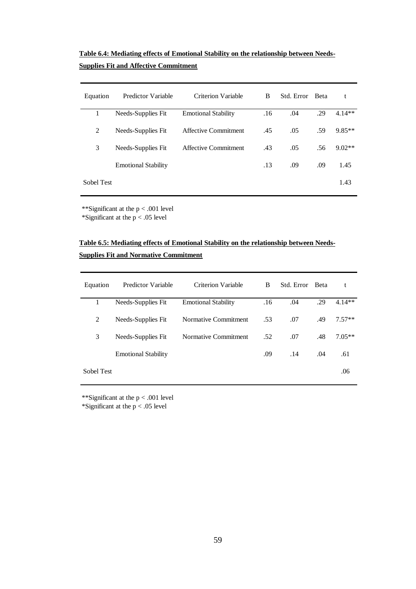**Table 6.4: Mediating effects of Emotional Stability on the relationship between Needs-Supplies Fit and Affective Commitment**

| Equation   | Predictor Variable         | Criterion Variable         | B   | Std. Error Beta |     | t        |
|------------|----------------------------|----------------------------|-----|-----------------|-----|----------|
|            | Needs-Supplies Fit         | <b>Emotional Stability</b> | .16 | .04             | .29 | $4.14**$ |
| 2          | Needs-Supplies Fit         | Affective Commitment       | .45 | .05             | .59 | $9.85**$ |
| 3          | Needs-Supplies Fit         | Affective Commitment       | .43 | .05             | .56 | $9.02**$ |
|            | <b>Emotional Stability</b> |                            | .13 | .09             | .09 | 1.45     |
| Sobel Test |                            |                            |     |                 |     | 1.43     |

\*Significant at the p < .05 level

### **Table 6.5: Mediating effects of Emotional Stability on the relationship between Needs-Supplies Fit and Normative Commitment**

| Equation   | Predictor Variable         | Criterion Variable         | B   | Std. Error Beta |     | t        |
|------------|----------------------------|----------------------------|-----|-----------------|-----|----------|
|            | Needs-Supplies Fit         | <b>Emotional Stability</b> | .16 | .04             | .29 | $4.14**$ |
| 2          | Needs-Supplies Fit.        | Normative Commitment       | .53 | .07             | .49 | $7.57**$ |
| 3          | Needs-Supplies Fit         | Normative Commitment       | .52 | .07             | .48 | $7.05**$ |
|            | <b>Emotional Stability</b> |                            | .09 | .14             | .04 | .61      |
| Sobel Test |                            |                            |     |                 |     | .06      |

\*\*Significant at the p < .001 level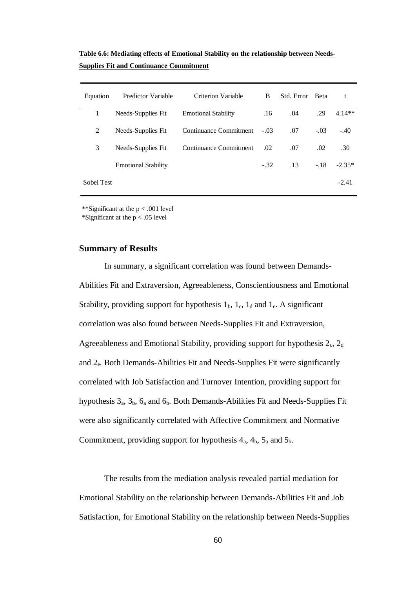**Table 6.6: Mediating effects of Emotional Stability on the relationship between Needs-Supplies Fit and Continuance Commitment**

| Equation   | <b>Predictor Variable</b>  | Criterion Variable         | B      | Std. Error Beta |                  | t        |
|------------|----------------------------|----------------------------|--------|-----------------|------------------|----------|
|            | Needs-Supplies Fit         | <b>Emotional Stability</b> | .16    | .04             | .29              | $4.14**$ |
| 2          | Needs-Supplies Fit         | Continuance Commitment     | $-.03$ | .07             | $-.03$           | $-.40$   |
| 3          | Needs-Supplies Fit         | Continuance Commitment     | .02    | .07             | $.02\phantom{0}$ | .30      |
|            | <b>Emotional Stability</b> |                            | $-.32$ | .13             | $-.18$           | $-2.35*$ |
| Sobel Test |                            |                            |        |                 |                  | $-2.41$  |

\*Significant at the  $p < .05$  level

#### **Summary of Results**

In summary, a significant correlation was found between Demands-Abilities Fit and Extraversion, Agreeableness, Conscientiousness and Emotional Stability, providing support for hypothesis  $1<sub>b</sub>$ ,  $1<sub>c</sub>$ ,  $1<sub>d</sub>$  and  $1<sub>e</sub>$ . A significant correlation was also found between Needs-Supplies Fit and Extraversion, Agreeableness and Emotional Stability, providing support for hypothesis  $2<sub>c</sub>$ ,  $2<sub>d</sub>$ and 2e. Both Demands-Abilities Fit and Needs-Supplies Fit were significantly correlated with Job Satisfaction and Turnover Intention, providing support for hypothesis  $3_a$ ,  $3_b$ ,  $6_a$  and  $6_b$ . Both Demands-Abilities Fit and Needs-Supplies Fit were also significantly correlated with Affective Commitment and Normative Commitment, providing support for hypothesis  $4_a$ ,  $4_b$ ,  $5_a$  and  $5_b$ .

The results from the mediation analysis revealed partial mediation for Emotional Stability on the relationship between Demands-Abilities Fit and Job Satisfaction, for Emotional Stability on the relationship between Needs-Supplies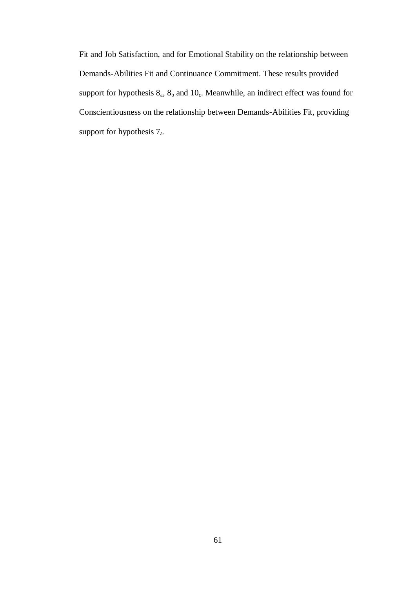Fit and Job Satisfaction, and for Emotional Stability on the relationship between Demands-Abilities Fit and Continuance Commitment. These results provided support for hypothesis  $8_a$ ,  $8_b$  and  $10_c$ . Meanwhile, an indirect effect was found for Conscientiousness on the relationship between Demands-Abilities Fit, providing support for hypothesis  $7_a$ .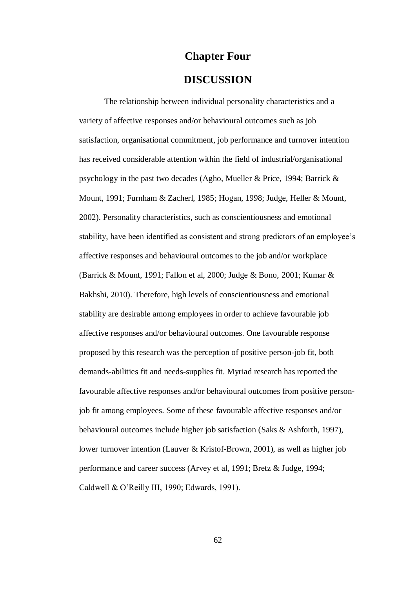# **Chapter Four**

### **DISCUSSION**

The relationship between individual personality characteristics and a variety of affective responses and/or behavioural outcomes such as job satisfaction, organisational commitment, job performance and turnover intention has received considerable attention within the field of industrial/organisational psychology in the past two decades (Agho, Mueller & Price, 1994; Barrick & Mount, 1991; Furnham & Zacherl, 1985; Hogan, 1998; Judge, Heller & Mount, 2002). Personality characteristics, such as conscientiousness and emotional stability, have been identified as consistent and strong predictors of an employee"s affective responses and behavioural outcomes to the job and/or workplace (Barrick & Mount, 1991; Fallon et al, 2000; Judge & Bono, 2001; Kumar & Bakhshi, 2010). Therefore, high levels of conscientiousness and emotional stability are desirable among employees in order to achieve favourable job affective responses and/or behavioural outcomes. One favourable response proposed by this research was the perception of positive person-job fit, both demands-abilities fit and needs-supplies fit. Myriad research has reported the favourable affective responses and/or behavioural outcomes from positive personjob fit among employees. Some of these favourable affective responses and/or behavioural outcomes include higher job satisfaction (Saks & Ashforth, 1997), lower turnover intention (Lauver & Kristof-Brown, 2001), as well as higher job performance and career success (Arvey et al, 1991; Bretz & Judge, 1994; Caldwell & O"Reilly III, 1990; Edwards, 1991).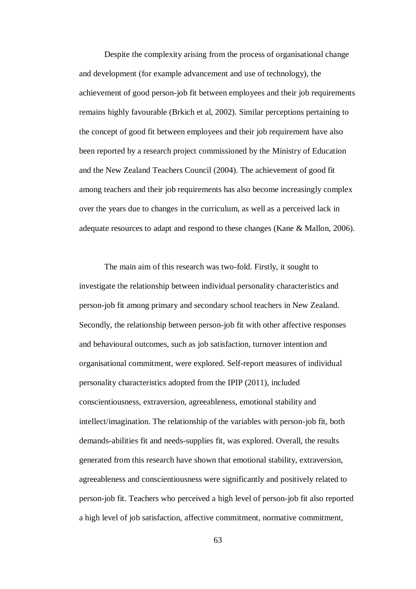Despite the complexity arising from the process of organisational change and development (for example advancement and use of technology), the achievement of good person-job fit between employees and their job requirements remains highly favourable (Brkich et al, 2002). Similar perceptions pertaining to the concept of good fit between employees and their job requirement have also been reported by a research project commissioned by the Ministry of Education and the New Zealand Teachers Council (2004). The achievement of good fit among teachers and their job requirements has also become increasingly complex over the years due to changes in the curriculum, as well as a perceived lack in adequate resources to adapt and respond to these changes (Kane & Mallon, 2006).

The main aim of this research was two-fold. Firstly, it sought to investigate the relationship between individual personality characteristics and person-job fit among primary and secondary school teachers in New Zealand. Secondly, the relationship between person-job fit with other affective responses and behavioural outcomes, such as job satisfaction, turnover intention and organisational commitment, were explored. Self-report measures of individual personality characteristics adopted from the IPIP (2011), included conscientiousness, extraversion, agreeableness, emotional stability and intellect/imagination. The relationship of the variables with person-job fit, both demands-abilities fit and needs-supplies fit, was explored. Overall, the results generated from this research have shown that emotional stability, extraversion, agreeableness and conscientiousness were significantly and positively related to person-job fit. Teachers who perceived a high level of person-job fit also reported a high level of job satisfaction, affective commitment, normative commitment,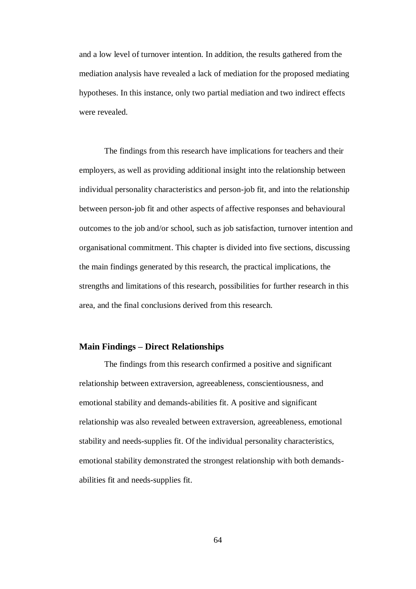and a low level of turnover intention. In addition, the results gathered from the mediation analysis have revealed a lack of mediation for the proposed mediating hypotheses. In this instance, only two partial mediation and two indirect effects were revealed.

The findings from this research have implications for teachers and their employers, as well as providing additional insight into the relationship between individual personality characteristics and person-job fit, and into the relationship between person-job fit and other aspects of affective responses and behavioural outcomes to the job and/or school, such as job satisfaction, turnover intention and organisational commitment. This chapter is divided into five sections, discussing the main findings generated by this research, the practical implications, the strengths and limitations of this research, possibilities for further research in this area, and the final conclusions derived from this research.

## **Main Findings – Direct Relationships**

The findings from this research confirmed a positive and significant relationship between extraversion, agreeableness, conscientiousness, and emotional stability and demands-abilities fit. A positive and significant relationship was also revealed between extraversion, agreeableness, emotional stability and needs-supplies fit. Of the individual personality characteristics, emotional stability demonstrated the strongest relationship with both demandsabilities fit and needs-supplies fit.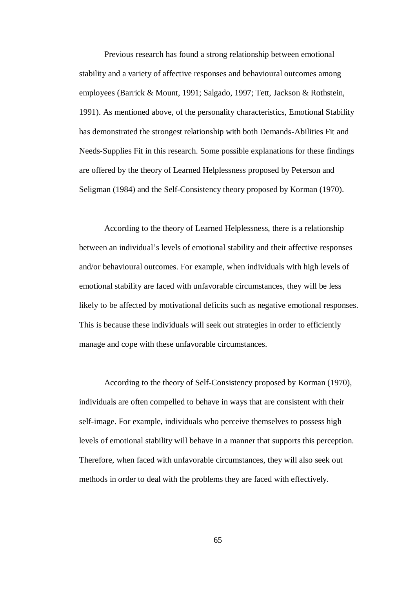Previous research has found a strong relationship between emotional stability and a variety of affective responses and behavioural outcomes among employees (Barrick & Mount, 1991; Salgado, 1997; Tett, Jackson & Rothstein, 1991). As mentioned above, of the personality characteristics, Emotional Stability has demonstrated the strongest relationship with both Demands-Abilities Fit and Needs-Supplies Fit in this research. Some possible explanations for these findings are offered by the theory of Learned Helplessness proposed by Peterson and Seligman (1984) and the Self-Consistency theory proposed by Korman (1970).

According to the theory of Learned Helplessness, there is a relationship between an individual"s levels of emotional stability and their affective responses and/or behavioural outcomes. For example, when individuals with high levels of emotional stability are faced with unfavorable circumstances, they will be less likely to be affected by motivational deficits such as negative emotional responses. This is because these individuals will seek out strategies in order to efficiently manage and cope with these unfavorable circumstances.

According to the theory of Self-Consistency proposed by Korman (1970), individuals are often compelled to behave in ways that are consistent with their self-image. For example, individuals who perceive themselves to possess high levels of emotional stability will behave in a manner that supports this perception. Therefore, when faced with unfavorable circumstances, they will also seek out methods in order to deal with the problems they are faced with effectively.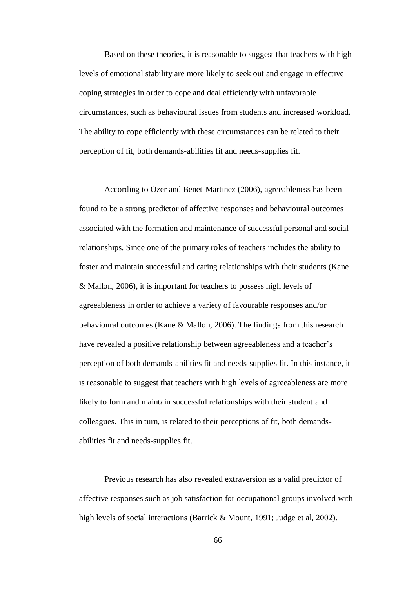Based on these theories, it is reasonable to suggest that teachers with high levels of emotional stability are more likely to seek out and engage in effective coping strategies in order to cope and deal efficiently with unfavorable circumstances, such as behavioural issues from students and increased workload. The ability to cope efficiently with these circumstances can be related to their perception of fit, both demands-abilities fit and needs-supplies fit.

According to Ozer and Benet-Martinez (2006), agreeableness has been found to be a strong predictor of affective responses and behavioural outcomes associated with the formation and maintenance of successful personal and social relationships. Since one of the primary roles of teachers includes the ability to foster and maintain successful and caring relationships with their students (Kane & Mallon, 2006), it is important for teachers to possess high levels of agreeableness in order to achieve a variety of favourable responses and/or behavioural outcomes (Kane & Mallon, 2006). The findings from this research have revealed a positive relationship between agreeableness and a teacher's perception of both demands-abilities fit and needs-supplies fit. In this instance, it is reasonable to suggest that teachers with high levels of agreeableness are more likely to form and maintain successful relationships with their student and colleagues. This in turn, is related to their perceptions of fit, both demandsabilities fit and needs-supplies fit.

Previous research has also revealed extraversion as a valid predictor of affective responses such as job satisfaction for occupational groups involved with high levels of social interactions (Barrick & Mount, 1991; Judge et al, 2002).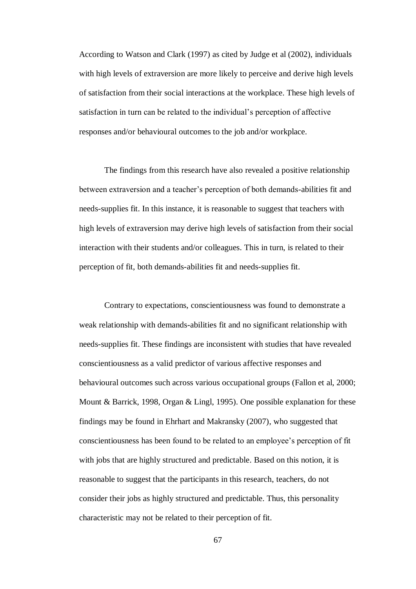According to Watson and Clark (1997) as cited by Judge et al (2002), individuals with high levels of extraversion are more likely to perceive and derive high levels of satisfaction from their social interactions at the workplace. These high levels of satisfaction in turn can be related to the individual"s perception of affective responses and/or behavioural outcomes to the job and/or workplace.

The findings from this research have also revealed a positive relationship between extraversion and a teacher"s perception of both demands-abilities fit and needs-supplies fit. In this instance, it is reasonable to suggest that teachers with high levels of extraversion may derive high levels of satisfaction from their social interaction with their students and/or colleagues. This in turn, is related to their perception of fit, both demands-abilities fit and needs-supplies fit.

Contrary to expectations, conscientiousness was found to demonstrate a weak relationship with demands-abilities fit and no significant relationship with needs-supplies fit. These findings are inconsistent with studies that have revealed conscientiousness as a valid predictor of various affective responses and behavioural outcomes such across various occupational groups (Fallon et al, 2000; Mount & Barrick, 1998, Organ & Lingl, 1995). One possible explanation for these findings may be found in Ehrhart and Makransky (2007), who suggested that conscientiousness has been found to be related to an employee"s perception of fit with jobs that are highly structured and predictable. Based on this notion, it is reasonable to suggest that the participants in this research, teachers, do not consider their jobs as highly structured and predictable. Thus, this personality characteristic may not be related to their perception of fit.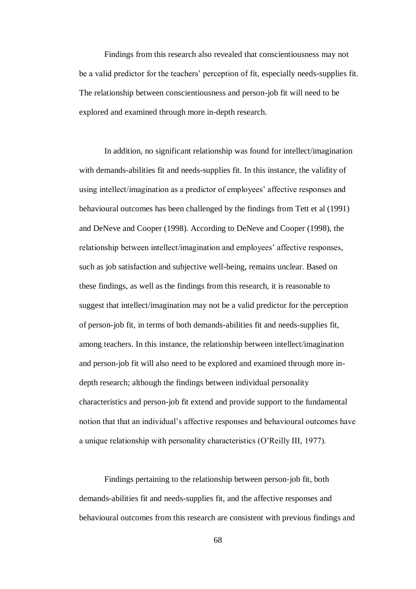Findings from this research also revealed that conscientiousness may not be a valid predictor for the teachers' perception of fit, especially needs-supplies fit. The relationship between conscientiousness and person-job fit will need to be explored and examined through more in-depth research.

In addition, no significant relationship was found for intellect/imagination with demands-abilities fit and needs-supplies fit. In this instance, the validity of using intellect/imagination as a predictor of employees' affective responses and behavioural outcomes has been challenged by the findings from Tett et al (1991) and DeNeve and Cooper (1998). According to DeNeve and Cooper (1998), the relationship between intellect/imagination and employees" affective responses, such as job satisfaction and subjective well-being, remains unclear. Based on these findings, as well as the findings from this research, it is reasonable to suggest that intellect/imagination may not be a valid predictor for the perception of person-job fit, in terms of both demands-abilities fit and needs-supplies fit, among teachers. In this instance, the relationship between intellect/imagination and person-job fit will also need to be explored and examined through more indepth research; although the findings between individual personality characteristics and person-job fit extend and provide support to the fundamental notion that that an individual"s affective responses and behavioural outcomes have a unique relationship with personality characteristics (O"Reilly III, 1977).

Findings pertaining to the relationship between person-job fit, both demands-abilities fit and needs-supplies fit, and the affective responses and behavioural outcomes from this research are consistent with previous findings and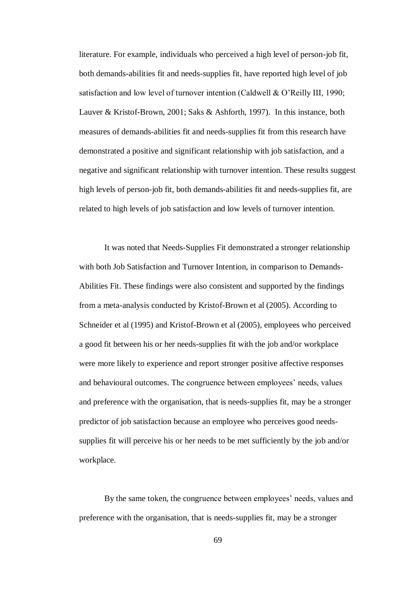literature. For example, individuals who perceived a high level of person-job fit, both demands-abilities fit and needs-supplies fit, have reported high level of job satisfaction and low level of turnover intention (Caldwell & O"Reilly III, 1990; Lauver & Kristof-Brown, 2001; Saks & Ashforth, 1997). In this instance, both measures of demands-abilities fit and needs-supplies fit from this research have demonstrated a positive and significant relationship with job satisfaction, and a negative and significant relationship with turnover intention. These results suggest high levels of person-job fit, both demands-abilities fit and needs-supplies fit, are related to high levels of job satisfaction and low levels of turnover intention.

It was noted that Needs-Supplies Fit demonstrated a stronger relationship with both Job Satisfaction and Turnover Intention, in comparison to Demands-Abilities Fit. These findings were also consistent and supported by the findings from a meta-analysis conducted by Kristof-Brown et al (2005). According to Schneider et al (1995) and Kristof-Brown et al (2005), employees who perceived a good fit between his or her needs-supplies fit with the job and/or workplace were more likely to experience and report stronger positive affective responses and behavioural outcomes. The congruence between employees" needs, values and preference with the organisation, that is needs-supplies fit, may be a stronger predictor of job satisfaction because an employee who perceives good needssupplies fit will perceive his or her needs to be met sufficiently by the job and/or workplace.

By the same token, the congruence between employees' needs, values and preference with the organisation, that is needs-supplies fit, may be a stronger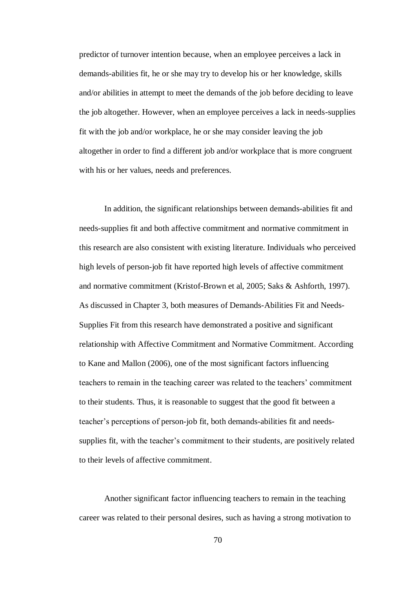predictor of turnover intention because, when an employee perceives a lack in demands-abilities fit, he or she may try to develop his or her knowledge, skills and/or abilities in attempt to meet the demands of the job before deciding to leave the job altogether. However, when an employee perceives a lack in needs-supplies fit with the job and/or workplace, he or she may consider leaving the job altogether in order to find a different job and/or workplace that is more congruent with his or her values, needs and preferences.

In addition, the significant relationships between demands-abilities fit and needs-supplies fit and both affective commitment and normative commitment in this research are also consistent with existing literature. Individuals who perceived high levels of person-job fit have reported high levels of affective commitment and normative commitment (Kristof-Brown et al, 2005; Saks & Ashforth, 1997). As discussed in Chapter 3, both measures of Demands-Abilities Fit and Needs-Supplies Fit from this research have demonstrated a positive and significant relationship with Affective Commitment and Normative Commitment. According to Kane and Mallon (2006), one of the most significant factors influencing teachers to remain in the teaching career was related to the teachers" commitment to their students. Thus, it is reasonable to suggest that the good fit between a teacher"s perceptions of person-job fit, both demands-abilities fit and needssupplies fit, with the teacher's commitment to their students, are positively related to their levels of affective commitment.

Another significant factor influencing teachers to remain in the teaching career was related to their personal desires, such as having a strong motivation to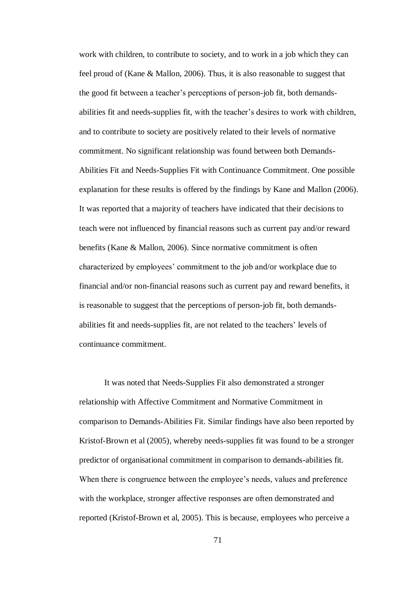work with children, to contribute to society, and to work in a job which they can feel proud of (Kane & Mallon, 2006). Thus, it is also reasonable to suggest that the good fit between a teacher"s perceptions of person-job fit, both demandsabilities fit and needs-supplies fit, with the teacher"s desires to work with children, and to contribute to society are positively related to their levels of normative commitment. No significant relationship was found between both Demands-Abilities Fit and Needs-Supplies Fit with Continuance Commitment. One possible explanation for these results is offered by the findings by Kane and Mallon (2006). It was reported that a majority of teachers have indicated that their decisions to teach were not influenced by financial reasons such as current pay and/or reward benefits (Kane & Mallon, 2006). Since normative commitment is often characterized by employees" commitment to the job and/or workplace due to financial and/or non-financial reasons such as current pay and reward benefits, it is reasonable to suggest that the perceptions of person-job fit, both demandsabilities fit and needs-supplies fit, are not related to the teachers' levels of continuance commitment.

It was noted that Needs-Supplies Fit also demonstrated a stronger relationship with Affective Commitment and Normative Commitment in comparison to Demands-Abilities Fit. Similar findings have also been reported by Kristof-Brown et al (2005), whereby needs-supplies fit was found to be a stronger predictor of organisational commitment in comparison to demands-abilities fit. When there is congruence between the employee's needs, values and preference with the workplace, stronger affective responses are often demonstrated and reported (Kristof-Brown et al, 2005). This is because, employees who perceive a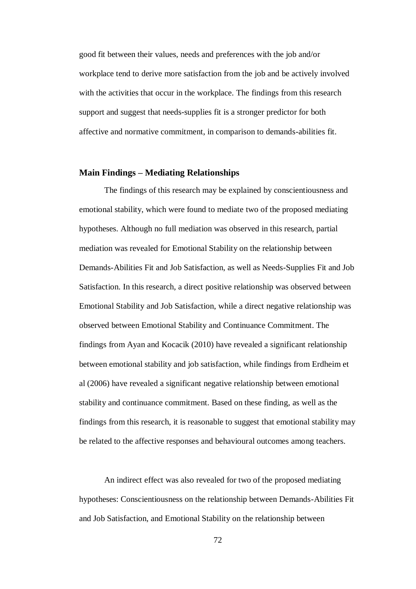good fit between their values, needs and preferences with the job and/or workplace tend to derive more satisfaction from the job and be actively involved with the activities that occur in the workplace. The findings from this research support and suggest that needs-supplies fit is a stronger predictor for both affective and normative commitment, in comparison to demands-abilities fit.

## **Main Findings – Mediating Relationships**

The findings of this research may be explained by conscientiousness and emotional stability, which were found to mediate two of the proposed mediating hypotheses. Although no full mediation was observed in this research, partial mediation was revealed for Emotional Stability on the relationship between Demands-Abilities Fit and Job Satisfaction, as well as Needs-Supplies Fit and Job Satisfaction. In this research, a direct positive relationship was observed between Emotional Stability and Job Satisfaction, while a direct negative relationship was observed between Emotional Stability and Continuance Commitment. The findings from Ayan and Kocacik (2010) have revealed a significant relationship between emotional stability and job satisfaction, while findings from Erdheim et al (2006) have revealed a significant negative relationship between emotional stability and continuance commitment. Based on these finding, as well as the findings from this research, it is reasonable to suggest that emotional stability may be related to the affective responses and behavioural outcomes among teachers.

An indirect effect was also revealed for two of the proposed mediating hypotheses: Conscientiousness on the relationship between Demands-Abilities Fit and Job Satisfaction, and Emotional Stability on the relationship between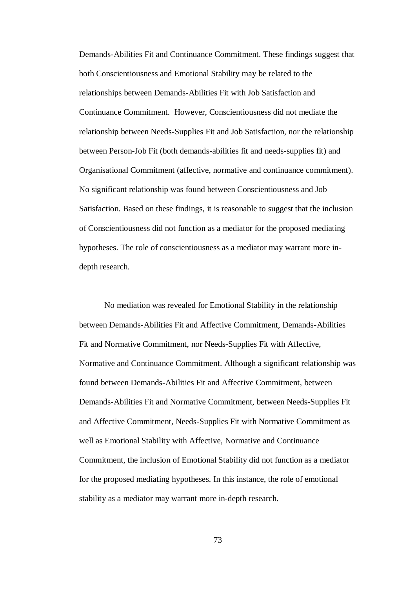Demands-Abilities Fit and Continuance Commitment. These findings suggest that both Conscientiousness and Emotional Stability may be related to the relationships between Demands-Abilities Fit with Job Satisfaction and Continuance Commitment. However, Conscientiousness did not mediate the relationship between Needs-Supplies Fit and Job Satisfaction, nor the relationship between Person-Job Fit (both demands-abilities fit and needs-supplies fit) and Organisational Commitment (affective, normative and continuance commitment). No significant relationship was found between Conscientiousness and Job Satisfaction. Based on these findings, it is reasonable to suggest that the inclusion of Conscientiousness did not function as a mediator for the proposed mediating hypotheses. The role of conscientiousness as a mediator may warrant more indepth research.

No mediation was revealed for Emotional Stability in the relationship between Demands-Abilities Fit and Affective Commitment, Demands-Abilities Fit and Normative Commitment, nor Needs-Supplies Fit with Affective, Normative and Continuance Commitment. Although a significant relationship was found between Demands-Abilities Fit and Affective Commitment, between Demands-Abilities Fit and Normative Commitment, between Needs-Supplies Fit and Affective Commitment, Needs-Supplies Fit with Normative Commitment as well as Emotional Stability with Affective, Normative and Continuance Commitment, the inclusion of Emotional Stability did not function as a mediator for the proposed mediating hypotheses. In this instance, the role of emotional stability as a mediator may warrant more in-depth research.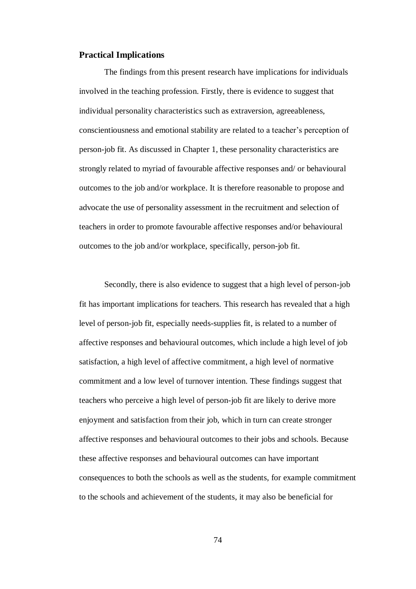#### **Practical Implications**

The findings from this present research have implications for individuals involved in the teaching profession. Firstly, there is evidence to suggest that individual personality characteristics such as extraversion, agreeableness, conscientiousness and emotional stability are related to a teacher"s perception of person-job fit. As discussed in Chapter 1, these personality characteristics are strongly related to myriad of favourable affective responses and/ or behavioural outcomes to the job and/or workplace. It is therefore reasonable to propose and advocate the use of personality assessment in the recruitment and selection of teachers in order to promote favourable affective responses and/or behavioural outcomes to the job and/or workplace, specifically, person-job fit.

Secondly, there is also evidence to suggest that a high level of person-job fit has important implications for teachers. This research has revealed that a high level of person-job fit, especially needs-supplies fit, is related to a number of affective responses and behavioural outcomes, which include a high level of job satisfaction, a high level of affective commitment, a high level of normative commitment and a low level of turnover intention. These findings suggest that teachers who perceive a high level of person-job fit are likely to derive more enjoyment and satisfaction from their job, which in turn can create stronger affective responses and behavioural outcomes to their jobs and schools. Because these affective responses and behavioural outcomes can have important consequences to both the schools as well as the students, for example commitment to the schools and achievement of the students, it may also be beneficial for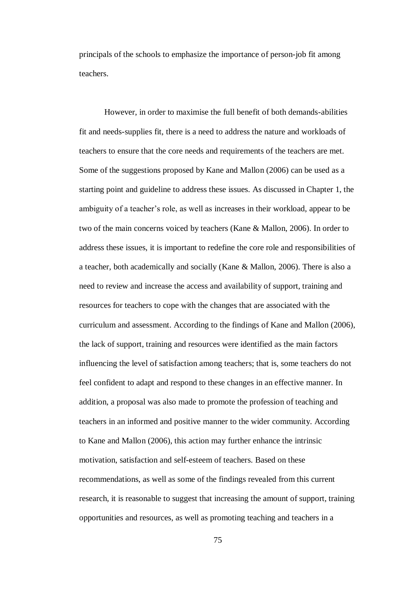principals of the schools to emphasize the importance of person-job fit among teachers.

However, in order to maximise the full benefit of both demands-abilities fit and needs-supplies fit, there is a need to address the nature and workloads of teachers to ensure that the core needs and requirements of the teachers are met. Some of the suggestions proposed by Kane and Mallon (2006) can be used as a starting point and guideline to address these issues. As discussed in Chapter 1, the ambiguity of a teacher"s role, as well as increases in their workload, appear to be two of the main concerns voiced by teachers (Kane & Mallon, 2006). In order to address these issues, it is important to redefine the core role and responsibilities of a teacher, both academically and socially (Kane & Mallon, 2006). There is also a need to review and increase the access and availability of support, training and resources for teachers to cope with the changes that are associated with the curriculum and assessment. According to the findings of Kane and Mallon (2006), the lack of support, training and resources were identified as the main factors influencing the level of satisfaction among teachers; that is, some teachers do not feel confident to adapt and respond to these changes in an effective manner. In addition, a proposal was also made to promote the profession of teaching and teachers in an informed and positive manner to the wider community. According to Kane and Mallon (2006), this action may further enhance the intrinsic motivation, satisfaction and self-esteem of teachers. Based on these recommendations, as well as some of the findings revealed from this current research, it is reasonable to suggest that increasing the amount of support, training opportunities and resources, as well as promoting teaching and teachers in a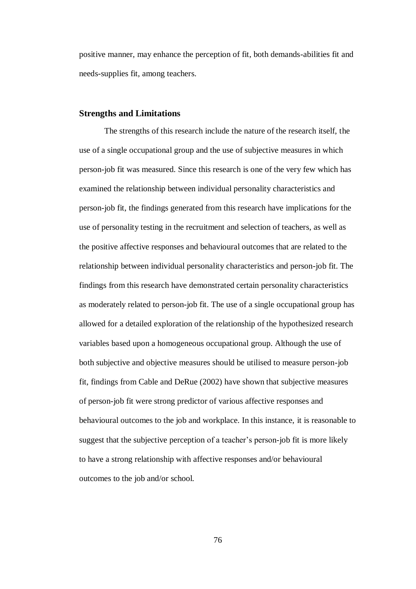positive manner, may enhance the perception of fit, both demands-abilities fit and needs-supplies fit, among teachers.

## **Strengths and Limitations**

The strengths of this research include the nature of the research itself, the use of a single occupational group and the use of subjective measures in which person-job fit was measured. Since this research is one of the very few which has examined the relationship between individual personality characteristics and person-job fit, the findings generated from this research have implications for the use of personality testing in the recruitment and selection of teachers, as well as the positive affective responses and behavioural outcomes that are related to the relationship between individual personality characteristics and person-job fit. The findings from this research have demonstrated certain personality characteristics as moderately related to person-job fit. The use of a single occupational group has allowed for a detailed exploration of the relationship of the hypothesized research variables based upon a homogeneous occupational group. Although the use of both subjective and objective measures should be utilised to measure person-job fit, findings from Cable and DeRue (2002) have shown that subjective measures of person-job fit were strong predictor of various affective responses and behavioural outcomes to the job and workplace. In this instance, it is reasonable to suggest that the subjective perception of a teacher's person-job fit is more likely to have a strong relationship with affective responses and/or behavioural outcomes to the job and/or school.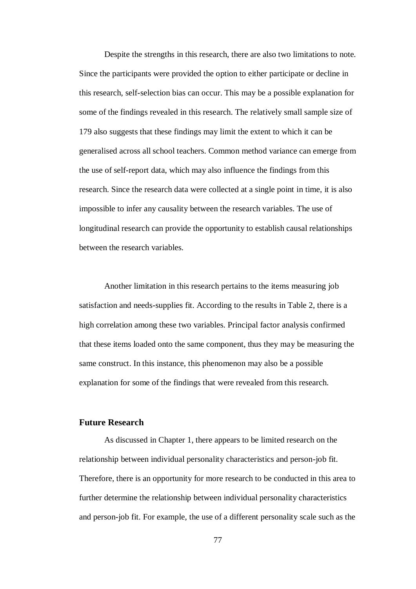Despite the strengths in this research, there are also two limitations to note. Since the participants were provided the option to either participate or decline in this research, self-selection bias can occur. This may be a possible explanation for some of the findings revealed in this research. The relatively small sample size of 179 also suggests that these findings may limit the extent to which it can be generalised across all school teachers. Common method variance can emerge from the use of self-report data, which may also influence the findings from this research. Since the research data were collected at a single point in time, it is also impossible to infer any causality between the research variables. The use of longitudinal research can provide the opportunity to establish causal relationships between the research variables.

Another limitation in this research pertains to the items measuring job satisfaction and needs-supplies fit. According to the results in Table 2, there is a high correlation among these two variables. Principal factor analysis confirmed that these items loaded onto the same component, thus they may be measuring the same construct. In this instance, this phenomenon may also be a possible explanation for some of the findings that were revealed from this research.

## **Future Research**

As discussed in Chapter 1, there appears to be limited research on the relationship between individual personality characteristics and person-job fit. Therefore, there is an opportunity for more research to be conducted in this area to further determine the relationship between individual personality characteristics and person-job fit. For example, the use of a different personality scale such as the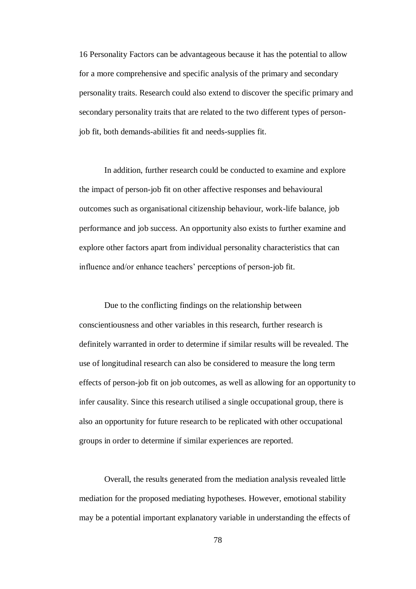16 Personality Factors can be advantageous because it has the potential to allow for a more comprehensive and specific analysis of the primary and secondary personality traits. Research could also extend to discover the specific primary and secondary personality traits that are related to the two different types of personjob fit, both demands-abilities fit and needs-supplies fit.

In addition, further research could be conducted to examine and explore the impact of person-job fit on other affective responses and behavioural outcomes such as organisational citizenship behaviour, work-life balance, job performance and job success. An opportunity also exists to further examine and explore other factors apart from individual personality characteristics that can influence and/or enhance teachers' perceptions of person-job fit.

Due to the conflicting findings on the relationship between conscientiousness and other variables in this research, further research is definitely warranted in order to determine if similar results will be revealed. The use of longitudinal research can also be considered to measure the long term effects of person-job fit on job outcomes, as well as allowing for an opportunity to infer causality. Since this research utilised a single occupational group, there is also an opportunity for future research to be replicated with other occupational groups in order to determine if similar experiences are reported.

Overall, the results generated from the mediation analysis revealed little mediation for the proposed mediating hypotheses. However, emotional stability may be a potential important explanatory variable in understanding the effects of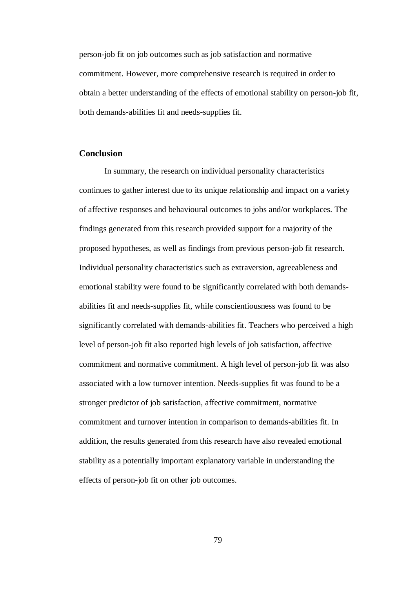person-job fit on job outcomes such as job satisfaction and normative commitment. However, more comprehensive research is required in order to obtain a better understanding of the effects of emotional stability on person-job fit, both demands-abilities fit and needs-supplies fit.

## **Conclusion**

In summary, the research on individual personality characteristics continues to gather interest due to its unique relationship and impact on a variety of affective responses and behavioural outcomes to jobs and/or workplaces. The findings generated from this research provided support for a majority of the proposed hypotheses, as well as findings from previous person-job fit research. Individual personality characteristics such as extraversion, agreeableness and emotional stability were found to be significantly correlated with both demandsabilities fit and needs-supplies fit, while conscientiousness was found to be significantly correlated with demands-abilities fit. Teachers who perceived a high level of person-job fit also reported high levels of job satisfaction, affective commitment and normative commitment. A high level of person-job fit was also associated with a low turnover intention. Needs-supplies fit was found to be a stronger predictor of job satisfaction, affective commitment, normative commitment and turnover intention in comparison to demands-abilities fit. In addition, the results generated from this research have also revealed emotional stability as a potentially important explanatory variable in understanding the effects of person-job fit on other job outcomes.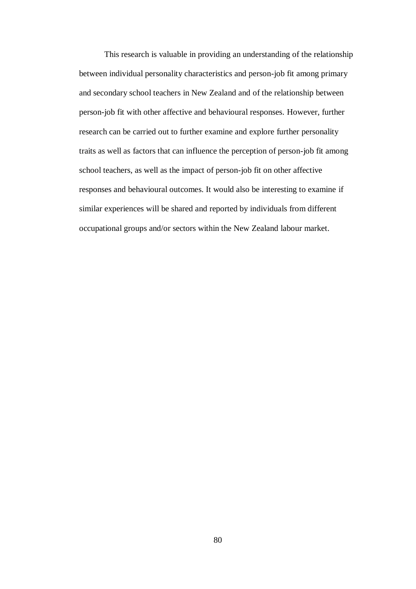This research is valuable in providing an understanding of the relationship between individual personality characteristics and person-job fit among primary and secondary school teachers in New Zealand and of the relationship between person-job fit with other affective and behavioural responses. However, further research can be carried out to further examine and explore further personality traits as well as factors that can influence the perception of person-job fit among school teachers, as well as the impact of person-job fit on other affective responses and behavioural outcomes. It would also be interesting to examine if similar experiences will be shared and reported by individuals from different occupational groups and/or sectors within the New Zealand labour market.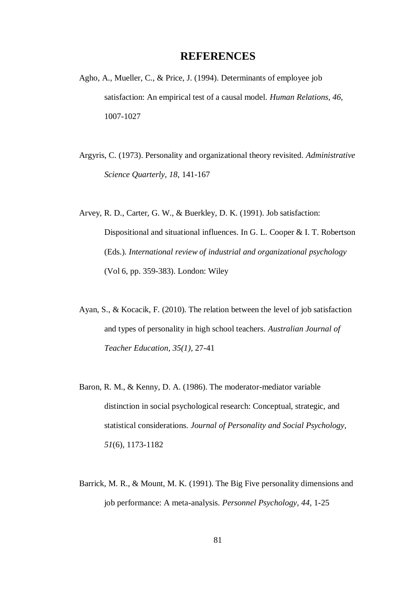## **REFERENCES**

- Agho, A., Mueller, C., & Price, J. (1994). Determinants of employee job satisfaction: An empirical test of a causal model. *Human Relations, 46,* 1007-1027
- Argyris, C. (1973). Personality and organizational theory revisited. *Administrative Science Quarterly, 18,* 141-167
- Arvey, R. D., Carter, G. W., & Buerkley, D. K. (1991). Job satisfaction: Dispositional and situational influences. In G. L. Cooper & I. T. Robertson (Eds.)*. International review of industrial and organizational psychology* (Vol 6, pp. 359-383). London: Wiley
- Ayan, S., & Kocacik, F. (2010). The relation between the level of job satisfaction and types of personality in high school teachers. *Australian Journal of Teacher Education, 35(1),* 27-41
- Baron, R. M., & Kenny, D. A. (1986). The moderator-mediator variable distinction in social psychological research: Conceptual, strategic, and statistical considerations. *Journal of Personality and Social Psychology, 51*(6), 1173-1182
- Barrick, M. R., & Mount, M. K. (1991). The Big Five personality dimensions and job performance: A meta-analysis. *Personnel Psychology, 44,* 1-25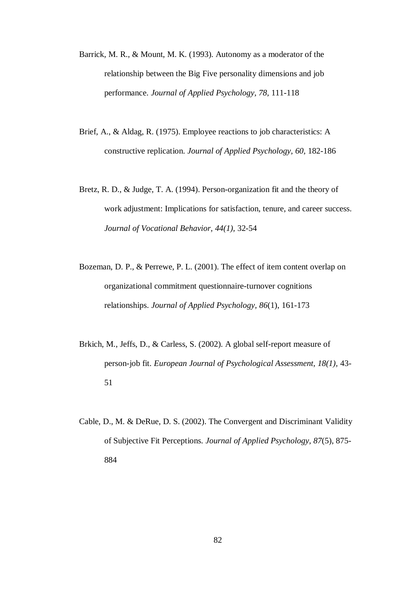- Barrick, M. R., & Mount, M. K. (1993). Autonomy as a moderator of the relationship between the Big Five personality dimensions and job performance. *Journal of Applied Psychology, 78,* 111-118
- Brief, A., & Aldag, R. (1975). Employee reactions to job characteristics: A constructive replication. *Journal of Applied Psychology, 60,* 182-186
- Bretz, R. D., & Judge, T. A. (1994). Person-organization fit and the theory of work adjustment: Implications for satisfaction, tenure, and career success. *Journal of Vocational Behavior, 44(1),* 32-54
- Bozeman, D. P., & Perrewe, P. L. (2001). The effect of item content overlap on organizational commitment questionnaire-turnover cognitions relationships. *Journal of Applied Psychology, 86*(1), 161-173
- Brkich, M., Jeffs, D., & Carless, S. (2002). A global self-report measure of person-job fit. *European Journal of Psychological Assessment, 18(1),* 43- 51
- Cable, D., M. & DeRue, D. S. (2002). The Convergent and Discriminant Validity of Subjective Fit Perceptions. *Journal of Applied Psychology, 87*(5), 875- 884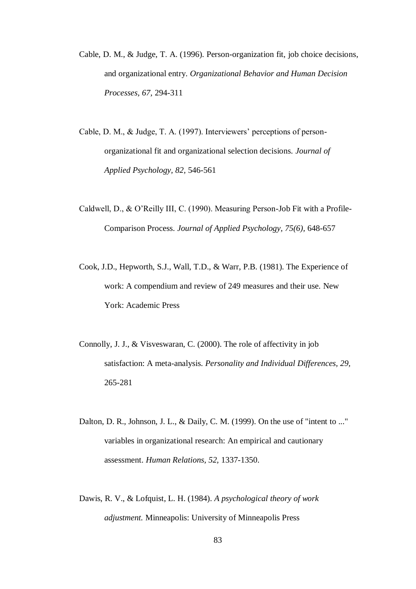- Cable, D. M., & Judge, T. A. (1996). Person-organization fit, job choice decisions, and organizational entry. *Organizational Behavior and Human Decision Processes, 67,* 294-311
- Cable, D. M., & Judge, T. A. (1997). Interviewers' perceptions of personorganizational fit and organizational selection decisions. *Journal of Applied Psychology, 82,* 546-561
- Caldwell, D., & O"Reilly III, C. (1990). Measuring Person-Job Fit with a Profile-Comparison Process. *Journal of Applied Psychology, 75(6),* 648-657
- Cook, J.D., Hepworth, S.J., Wall, T.D., & Warr, P.B. (1981). The Experience of work: A compendium and review of 249 measures and their use*.* New York: Academic Press
- Connolly, J. J., & Visveswaran, C. (2000). The role of affectivity in job satisfaction: A meta-analysis. *Personality and Individual Differences, 29,*  265-281
- Dalton, D. R., Johnson, J. L., & Daily, C. M. (1999). On the use of "intent to ..." variables in organizational research: An empirical and cautionary assessment. *Human Relations, 52,* 1337-1350.
- Dawis, R. V., & Lofquist, L. H. (1984). *A psychological theory of work adjustment.* Minneapolis: University of Minneapolis Press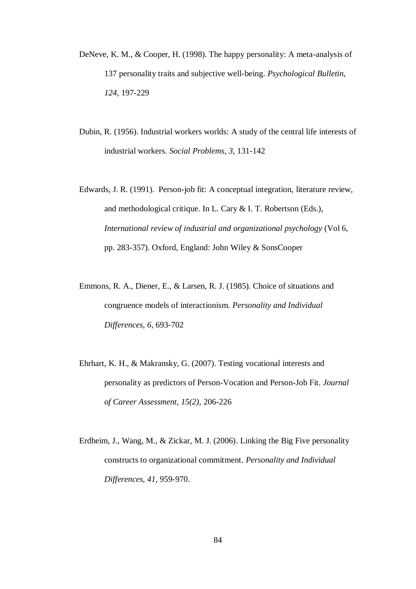- DeNeve, K. M., & Cooper, H. (1998). The happy personality: A meta-analysis of 137 personality traits and subjective well-being. *Psychological Bulletin, 124,* 197-229
- Dubin, R. (1956). Industrial workers worlds: A study of the central life interests of industrial workers. *Social Problems, 3,* 131-142
- Edwards, J. R. (1991). Person-job fit: A conceptual integration, literature review, and methodological critique. In L. Cary & I. T. Robertson (Eds.), *International review of industrial and organizational psychology* (Vol 6, pp. 283-357). Oxford, England: John Wiley & SonsCooper
- Emmons, R. A., Diener, E., & Larsen, R. J. (1985). Choice of situations and congruence models of interactionism. *Personality and Individual Differences, 6,* 693-702
- Ehrhart, K. H., & Makransky, G. (2007). Testing vocational interests and personality as predictors of Person-Vocation and Person-Job Fit. *Journal of Career Assessment, 15(2),* 206-226
- Erdheim, J., Wang, M., & Zickar, M. J. (2006). Linking the Big Five personality constructs to organizational commitment. *Personality and Individual Differences, 41,* 959-970.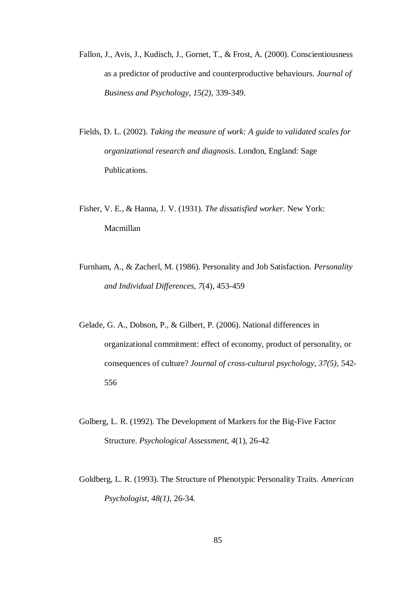- Fallon, J., Avis, J., Kudisch, J., Gornet, T., & Frost, A. (2000). Conscientiousness as a predictor of productive and counterproductive behaviours. *Journal of Business and Psychology, 15(2),* 339-349.
- Fields, D. L. (2002). *Taking the measure of work: A guide to validated scales for organizational research and diagnosis*. London, England: Sage Publications.
- Fisher, V. E., & Hanna, J. V. (1931). *The dissatisfied worker.* New York: Macmillan
- Furnham, A., & Zacherl, M. (1986). Personality and Job Satisfaction. *Personality and Individual Differences, 7*(4), 453-459
- Gelade, G. A., Dobson, P., & Gilbert, P. (2006). National differences in organizational commitment: effect of economy, product of personality, or consequences of culture? *Journal of cross-cultural psychology, 37(5),* 542- 556
- Golberg, L. R. (1992). The Development of Markers for the Big-Five Factor Structure. *Psychological Assessment, 4*(1), 26-42
- Goldberg, L. R. (1993). The Structure of Phenotypic Personality Traits. *American Psychologist, 48(1),* 26-34.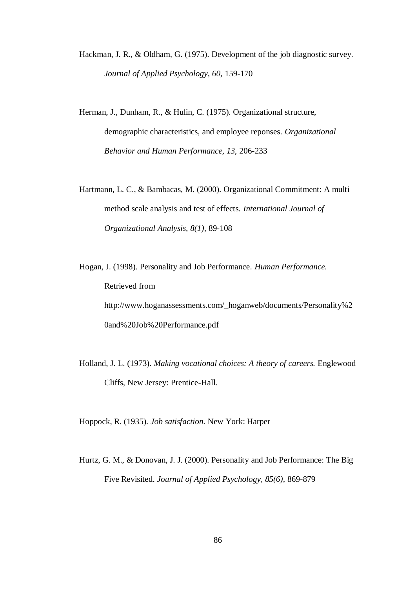- Hackman, J. R., & Oldham, G. (1975). Development of the job diagnostic survey. *Journal of Applied Psychology, 60,* 159-170
- Herman, J., Dunham, R., & Hulin, C. (1975). Organizational structure, demographic characteristics, and employee reponses. *Organizational Behavior and Human Performance, 13,* 206-233
- Hartmann, L. C., & Bambacas, M. (2000). Organizational Commitment: A multi method scale analysis and test of effects. *International Journal of Organizational Analysis, 8(1),* 89-108

Hogan, J. (1998). Personality and Job Performance. *Human Performance.*  Retrieved from [http://www.hoganassessments.com/\\_hoganweb/documents/Personality%2](http://www.hoganassessments.com/_hoganweb/documents/Personality%20and%20Job%20Performance.pdf) [0and%20Job%20Performance.pdf](http://www.hoganassessments.com/_hoganweb/documents/Personality%20and%20Job%20Performance.pdf)

Holland, J. L. (1973). *Making vocational choices: A theory of careers.* Englewood Cliffs, New Jersey: Prentice-Hall.

Hoppock, R. (1935). *Job satisfaction.* New York: Harper

Hurtz, G. M., & Donovan, J. J. (2000). Personality and Job Performance: The Big Five Revisited. *Journal of Applied Psychology, 85(6),* 869-879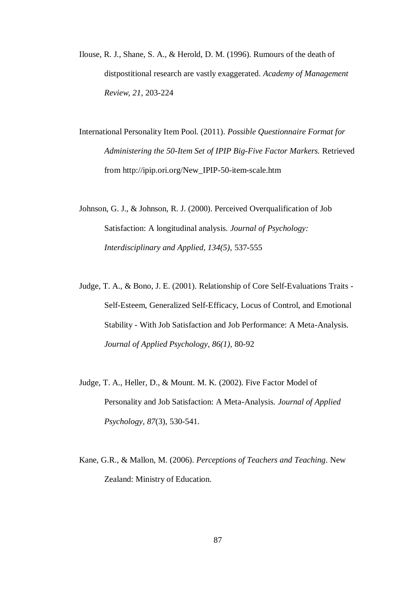- Ilouse, R. J., Shane, S. A., & Herold, D. M. (1996). Rumours of the death of distpostitional research are vastly exaggerated. *Academy of Management Review, 21,* 203-224
- International Personality Item Pool. (2011). *Possible Questionnaire Format for Administering the 50-Item Set of IPIP Big-Five Factor Markers.* Retrieved from [http://ipip.ori.org/New\\_IPIP-50-item-scale.htm](http://ipip.ori.org/New_IPIP-50-item-scale.htm)
- Johnson, G. J., & Johnson, R. J. (2000). Perceived Overqualification of Job Satisfaction: A longitudinal analysis. *Journal of Psychology: Interdisciplinary and Applied, 134(5),* 537-555
- Judge, T. A., & Bono, J. E. (2001). Relationship of Core Self-Evaluations Traits Self-Esteem, Generalized Self-Efficacy, Locus of Control, and Emotional Stability - With Job Satisfaction and Job Performance: A Meta-Analysis. *Journal of Applied Psychology, 86(1),* 80-92
- Judge, T. A., Heller, D., & Mount. M. K. (2002). Five Factor Model of Personality and Job Satisfaction: A Meta-Analysis. *Journal of Applied Psychology, 87*(3), 530-541.
- Kane, G.R., & Mallon, M. (2006). *Perceptions of Teachers and Teaching*. New Zealand: Ministry of Education.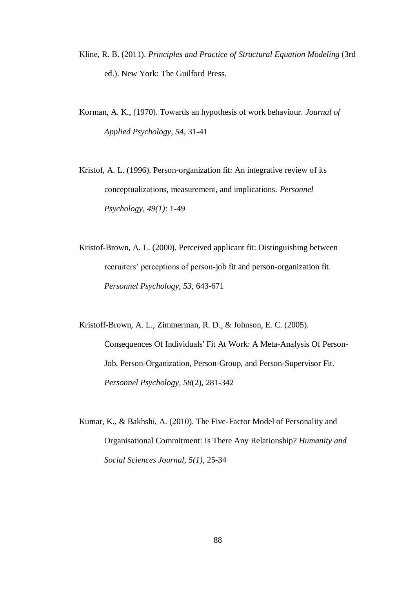- Kline, R. B. (2011). *Principles and Practice of Structural Equation Modeling* (3rd ed.). New York: The Guilford Press.
- Korman, A. K., (1970). Towards an hypothesis of work behaviour. *Journal of Applied Psychology, 54,* 31-41
- Kristof, A. L. (1996). Person-organization fit: An integrative review of its conceptualizations, measurement, and implications. *Personnel Psychology, 49(1)*: 1-49
- Kristof-Brown, A. L. (2000). Perceived applicant fit: Distinguishing between recruiters' perceptions of person-job fit and person-organization fit. *Personnel Psychology, 53,* 643-671

Kristoff-Brown, A. L., Zimmerman, R. D., & Johnson, E. C. (2005). Consequences Of Individuals' Fit At Work: A Meta-Analysis Of Person-Job, Person-Organization, Person-Group, and Person-Supervisor Fit. *Personnel Psychology, 58*(2), 281-342

Kumar, K., & Bakhshi, A. (2010). The Five-Factor Model of Personality and Organisational Commitment: Is There Any Relationship? *Humanity and Social Sciences Journal, 5(1),* 25-34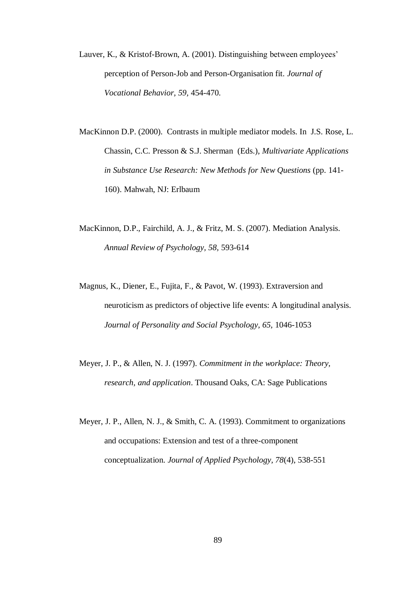- Lauver, K., & Kristof-Brown, A. (2001). Distinguishing between employees' perception of Person-Job and Person-Organisation fit. *Journal of Vocational Behavior, 59,* 454-470.
- MacKinnon D.P. (2000). Contrasts in multiple mediator models. In J.S. Rose, L. Chassin, C.C. Presson & S.J. Sherman (Eds.), *Multivariate Applications in Substance Use Research: New Methods for New Questions* (pp. 141- 160). Mahwah, NJ: Erlbaum
- MacKinnon, D.P., Fairchild, A. J., & Fritz, M. S. (2007). Mediation Analysis. *Annual Review of Psychology, 58,* 593-614
- Magnus, K., Diener, E., Fujita, F., & Pavot, W. (1993). Extraversion and neuroticism as predictors of objective life events: A longitudinal analysis. *Journal of Personality and Social Psychology, 65,* 1046-1053
- Meyer, J. P., & Allen, N. J. (1997). *Commitment in the workplace: Theory, research, and application*. Thousand Oaks, CA: Sage Publications
- Meyer, J. P., Allen, N. J., & Smith, C. A. (1993). Commitment to organizations and occupations: Extension and test of a three-component conceptualization. *Journal of Applied Psychology, 78*(4), 538-551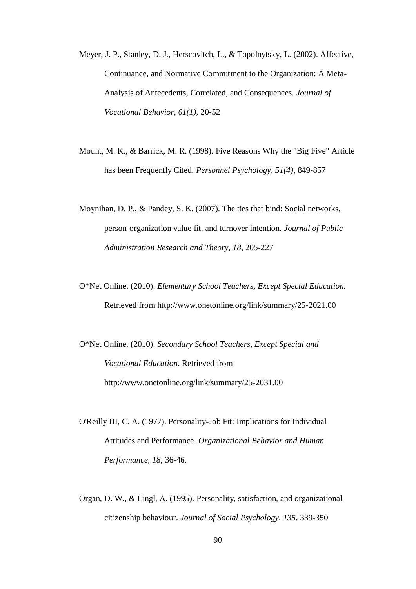- Meyer, J. P., Stanley, D. J., Herscovitch, L., & Topolnytsky, L. (2002). Affective, Continuance, and Normative Commitment to the Organization: A Meta-Analysis of Antecedents, Correlated, and Consequences. *Journal of Vocational Behavior, 61(1),* 20-52
- Mount, M. K., & Barrick, M. R. (1998). Five Reasons Why the "Big Five" Article has been Frequently Cited. *Personnel Psychology, 51(4),* 849-857
- Moynihan, D. P., & Pandey, S. K. (2007). The ties that bind: Social networks, person-organization value fit, and turnover intention. *Journal of Public Administration Research and Theory, 18,* 205-227
- O\*Net Online. (2010). *Elementary School Teachers, Except Special Education.*  Retrieved from<http://www.onetonline.org/link/summary/25-2021.00>
- O\*Net Online. (2010). *Secondary School Teachers, Except Special and Vocational Education.* Retrieved from <http://www.onetonline.org/link/summary/25-2031.00>
- O'Reilly III, C. A. (1977). Personality-Job Fit: Implications for Individual Attitudes and Performance. *Organizational Behavior and Human Performance, 18,* 36-46.
- Organ, D. W., & Lingl, A. (1995). Personality, satisfaction, and organizational citizenship behaviour. *Journal of Social Psychology, 135,* 339-350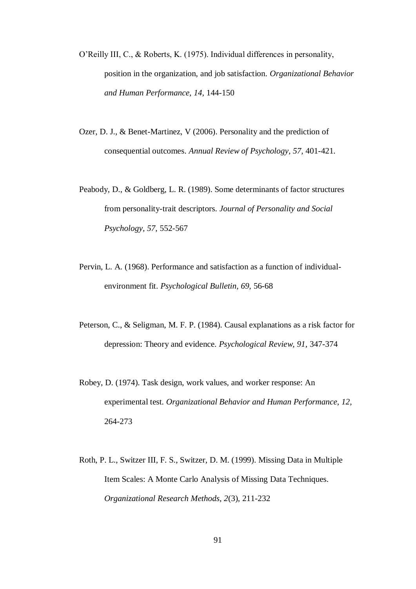- O"Reilly III, C., & Roberts, K. (1975). Individual differences in personality, position in the organization, and job satisfaction. *Organizational Behavior and Human Performance, 14,* 144-150
- Ozer, D. J., & Benet-Martinez, V (2006). Personality and the prediction of consequential outcomes. *Annual Review of Psychology, 57,* 401-421.
- Peabody, D., & Goldberg, L. R. (1989). Some determinants of factor structures from personality-trait descriptors. *Journal of Personality and Social Psychology, 57,* 552-567
- Pervin, L. A. (1968). Performance and satisfaction as a function of individualenvironment fit. *Psychological Bulletin, 69,* 56-68
- Peterson, C., & Seligman, M. F. P. (1984). Causal explanations as a risk factor for depression: Theory and evidence. *Psychological Review, 91,* 347-374
- Robey, D. (1974). Task design, work values, and worker response: An experimental test. *Organizational Behavior and Human Performance, 12,*  264-273
- Roth, P. L., Switzer III, F. S., Switzer, D. M. (1999). Missing Data in Multiple Item Scales: A Monte Carlo Analysis of Missing Data Techniques. *Organizational Research Methods, 2*(3), 211-232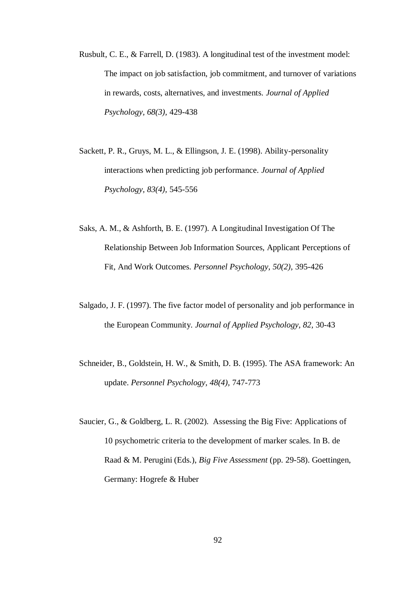- Rusbult, C. E., & Farrell, D. (1983). A longitudinal test of the investment model: The impact on job satisfaction, job commitment, and turnover of variations in rewards, costs, alternatives, and investments. *Journal of Applied Psychology, 68(3),* 429-438
- Sackett, P. R., Gruys, M. L., & Ellingson, J. E. (1998). Ability-personality interactions when predicting job performance. *Journal of Applied Psychology, 83(4),* 545-556
- Saks, A. M., & Ashforth, B. E. (1997). A Longitudinal Investigation Of The Relationship Between Job Information Sources, Applicant Perceptions of Fit, And Work Outcomes. *Personnel Psychology, 50(2),* 395-426
- Salgado, J. F. (1997). The five factor model of personality and job performance in the European Community. *Journal of Applied Psychology, 82,* 30-43
- Schneider, B., Goldstein, H. W., & Smith, D. B. (1995). The ASA framework: An update. *Personnel Psychology, 48(4),* 747-773
- Saucier, G., & Goldberg, L. R. (2002). Assessing the Big Five: Applications of 10 psychometric criteria to the development of marker scales. In B. de Raad & M. Perugini (Eds.), *Big Five Assessment* (pp. 29-58). Goettingen, Germany: Hogrefe & Huber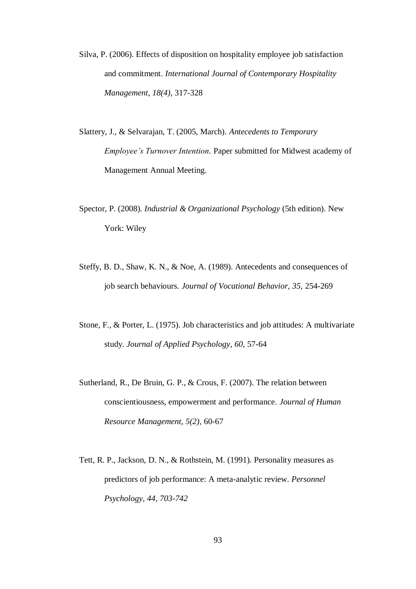- Silva, P. (2006). Effects of disposition on hospitality employee job satisfaction and commitment. *International Journal of Contemporary Hospitality Management, 18(4),* 317-328
- Slattery, J., & Selvarajan, T. (2005, March). *Antecedents to Temporary Employee's Turnover Intention.* Paper submitted for Midwest academy of Management Annual Meeting.
- Spector, P. (2008). *Industrial & Organizational Psychology* (5th edition). New York: Wiley
- Steffy, B. D., Shaw, K. N., & Noe, A. (1989). Antecedents and consequences of job search behaviours. *Journal of Vocational Behavior, 35,* 254-269
- Stone, F., & Porter, L. (1975). Job characteristics and job attitudes: A multivariate study. *Journal of Applied Psychology, 60,* 57-64
- Sutherland, R., De Bruin, G. P., & Crous, F. (2007). The relation between conscientiousness, empowerment and performance. *Journal of Human Resource Management, 5(2),* 60-67
- Tett, R. P., Jackson, D. N., & Rothstein, M. (1991). Personality measures as predictors of job performance: A meta-analytic review. *Personnel Psychology, 44, 703-742*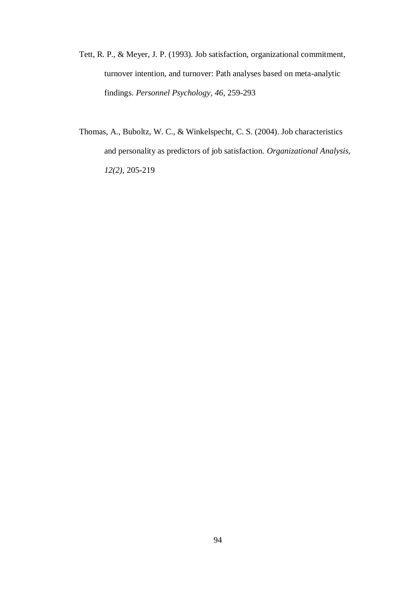- Tett, R. P., & Meyer, J. P. (1993). Job satisfaction, organizational commitment, turnover intention, and turnover: Path analyses based on meta-analytic findings. *Personnel Psychology, 46*, 259-293
- Thomas, A., Buboltz, W. C., & Winkelspecht, C. S. (2004). Job characteristics and personality as predictors of job satisfaction. *Organizational Analysis, 12(2),* 205-219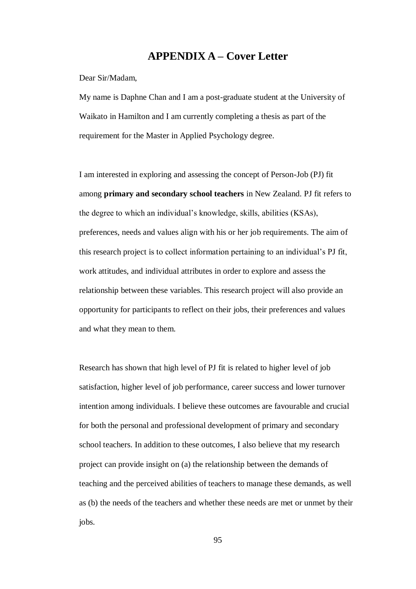## **APPENDIX A – Cover Letter**

Dear Sir/Madam,

My name is Daphne Chan and I am a post-graduate student at the University of Waikato in Hamilton and I am currently completing a thesis as part of the requirement for the Master in Applied Psychology degree.

I am interested in exploring and assessing the concept of Person-Job (PJ) fit among **primary and secondary school teachers** in New Zealand. PJ fit refers to the degree to which an individual"s knowledge, skills, abilities (KSAs), preferences, needs and values align with his or her job requirements. The aim of this research project is to collect information pertaining to an individual"s PJ fit, work attitudes, and individual attributes in order to explore and assess the relationship between these variables. This research project will also provide an opportunity for participants to reflect on their jobs, their preferences and values and what they mean to them.

Research has shown that high level of PJ fit is related to higher level of job satisfaction, higher level of job performance, career success and lower turnover intention among individuals. I believe these outcomes are favourable and crucial for both the personal and professional development of primary and secondary school teachers. In addition to these outcomes, I also believe that my research project can provide insight on (a) the relationship between the demands of teaching and the perceived abilities of teachers to manage these demands, as well as (b) the needs of the teachers and whether these needs are met or unmet by their jobs.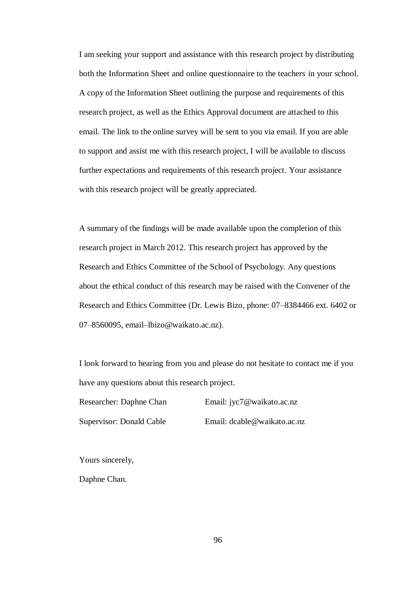I am seeking your support and assistance with this research project by distributing both the Information Sheet and online questionnaire to the teachers in your school. A copy of the Information Sheet outlining the purpose and requirements of this research project, as well as the Ethics Approval document are attached to this email. The link to the online survey will be sent to you via email. If you are able to support and assist me with this research project, I will be available to discuss further expectations and requirements of this research project. Your assistance with this research project will be greatly appreciated.

A summary of the findings will be made available upon the completion of this research project in March 2012. This research project has approved by the Research and Ethics Committee of the School of Psychology. Any questions about the ethical conduct of this research may be raised with the Convener of the Research and Ethics Committee (Dr. Lewis Bizo, phone: 07–8384466 ext. 6402 or 07–8560095, email[–lbizo@waikato.ac.](mailto:lbizo@waikato.ac)nz).

I look forward to hearing from you and please do not hesitate to contact me if you have any questions about this research project.

| Researcher: Daphne Chan  | Email: jyc7@waikato.ac.nz   |
|--------------------------|-----------------------------|
| Supervisor: Donald Cable | Email: dcable@waikato.ac.nz |

Yours sincerely,

Daphne Chan.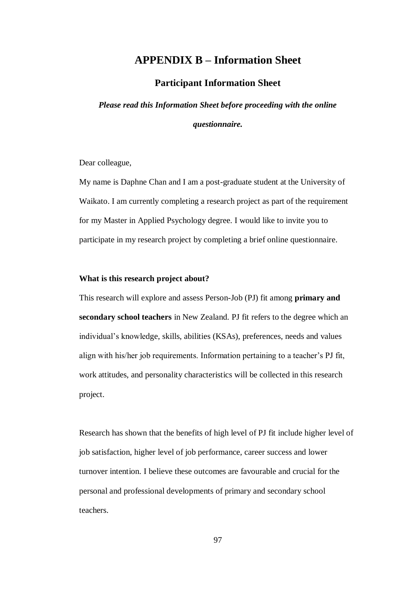# **APPENDIX B – Information Sheet**

## **Participant Information Sheet**

*Please read this Information Sheet before proceeding with the online questionnaire.*

Dear colleague,

My name is Daphne Chan and I am a post-graduate student at the University of Waikato. I am currently completing a research project as part of the requirement for my Master in Applied Psychology degree. I would like to invite you to participate in my research project by completing a brief online questionnaire.

#### **What is this research project about?**

This research will explore and assess Person-Job (PJ) fit among **primary and secondary school teachers** in New Zealand. PJ fit refers to the degree which an individual"s knowledge, skills, abilities (KSAs), preferences, needs and values align with his/her job requirements. Information pertaining to a teacher"s PJ fit, work attitudes, and personality characteristics will be collected in this research project.

Research has shown that the benefits of high level of PJ fit include higher level of job satisfaction, higher level of job performance, career success and lower turnover intention. I believe these outcomes are favourable and crucial for the personal and professional developments of primary and secondary school teachers.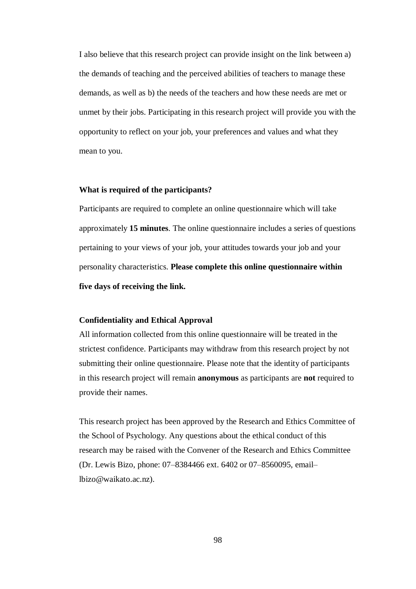I also believe that this research project can provide insight on the link between a) the demands of teaching and the perceived abilities of teachers to manage these demands, as well as b) the needs of the teachers and how these needs are met or unmet by their jobs. Participating in this research project will provide you with the opportunity to reflect on your job, your preferences and values and what they mean to you.

#### **What is required of the participants?**

Participants are required to complete an online questionnaire which will take approximately **15 minutes**. The online questionnaire includes a series of questions pertaining to your views of your job, your attitudes towards your job and your personality characteristics. **Please complete this online questionnaire within five days of receiving the link.** 

#### **Confidentiality and Ethical Approval**

All information collected from this online questionnaire will be treated in the strictest confidence. Participants may withdraw from this research project by not submitting their online questionnaire. Please note that the identity of participants in this research project will remain **anonymous** as participants are **not** required to provide their names.

This research project has been approved by the Research and Ethics Committee of the School of Psychology. Any questions about the ethical conduct of this research may be raised with the Convener of the Research and Ethics Committee (Dr. Lewis Bizo, phone: 07–8384466 ext. 6402 or 07–8560095, email– [lbizo@waikato.ac.](mailto:lbizo@waikato.ac)nz).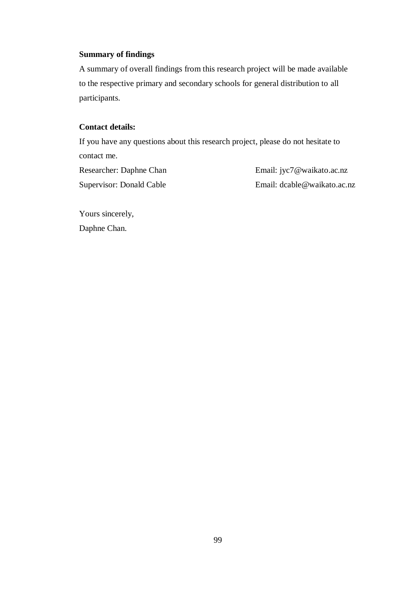### **Summary of findings**

A summary of overall findings from this research project will be made available to the respective primary and secondary schools for general distribution to all participants.

# **Contact details:**

If you have any questions about this research project, please do not hesitate to contact me.

Researcher: Daphne Chan Email: jyc7@waikato.ac.nz Supervisor: Donald Cable **Email: [dcable@waikato.ac.nz](mailto:dcable@waikato.ac.nz)** 

Yours sincerely, Daphne Chan.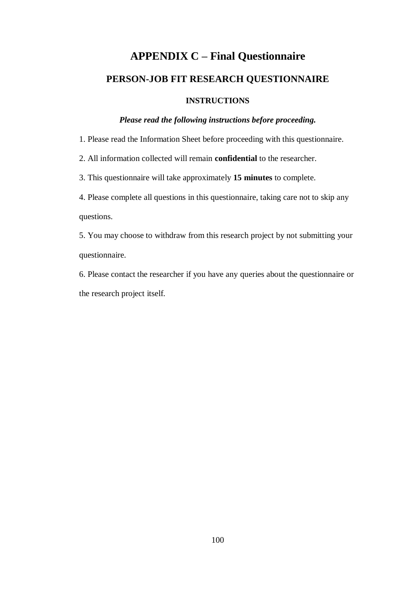# **APPENDIX C – Final Questionnaire**

# **PERSON-JOB FIT RESEARCH QUESTIONNAIRE**

## **INSTRUCTIONS**

## *Please read the following instructions before proceeding.*

1. Please read the Information Sheet before proceeding with this questionnaire.

2. All information collected will remain **confidential** to the researcher.

3. This questionnaire will take approximately **15 minutes** to complete.

4. Please complete all questions in this questionnaire, taking care not to skip any questions.

5. You may choose to withdraw from this research project by not submitting your questionnaire.

6. Please contact the researcher if you have any queries about the questionnaire or the research project itself.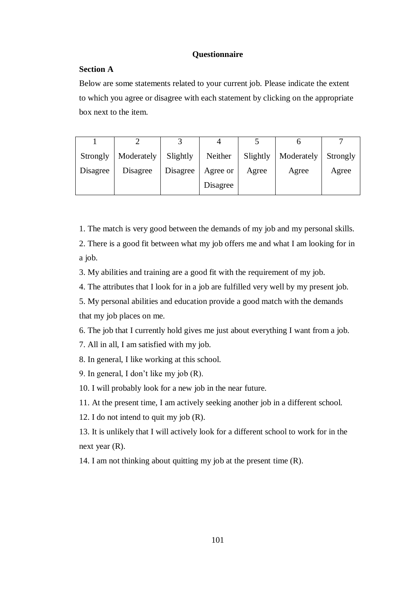### **Questionnaire**

## **Section A**

Below are some statements related to your current job. Please indicate the extent to which you agree or disagree with each statement by clicking on the appropriate box next to the item.

| Strongly | Moderately | Slightly | Neither  |       | Slightly   Moderately | Strongly |
|----------|------------|----------|----------|-------|-----------------------|----------|
| Disagree | Disagree   | Disagree | Agree or | Agree | Agree                 | Agree    |
|          |            |          | Disagree |       |                       |          |

1. The match is very good between the demands of my job and my personal skills.

2. There is a good fit between what my job offers me and what I am looking for in a job.

3. My abilities and training are a good fit with the requirement of my job.

4. The attributes that I look for in a job are fulfilled very well by my present job.

5. My personal abilities and education provide a good match with the demands that my job places on me.

6. The job that I currently hold gives me just about everything I want from a job.

7. All in all, I am satisfied with my job.

8. In general, I like working at this school.

9. In general, I don"t like my job (R).

10. I will probably look for a new job in the near future.

11. At the present time, I am actively seeking another job in a different school.

12. I do not intend to quit my job (R).

13. It is unlikely that I will actively look for a different school to work for in the next year (R).

14. I am not thinking about quitting my job at the present time (R).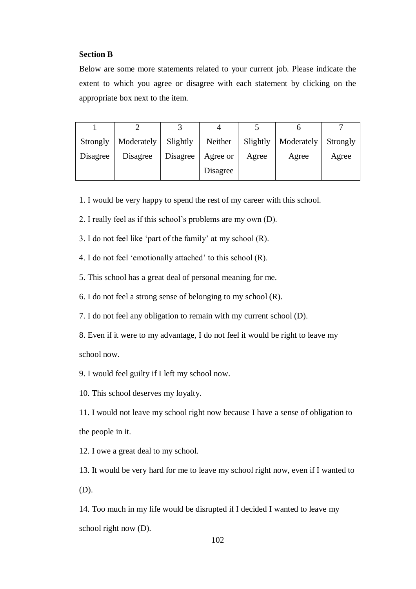## **Section B**

Below are some more statements related to your current job. Please indicate the extent to which you agree or disagree with each statement by clicking on the appropriate box next to the item.

| Strongly | Moderately | Slightly | Neither  | Slightly | Moderately | Strongly |
|----------|------------|----------|----------|----------|------------|----------|
| Disagree | Disagree   | Disagree | Agree or | Agree    | Agree      | Agree    |
|          |            |          | Disagree |          |            |          |

1. I would be very happy to spend the rest of my career with this school.

2. I really feel as if this school"s problems are my own (D).

3. I do not feel like "part of the family" at my school (R).

4. I do not feel "emotionally attached" to this school (R).

5. This school has a great deal of personal meaning for me.

6. I do not feel a strong sense of belonging to my school (R).

7. I do not feel any obligation to remain with my current school (D).

8. Even if it were to my advantage, I do not feel it would be right to leave my school now.

9. I would feel guilty if I left my school now.

10. This school deserves my loyalty.

11. I would not leave my school right now because I have a sense of obligation to the people in it.

12. I owe a great deal to my school.

13. It would be very hard for me to leave my school right now, even if I wanted to (D).

14. Too much in my life would be disrupted if I decided I wanted to leave my school right now (D).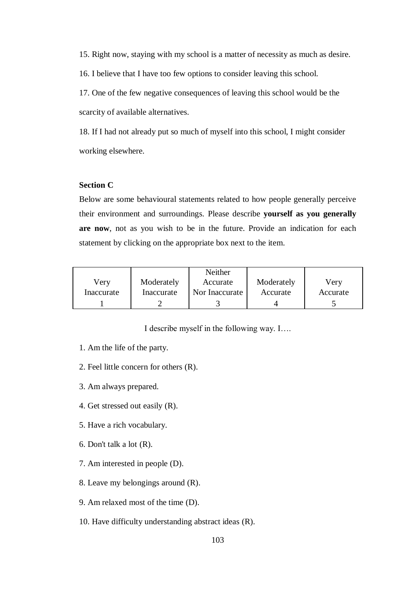15. Right now, staying with my school is a matter of necessity as much as desire.

16. I believe that I have too few options to consider leaving this school.

17. One of the few negative consequences of leaving this school would be the scarcity of available alternatives.

18. If I had not already put so much of myself into this school, I might consider working elsewhere.

### **Section C**

Below are some behavioural statements related to how people generally perceive their environment and surroundings. Please describe **yourself as you generally are now**, not as you wish to be in the future. Provide an indication for each statement by clicking on the appropriate box next to the item.

|            |            | Neither        |            |          |
|------------|------------|----------------|------------|----------|
| Very       | Moderately | Accurate       | Moderately | Very     |
| Inaccurate | Inaccurate | Nor Inaccurate | Accurate   | Accurate |
|            |            |                |            |          |

I describe myself in the following way. I….

- 1. Am the life of the party.
- 2. Feel little concern for others (R).
- 3. Am always prepared.
- 4. Get stressed out easily (R).
- 5. Have a rich vocabulary.
- 6. Don't talk a lot (R).
- 7. Am interested in people (D).
- 8. Leave my belongings around (R).
- 9. Am relaxed most of the time (D).
- 10. Have difficulty understanding abstract ideas (R).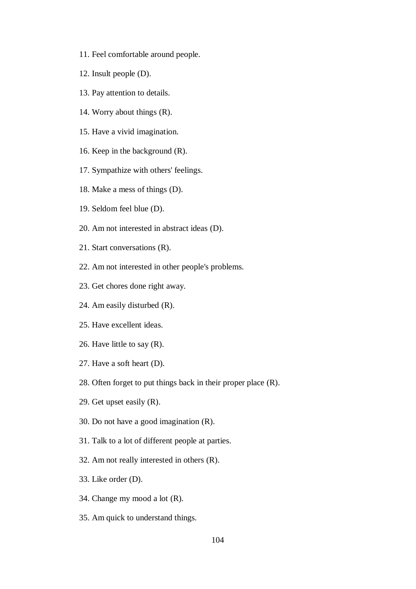- 11. Feel comfortable around people.
- 12. Insult people (D).
- 13. Pay attention to details.
- 14. Worry about things (R).
- 15. Have a vivid imagination.
- 16. Keep in the background (R).
- 17. Sympathize with others' feelings.
- 18. Make a mess of things (D).
- 19. Seldom feel blue (D).
- 20. Am not interested in abstract ideas (D).
- 21. Start conversations (R).
- 22. Am not interested in other people's problems.
- 23. Get chores done right away.
- 24. Am easily disturbed (R).
- 25. Have excellent ideas.
- 26. Have little to say (R).
- 27. Have a soft heart (D).
- 28. Often forget to put things back in their proper place (R).
- 29. Get upset easily (R).
- 30. Do not have a good imagination (R).
- 31. Talk to a lot of different people at parties.
- 32. Am not really interested in others (R).
- 33. Like order (D).
- 34. Change my mood a lot (R).
- 35. Am quick to understand things.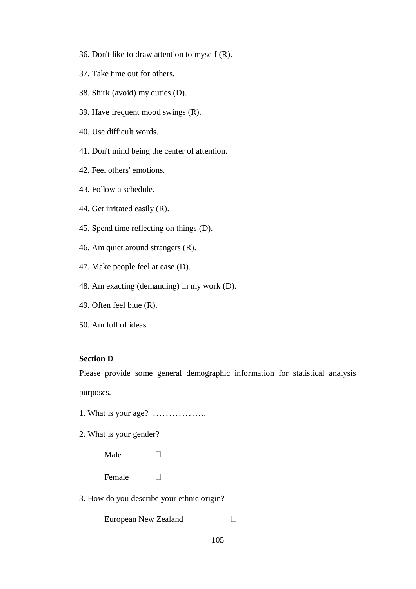- 36. Don't like to draw attention to myself (R).
- 37. Take time out for others.
- 38. Shirk (avoid) my duties (D).
- 39. Have frequent mood swings (R).
- 40. Use difficult words.
- 41. Don't mind being the center of attention.
- 42. Feel others' emotions.
- 43. Follow a schedule.
- 44. Get irritated easily (R).
- 45. Spend time reflecting on things (D).
- 46. Am quiet around strangers (R).
- 47. Make people feel at ease (D).
- 48. Am exacting (demanding) in my work (D).
- 49. Often feel blue (R).
- 50. Am full of ideas.

## **Section D**

Please provide some general demographic information for statistical analysis

purposes.

- 1. What is your age? ……………..
- 2. What is your gender?

| Male |  |  |
|------|--|--|
|      |  |  |

Female  $\Box$ 

3. How do you describe your ethnic origin?

European New Zealand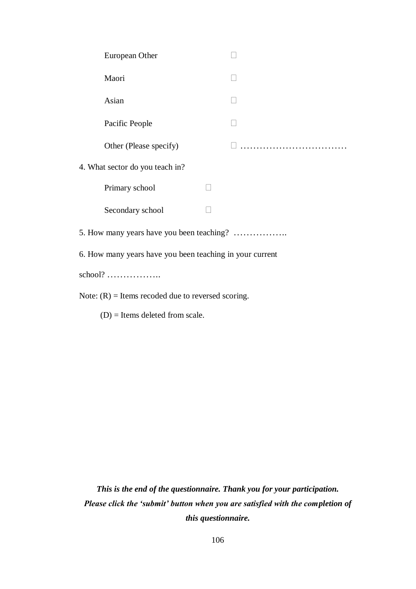| European Other                                           |  |
|----------------------------------------------------------|--|
| Maori                                                    |  |
| Asian                                                    |  |
| Pacific People                                           |  |
| Other (Please specify)                                   |  |
| 4. What sector do you teach in?                          |  |
| Primary school                                           |  |
| Secondary school                                         |  |
| 5. How many years have you been teaching?                |  |
| 6. How many years have you been teaching in your current |  |
| $school?$                                                |  |
| Note: $(R)$ = Items recoded due to reversed scoring.     |  |
|                                                          |  |

(D) = Items deleted from scale.

*This is the end of the questionnaire. Thank you for your participation. Please click the 'submit' button when you are satisfied with the completion of this questionnaire.*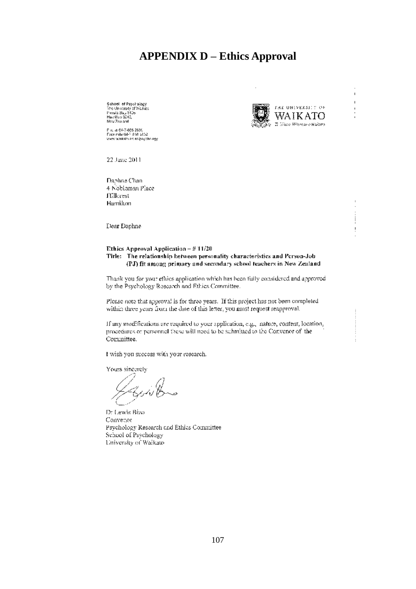# **APPENDIX D – Ethics Approval**

School of Psychology<br>The Chiversky of Walkate<br>Physic Bau S105<br>Hacrifon 3240,<br>New Zealand



 $\mathbf{I}$ 

Piro le 64-7-856-2639<br>Facs mile 64-7-868-5152<br>www.waiksth.coma/psychology

22 Jane 2011

Daphne Chan 4 Noblaman Place **I**Ellerest Hamilton

Dear Daphne

#### Ethics Approval Application  $\#$  11/20 Title: The relationship between personality characteristics and Person-Job (PJ) fit among primary and secondary school teachers in New Zealand

Thank you for your effiles application which has been fully considered and approved by the Psychology Research and Ethics Committee.

Please note that approval is for three years. If this project has not been completed within three years from the date of this letter, you must request reapproval.

If any modifications are required to your application, e.g., nature, content, location, procedures or personnel facse will need to be submitted to the Convenor of the Committee.

I wish you success with your research.

Yours sincerely

Dr Lewis Bizo Convecor Psychology Research and Ethics Committee School of Psychology University of Walkato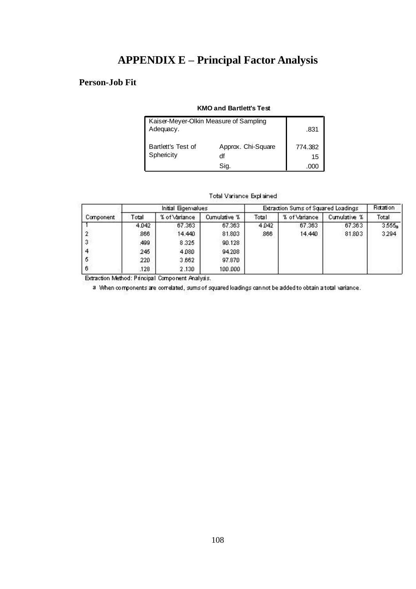# **APPENDIX E – Principal Factor Analysis**

# **Person-Job Fit**

#### **KMO and Bartlett's Test**

| Kaiser-Meyer-Olkin Measure of Sampling<br>Adequacy. | .831               |         |
|-----------------------------------------------------|--------------------|---------|
| Bartlett's Test of                                  | Approx. Chi-Square | 774.382 |
| Sphericity                                          | df                 | 15      |
|                                                     | Sig.               | .ooc    |

| Total Variance Explained |  |
|--------------------------|--|
|--------------------------|--|

|           | Initial Egenvalues |               |              | Extraction Sums of Squared Loadings | Rotation      |              |        |
|-----------|--------------------|---------------|--------------|-------------------------------------|---------------|--------------|--------|
| Component | Total              | % of Variance | Cumulative % | Total                               | % of Variance | Cumulative % | Total  |
|           | 4.042              | 67.363        | 67.363       | 4042                                | 67.363        | 67.363       | 3.555a |
|           | 866                | 14.440        | 81.803       | 866                                 | 14.440        | 81803        | 3294   |
|           | 499                | 8 3 2 5       | 90.128       |                                     |               |              |        |
|           | 245                | 4080          | 94.208       |                                     |               |              |        |
|           | 220                | 3.662         | 97.870       |                                     |               |              |        |
|           | .128               | 2.130         | 100.000      |                                     |               |              |        |

Extraction Method: Principal Component Analysis.

a When components are comelated, sums of squared loadings cannot be added to obtain a total variance.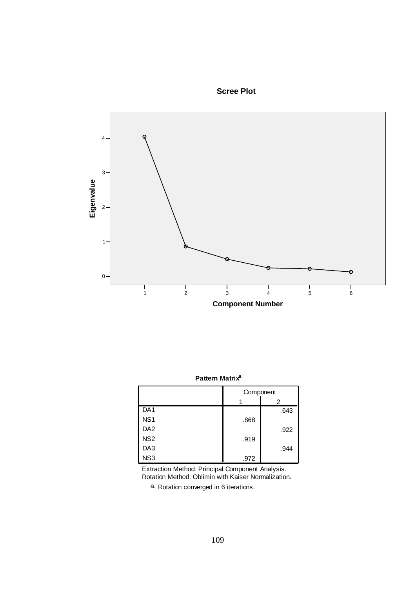

|                 | Component |      |  |
|-----------------|-----------|------|--|
|                 |           | 2    |  |
| DA <sub>1</sub> |           | .643 |  |
| NS <sub>1</sub> | .868      |      |  |
| DA <sub>2</sub> |           | .922 |  |
| NS <sub>2</sub> | .919      |      |  |
| DA <sub>3</sub> |           | .944 |  |
| NS <sub>3</sub> | .972      |      |  |

**Pattern Matrix<sup>a</sup>**

Extraction Method: Principal Component Analysis. Rotation Method: Oblimin with Kaiser Normalization.

a. Rotation converged in 6 iterations.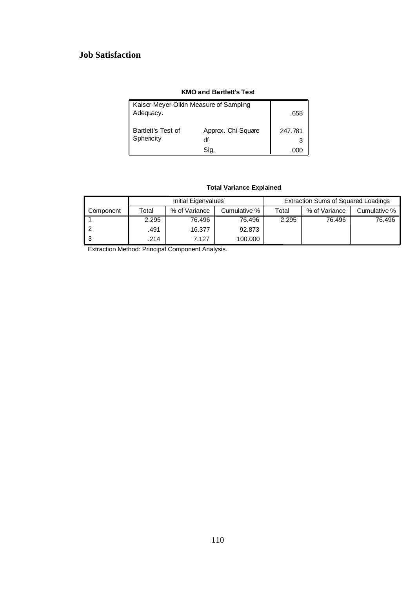# **Job Satisfaction**

### **KMO and Bartlett's Test**

| Kaiser-Meyer-Olkin Measure of Sampling<br>Adequacy. | .658                     |         |
|-----------------------------------------------------|--------------------------|---------|
| Bartlett's Test of<br>Sphericity                    | Approx. Chi-Square<br>df | 247.781 |
|                                                     | Sig.                     | OOC     |

#### **Total Variance Explained**

|           |       | Initial Eigenvalues |              |       | <b>Extraction Sums of Squared Loadings</b> |              |
|-----------|-------|---------------------|--------------|-------|--------------------------------------------|--------------|
| Component | Total | % of Variance       | Cumulative % | Total | % of Variance                              | Cumulative % |
|           | 2.295 | 76.496              | 76.496       | 2.295 | 76.496                                     | 76.496       |
|           | .491  | 16.377              | 92.873       |       |                                            |              |
| ົ<br>د٠   | .214  | 7.127               | 100.000      |       |                                            |              |

Extraction Method: Principal Component Analysis.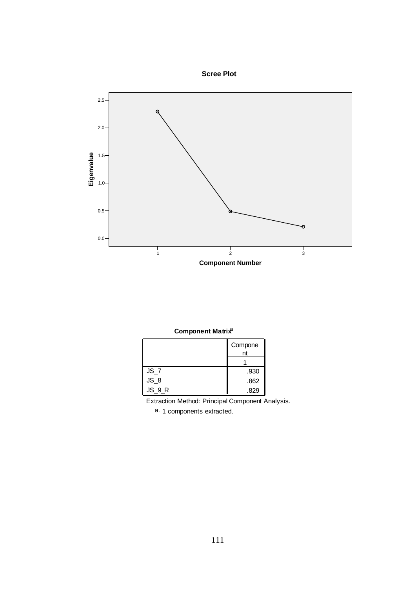



| <b>Component Matrix<sup>a</sup></b> |               |  |  |
|-------------------------------------|---------------|--|--|
|                                     | Compone<br>nt |  |  |
|                                     |               |  |  |
| $JS_7$                              | .930          |  |  |
| $JS_8$                              | .862          |  |  |
| JS 9 R                              | .829          |  |  |

Extraction Method: Principal Component Analysis.

a. 1 components extracted.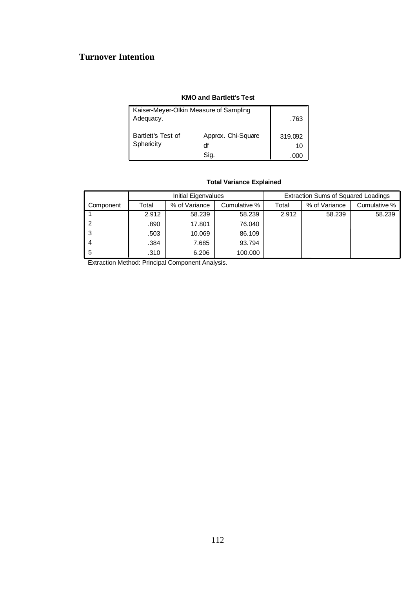# **Turnover Intention**

### **KMO and Bartlett's Test**

| Kaiser-Meyer-Olkin Measure of Sampling<br>Adequacy. | .763                     |               |
|-----------------------------------------------------|--------------------------|---------------|
| Bartlett's Test of<br>Sphericity                    | Approx. Chi-Square<br>df | 319.092<br>10 |
|                                                     | Sig.                     | .000          |

# **Total Variance Explained**

|           |                        | Initial Eigenvalues |              |       | <b>Extraction Sums of Squared Loadings</b> |              |
|-----------|------------------------|---------------------|--------------|-------|--------------------------------------------|--------------|
| Component | % of Variance<br>Total |                     | Cumulative % | Total | % of Variance                              | Cumulative % |
|           | 2.912                  | 58.239              | 58.239       | 2.912 | 58.239                                     | 58.239       |
| 2         | .890                   | 17.801              | 76.040       |       |                                            |              |
| 3         | .503                   | 10.069              | 86.109       |       |                                            |              |
| 4         | .384                   | 7.685               | 93.794       |       |                                            |              |
| 5         | .310                   | 6.206               | 100.000      |       |                                            |              |

Extraction Method: Principal Component Analysis.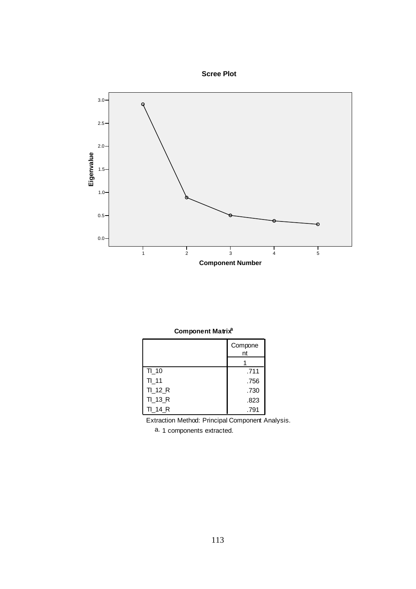



| <b>Component Matrix<sup>a</sup></b> |               |  |  |  |
|-------------------------------------|---------------|--|--|--|
|                                     | Compone<br>nt |  |  |  |
|                                     |               |  |  |  |
| $T$ $10$                            | .711          |  |  |  |
| $TI$ 11                             | .756          |  |  |  |
| TI 12 R                             | .730          |  |  |  |
| TI 13 R                             | .823          |  |  |  |
| TI 14 R                             | .791          |  |  |  |

Extraction Method: Principal Component Analysis.

a. 1 components extracted.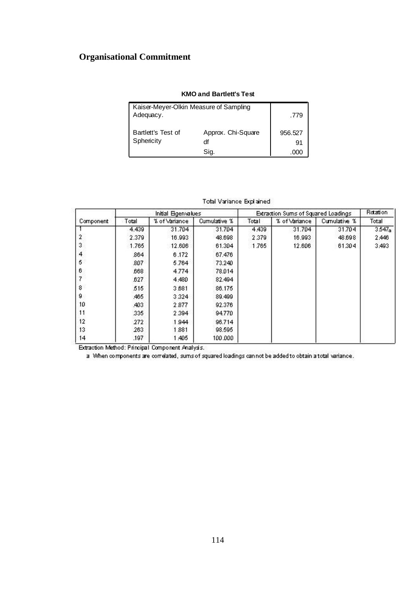# **Organisational Commitment**

#### **KMO and Bartlett's Test**

| Kaiser-Meyer-Olkin Measure of Sampling<br>Adequacy. | .779                     |               |
|-----------------------------------------------------|--------------------------|---------------|
| Bartlett's Test of<br>Sphericity                    | Approx. Chi-Square<br>df | 956.527<br>91 |
|                                                     | Sig.                     | .000          |

#### Total Variance Explained

| Component |            | Initial Eigenvalues |              |       | Extraction Sums of Squared Loadings |              |        |
|-----------|------------|---------------------|--------------|-------|-------------------------------------|--------------|--------|
|           | Total      | % of Variance       | Cumulative % | Total | % of Variance                       | Cumulative % | Total  |
|           | 4.439      | 31.704              | 31.704       | 4.439 | 31.704                              | 31.704       | 3.547a |
|           | 2.379      | 16,993              | 48.698       | 2.379 | 16.993                              | 48,698       | 2.446  |
| 3         | 1.765      | 12.606              | 61.304       | 1.765 | 12.606                              | 61.304       | 3,493  |
| 4         | 864        | 6.172               | 67.476       |       |                                     |              |        |
| 5         | 807        | 5.764               | 73.240       |       |                                     |              |        |
| 6         | 668        | 4.774               | 78.014       |       |                                     |              |        |
|           | <b>627</b> | 4.480               | 82.494       |       |                                     |              |        |
| 8         | 515        | 3.681               | 86.175       |       |                                     |              |        |
| g         | .465       | 3 3 2 4             | 89.499       |       |                                     |              |        |
| 10        | A03        | 2877                | 92.376       |       |                                     |              |        |
| 11        | 335        | 2 3 9 4             | 94.770       |       |                                     |              |        |
| 12        | 272        | 1944                | 96.714       |       |                                     |              |        |
| 13        | 263        | 1881                | 98.595       |       |                                     |              |        |
| 14        | .197       | 1.405               | 100.000      |       |                                     |              |        |

Extraction Method: Principal Component Analysis.

a When components are correlated, sums of squared loadings cannot be added to obtain a total variance.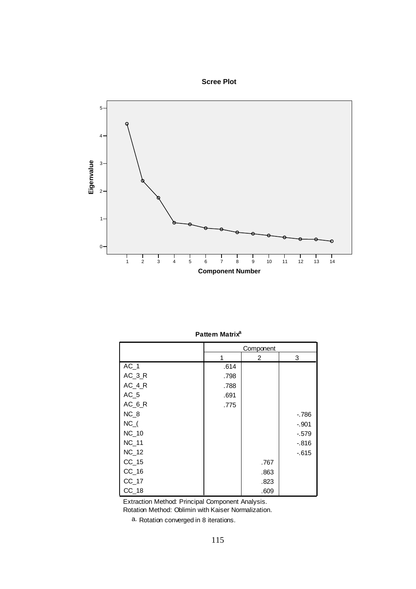

|            | Component |      |          |  |  |
|------------|-----------|------|----------|--|--|
|            | 1         | 2    | 3        |  |  |
| $AC_1$     | .614      |      |          |  |  |
| $AC_3_R$   | .798      |      |          |  |  |
| $AC_4_R$   | .788      |      |          |  |  |
| $AC_5$     | .691      |      |          |  |  |
| $AC_6_R$   | .775      |      |          |  |  |
| $NC_8$     |           |      | $-786$   |  |  |
| $NC_{-}$ ( |           |      | $-.901$  |  |  |
| $NC_10$    |           |      | $-579$   |  |  |
| $NC_11$    |           |      | $-0.816$ |  |  |
| $NC_12$    |           |      | $-615$   |  |  |
| $CC_15$    |           | .767 |          |  |  |
| $CC_16$    |           | .863 |          |  |  |
| $CC_1$ 17  |           | .823 |          |  |  |
| $CC_18$    |           | .609 |          |  |  |

**Pattern Matrix<sup>a</sup>**

Extraction Method: Principal Component Analysis. Rotation Method: Oblimin with Kaiser Normalization.

a. Rotation converged in 8 iterations.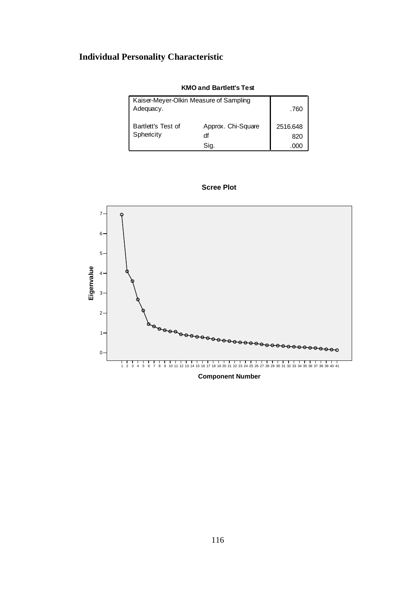# **Individual Personality Characteristic**

| Kaiser-Meyer-Olkin Measure of Sampling<br>Adequacy. | .760                             |                         |
|-----------------------------------------------------|----------------------------------|-------------------------|
| Bartlett's Test of<br>Sphericity                    | Approx. Chi-Square<br>df<br>Sig. | 2516.648<br>820<br>.000 |

#### **KMO and Bartlett's Test**





**Component Number**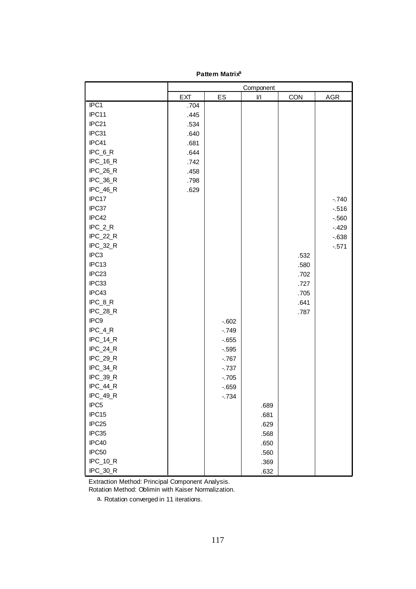|                                                     |            | Pattern Matrix <sup>a</sup> |           |            |            |
|-----------------------------------------------------|------------|-----------------------------|-----------|------------|------------|
|                                                     |            |                             | Component |            |            |
|                                                     | <b>EXT</b> | ES                          | $\sqrt{}$ | <b>CON</b> | <b>AGR</b> |
| IPC1                                                | .704       |                             |           |            |            |
| IPC11                                               | .445       |                             |           |            |            |
| IPC <sub>21</sub>                                   | .534       |                             |           |            |            |
| IPC31                                               | .640       |                             |           |            |            |
| IPC41                                               | .681       |                             |           |            |            |
| $IPC_6_R$                                           | .644       |                             |           |            |            |
| $IPC_16_R$                                          | .742       |                             |           |            |            |
| $IPC_26_R$                                          | .458       |                             |           |            |            |
| IPC_36_R                                            | .798       |                             |           |            |            |
| IPC_46_R                                            | .629       |                             |           |            |            |
| IPC17                                               |            |                             |           |            | $-.740$    |
| IPC37                                               |            |                             |           |            | $-0.516$   |
| IPC42                                               |            |                             |           |            | $-560$     |
| $IPC_2_R$                                           |            |                             |           |            | $-429$     |
| $IPC_22_R$                                          |            |                             |           |            | $-638$     |
| $IPC_32_R$                                          |            |                             |           |            | $-0.571$   |
| IPC3                                                |            |                             |           | .532       |            |
| IPC13                                               |            |                             |           | .580       |            |
| IPC <sub>23</sub>                                   |            |                             |           | .702       |            |
| IPC33                                               |            |                             |           | .727       |            |
| IPC43                                               |            |                             |           | .705       |            |
| $IPC_8_R$                                           |            |                             |           | .641       |            |
| IPC_28_R                                            |            |                             |           | .787       |            |
| IPC9                                                |            | $-602$                      |           |            |            |
| $IPC_4_R$                                           |            | $-749$                      |           |            |            |
| $IPC_14_R$                                          |            | $-655$                      |           |            |            |
| IPC_24_R                                            |            | $-595$                      |           |            |            |
| IPC_29_R                                            |            | $-767$                      |           |            |            |
| IPC_34_R                                            |            | $-737$                      |           |            |            |
| $IPC_39_R$                                          |            | $-705$                      |           |            |            |
| $IPC_44_R$                                          |            | $-659$                      |           |            |            |
| IPC_49_R                                            |            | $-734$                      |           |            |            |
| IPC5                                                |            |                             | .689      |            |            |
| IPC15                                               |            |                             | .681      |            |            |
| IPC <sub>25</sub>                                   |            |                             | .629      |            |            |
| IPC35                                               |            |                             | .568      |            |            |
| IPC40                                               |            |                             | .650      |            |            |
| IPC50                                               |            |                             | .560      |            |            |
| $IPC_10_R$                                          |            |                             | .369      |            |            |
| IPC_30_R                                            |            |                             | .632      |            |            |
| Extraction Method: Principal Component Analysis.    |            |                             |           |            |            |
| Rotation Method: Oblimin with Kaiser Normalization. |            |                             |           |            |            |
| a. Rotation converged in 11 iterations.             |            |                             |           |            |            |
|                                                     |            |                             |           |            |            |
|                                                     |            |                             |           |            |            |
|                                                     |            |                             |           |            |            |
|                                                     |            | 117                         |           |            |            |

Pattern Matrix<sup>a</sup>